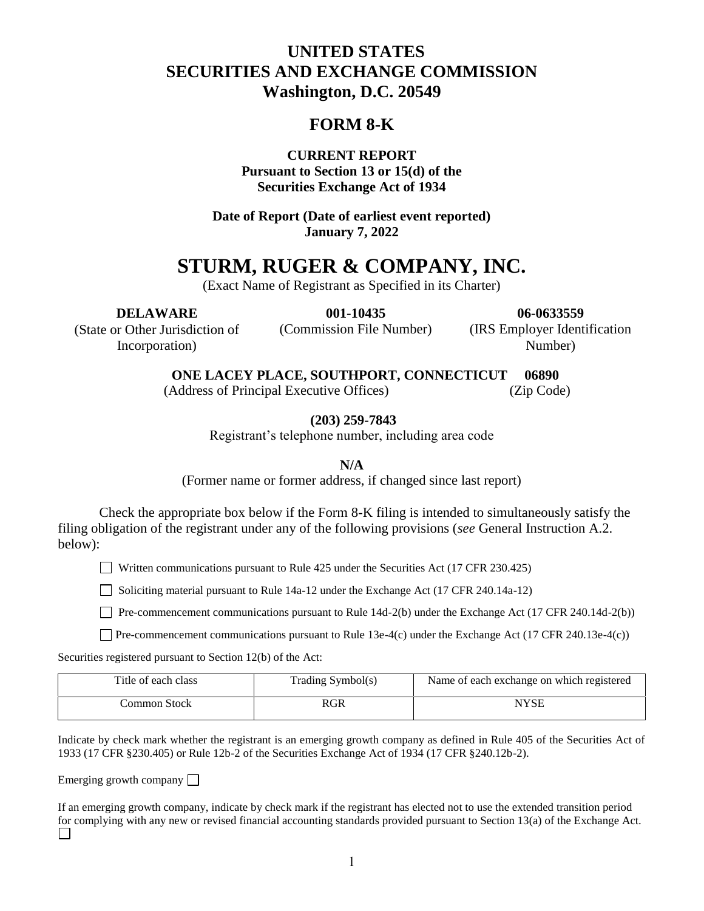# **UNITED STATES SECURITIES AND EXCHANGE COMMISSION Washington, D.C. 20549**

# **FORM 8-K**

**CURRENT REPORT Pursuant to Section 13 or 15(d) of the Securities Exchange Act of 1934**

**Date of Report (Date of earliest event reported) January 7, 2022**

# **STURM, RUGER & COMPANY, INC.**

(Exact Name of Registrant as Specified in its Charter)

**DELAWARE** (State or Other Jurisdiction of

Incorporation)

**001-10435** (Commission File Number)

**06-0633559** (IRS Employer Identification Number)

 **ONE LACEY PLACE, SOUTHPORT, CONNECTICUT 06890**

(Address of Principal Executive Offices) (Zip Code)

**(203) 259-7843**

Registrant's telephone number, including area code

**N/A**

(Former name or former address, if changed since last report)

Check the appropriate box below if the Form 8-K filing is intended to simultaneously satisfy the filing obligation of the registrant under any of the following provisions (*see* General Instruction A.2. below):

Written communications pursuant to Rule 425 under the Securities Act  $(17 \text{ CFR } 230.425)$ 

Soliciting material pursuant to Rule 14a-12 under the Exchange Act (17 CFR 240.14a-12)

**Pre-commencement communications pursuant to Rule 14d-2(b) under the Exchange Act (17 CFR 240.14d-2(b))** 

Pre-commencement communications pursuant to Rule 13e-4(c) under the Exchange Act (17 CFR 240.13e-4(c))

Securities registered pursuant to Section 12(b) of the Act:

| Title of each class | Trading Symbol(s) | Name of each exchange on which registered |
|---------------------|-------------------|-------------------------------------------|
| Common Stock -      | RGR               | NYSE                                      |

Indicate by check mark whether the registrant is an emerging growth company as defined in Rule 405 of the Securities Act of 1933 (17 CFR §230.405) or Rule 12b-2 of the Securities Exchange Act of 1934 (17 CFR §240.12b-2).

Emerging growth company  $\Box$ 

If an emerging growth company, indicate by check mark if the registrant has elected not to use the extended transition period for complying with any new or revised financial accounting standards provided pursuant to Section 13(a) of the Exchange Act. $\Box$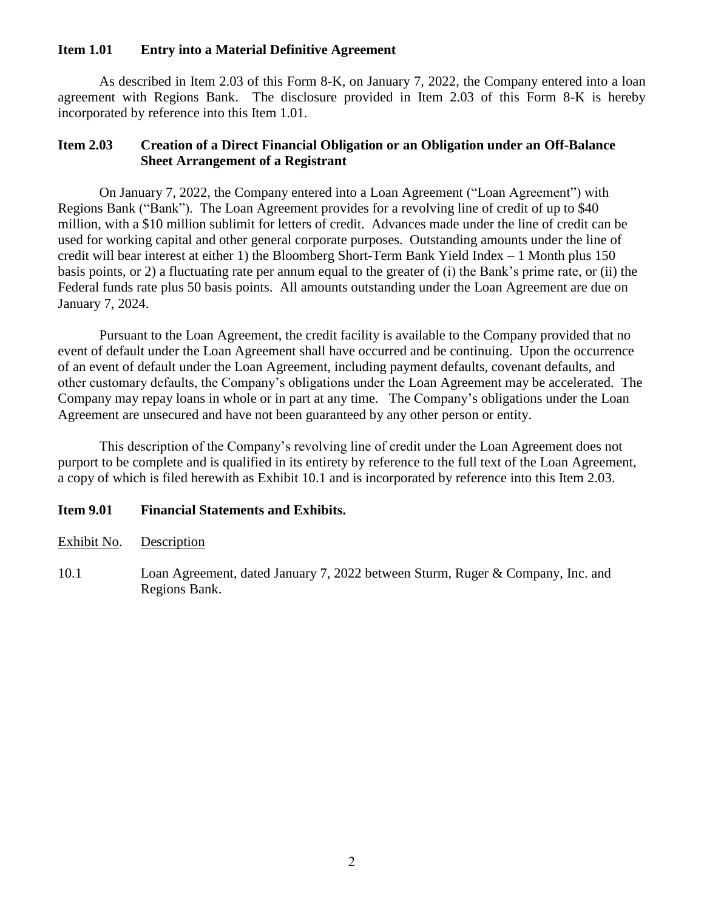#### **Item 1.01 Entry into a Material Definitive Agreement**

As described in Item 2.03 of this Form 8-K, on January 7, 2022, the Company entered into a loan agreement with Regions Bank. The disclosure provided in Item 2.03 of this Form 8-K is hereby incorporated by reference into this Item 1.01.

#### **Item 2.03 Creation of a Direct Financial Obligation or an Obligation under an Off-Balance Sheet Arrangement of a Registrant**

On January 7, 2022, the Company entered into a Loan Agreement ("Loan Agreement") with Regions Bank ("Bank"). The Loan Agreement provides for a revolving line of credit of up to \$40 million, with a \$10 million sublimit for letters of credit. Advances made under the line of credit can be used for working capital and other general corporate purposes. Outstanding amounts under the line of credit will bear interest at either 1) the Bloomberg Short-Term Bank Yield Index – 1 Month plus 150 basis points, or 2) a fluctuating rate per annum equal to the greater of (i) the Bank's prime rate, or (ii) the Federal funds rate plus 50 basis points. All amounts outstanding under the Loan Agreement are due on January 7, 2024.

Pursuant to the Loan Agreement, the credit facility is available to the Company provided that no event of default under the Loan Agreement shall have occurred and be continuing. Upon the occurrence of an event of default under the Loan Agreement, including payment defaults, covenant defaults, and other customary defaults, the Company's obligations under the Loan Agreement may be accelerated. The Company may repay loans in whole or in part at any time. The Company's obligations under the Loan Agreement are unsecured and have not been guaranteed by any other person or entity.

This description of the Company's revolving line of credit under the Loan Agreement does not purport to be complete and is qualified in its entirety by reference to the full text of the Loan Agreement, a copy of which is filed herewith as Exhibit 10.1 and is incorporated by reference into this Item 2.03.

#### **Item 9.01 Financial Statements and Exhibits.**

10.1 Loan Agreement, dated January 7, 2022 between Sturm, Ruger & Company, Inc. and Regions Bank.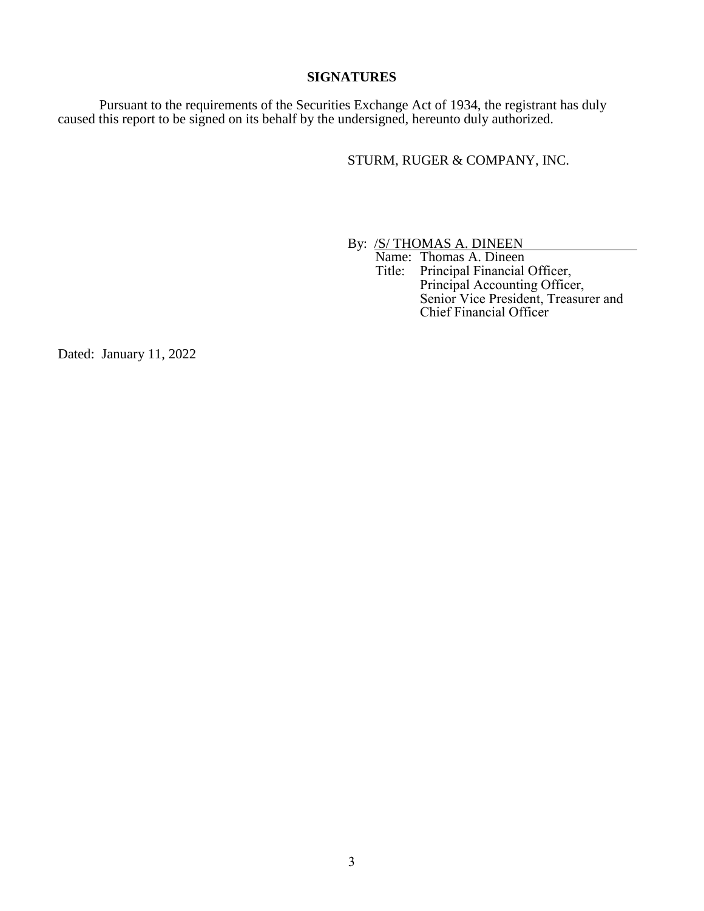#### **SIGNATURES**

Pursuant to the requirements of the Securities Exchange Act of 1934, the registrant has duly caused this report to be signed on its behalf by the undersigned, hereunto duly authorized.

STURM, RUGER & COMPANY, INC.

By: **/S/ THOMAS A. DINEEN** 

Name: Thomas A. Dineen<br>Title: Principal Financial Principal Financial Officer, Principal Accounting Officer, Senior Vice President, Treasurer and Chief Financial Officer

Dated: January 11, 2022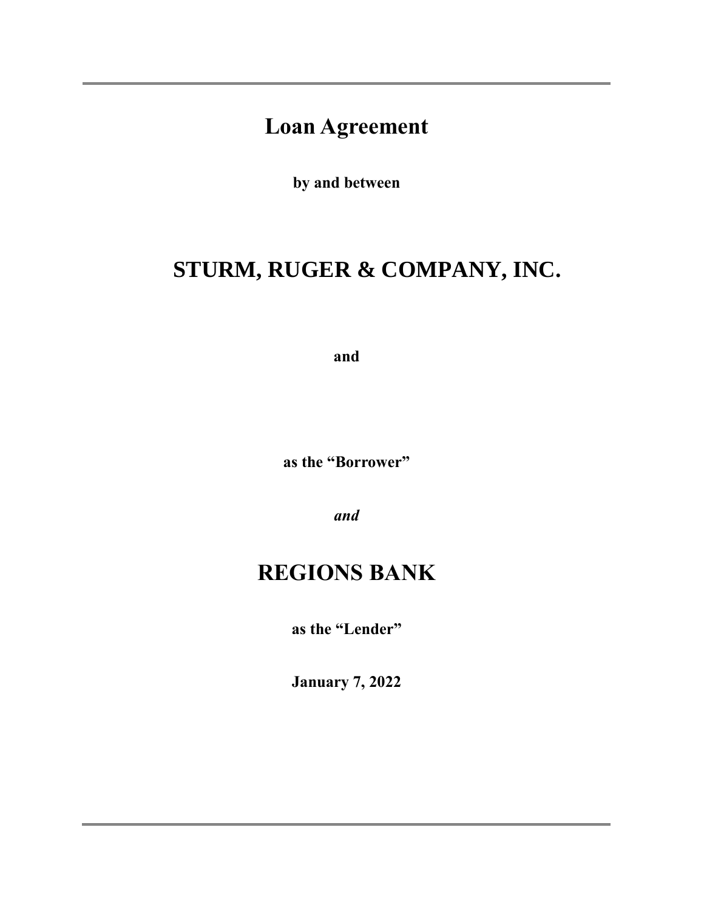# **Loan Agreement**

**by and between**

# **STURM, RUGER & COMPANY, INC.**

**and**

**as the "Borrower"**

*and*

# **REGIONS BANK**

**as the "Lender"**

**January 7, 2022**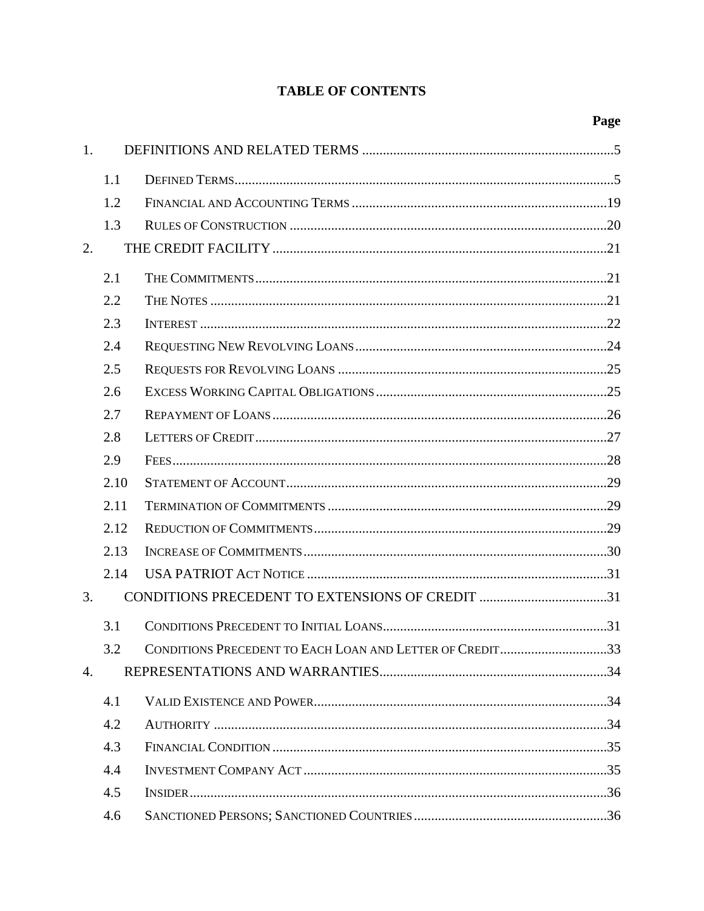# **TABLE OF CONTENTS**

| 1. |      |                                                          |  |
|----|------|----------------------------------------------------------|--|
|    | 1.1  |                                                          |  |
|    | 1.2  |                                                          |  |
|    | 1.3  |                                                          |  |
| 2. |      |                                                          |  |
|    | 2.1  |                                                          |  |
|    | 2.2  |                                                          |  |
|    | 2.3  |                                                          |  |
|    | 2.4  |                                                          |  |
|    | 2.5  |                                                          |  |
|    | 2.6  |                                                          |  |
|    | 2.7  |                                                          |  |
|    | 2.8  |                                                          |  |
|    | 2.9  |                                                          |  |
|    | 2.10 |                                                          |  |
|    | 2.11 |                                                          |  |
|    | 2.12 |                                                          |  |
|    | 2.13 |                                                          |  |
|    | 2.14 |                                                          |  |
| 3. |      | CONDITIONS PRECEDENT TO EXTENSIONS OF CREDIT 31          |  |
|    | 3.1  |                                                          |  |
|    | 32   | CONDITIONS PRECEDENT TO EACH LOAN AND LETTER OF CREDIT33 |  |
| 4. |      |                                                          |  |
|    | 4.1  |                                                          |  |
|    | 4.2  |                                                          |  |
|    | 4.3  |                                                          |  |
|    | 4.4  |                                                          |  |
|    | 4.5  |                                                          |  |
|    | 4.6  |                                                          |  |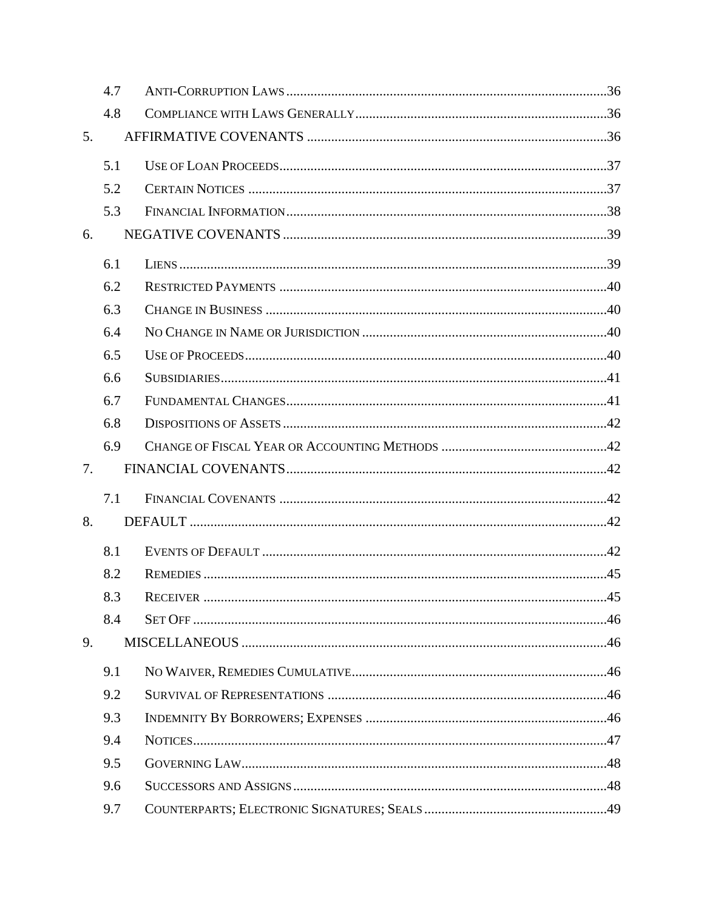|    | 4.7 |  |
|----|-----|--|
|    | 4.8 |  |
| 5. |     |  |
|    | 5.1 |  |
|    | 5.2 |  |
|    | 5.3 |  |
| 6. |     |  |
|    | 6.1 |  |
|    | 6.2 |  |
|    | 6.3 |  |
|    | 6.4 |  |
|    | 6.5 |  |
|    | 6.6 |  |
|    | 6.7 |  |
|    | 6.8 |  |
|    | 6.9 |  |
| 7. |     |  |
|    | 7.1 |  |
| 8. |     |  |
|    | 8.1 |  |
|    | 8.2 |  |
|    | 8.3 |  |
|    | 8.4 |  |
| 9. |     |  |
|    | 9.1 |  |
|    | 9.2 |  |
|    | 9.3 |  |
|    | 9.4 |  |
|    | 9.5 |  |
|    | 9.6 |  |
|    | 9.7 |  |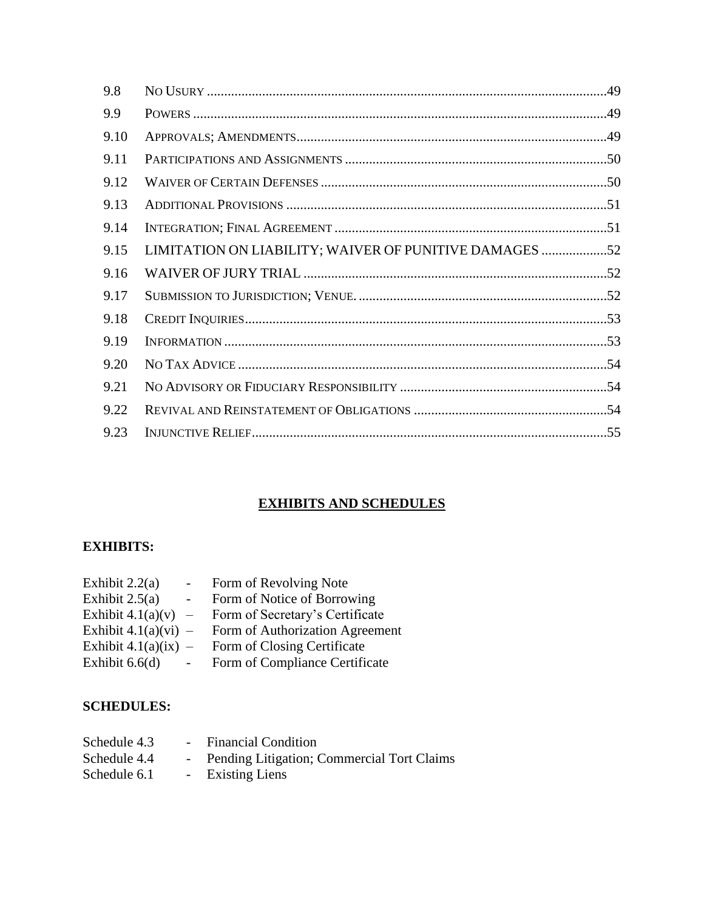| 9.8  |                                                        |
|------|--------------------------------------------------------|
| 9.9  |                                                        |
| 9.10 |                                                        |
| 9.11 |                                                        |
| 9.12 |                                                        |
| 9.13 |                                                        |
| 9.14 |                                                        |
| 9.15 | LIMITATION ON LIABILITY; WAIVER OF PUNITIVE DAMAGES 52 |
| 9.16 |                                                        |
| 9.17 |                                                        |
| 9.18 |                                                        |
| 9.19 |                                                        |
| 9.20 |                                                        |
| 9.21 |                                                        |
| 9.22 |                                                        |
| 9.23 |                                                        |
|      |                                                        |

# **EXHIBITS AND SCHEDULES**

# **EXHIBITS:**

| Exhibit $2.2(a)$       | $\sim$   | Form of Revolving Note          |
|------------------------|----------|---------------------------------|
| Exhibit $2.5(a)$       | $\sim$   | Form of Notice of Borrowing     |
| Exhibit $4.1(a)(v)$    | $\equiv$ | Form of Secretary's Certificate |
| Exhibit $4.1(a)(vi)$ – |          | Form of Authorization Agreement |
| Exhibit $4.1(a)(ix)$ – |          | Form of Closing Certificate     |
| Exhibit $6.6(d)$       |          | Form of Compliance Certificate  |
|                        |          |                                 |

### **SCHEDULES:**

| Schedule 4.3 | - Financial Condition                        |
|--------------|----------------------------------------------|
| Schedule 4.4 | - Pending Litigation; Commercial Tort Claims |
| Schedule 6.1 | - Existing Liens                             |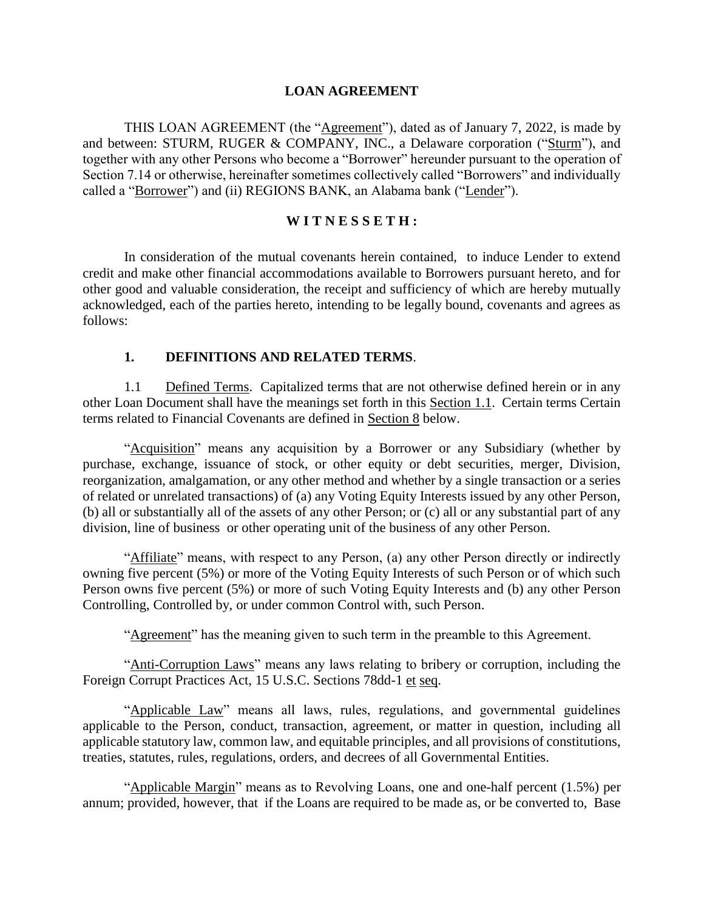#### **LOAN AGREEMENT**

THIS LOAN AGREEMENT (the "Agreement"), dated as of January 7, 2022, is made by and between: STURM, RUGER & COMPANY, INC., a Delaware corporation ("Sturm"), and together with any other Persons who become a "Borrower" hereunder pursuant to the operation of Section 7.14 or otherwise, hereinafter sometimes collectively called "Borrowers" and individually called a "Borrower") and (ii) REGIONS BANK, an Alabama bank ("Lender").

#### **W I T N E S S E T H :**

In consideration of the mutual covenants herein contained, to induce Lender to extend credit and make other financial accommodations available to Borrowers pursuant hereto, and for other good and valuable consideration, the receipt and sufficiency of which are hereby mutually acknowledged, each of the parties hereto, intending to be legally bound, covenants and agrees as follows:

#### **1. DEFINITIONS AND RELATED TERMS**.

1.1 Defined Terms. Capitalized terms that are not otherwise defined herein or in any other Loan Document shall have the meanings set forth in this Section 1.1. Certain terms Certain terms related to Financial Covenants are defined in Section 8 below.

"Acquisition" means any acquisition by a Borrower or any Subsidiary (whether by purchase, exchange, issuance of stock, or other equity or debt securities, merger, Division, reorganization, amalgamation, or any other method and whether by a single transaction or a series of related or unrelated transactions) of (a) any Voting Equity Interests issued by any other Person, (b) all or substantially all of the assets of any other Person; or (c) all or any substantial part of any division, line of business or other operating unit of the business of any other Person.

"Affiliate" means, with respect to any Person, (a) any other Person directly or indirectly owning five percent (5%) or more of the Voting Equity Interests of such Person or of which such Person owns five percent (5%) or more of such Voting Equity Interests and (b) any other Person Controlling, Controlled by, or under common Control with, such Person.

"Agreement" has the meaning given to such term in the preamble to this Agreement.

"Anti-Corruption Laws" means any laws relating to bribery or corruption, including the Foreign Corrupt Practices Act, 15 U.S.C. Sections 78dd-1 et seq.

"Applicable Law" means all laws, rules, regulations, and governmental guidelines applicable to the Person, conduct, transaction, agreement, or matter in question, including all applicable statutory law, common law, and equitable principles, and all provisions of constitutions, treaties, statutes, rules, regulations, orders, and decrees of all Governmental Entities.

"Applicable Margin" means as to Revolving Loans, one and one-half percent (1.5%) per annum; provided, however, that if the Loans are required to be made as, or be converted to, Base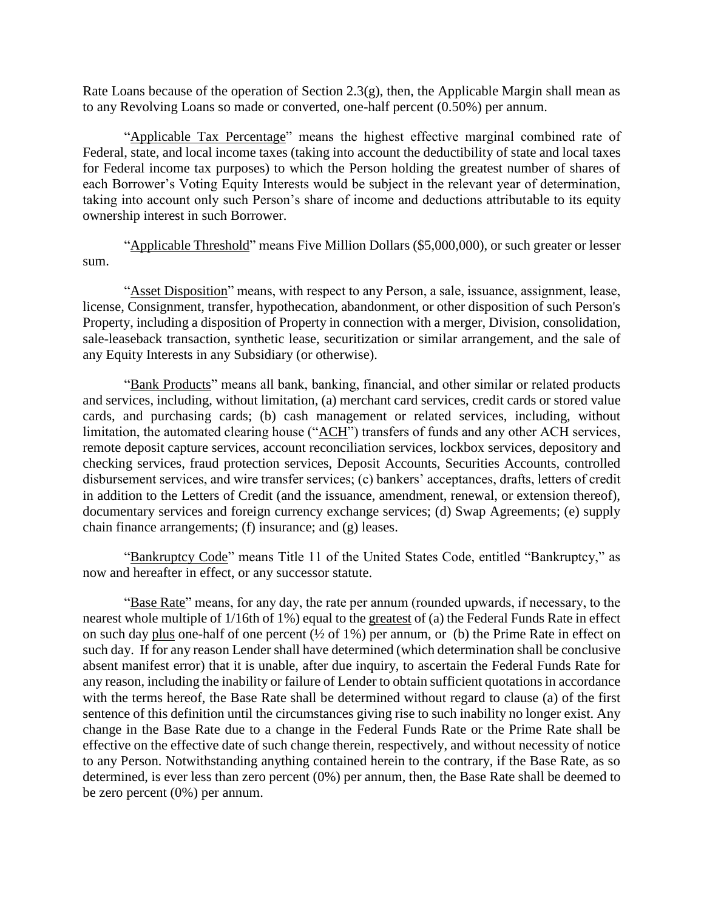Rate Loans because of the operation of Section 2.3(g), then, the Applicable Margin shall mean as to any Revolving Loans so made or converted, one-half percent (0.50%) per annum.

"Applicable Tax Percentage" means the highest effective marginal combined rate of Federal, state, and local income taxes (taking into account the deductibility of state and local taxes for Federal income tax purposes) to which the Person holding the greatest number of shares of each Borrower's Voting Equity Interests would be subject in the relevant year of determination, taking into account only such Person's share of income and deductions attributable to its equity ownership interest in such Borrower.

"Applicable Threshold" means Five Million Dollars (\$5,000,000), or such greater or lesser sum.

"Asset Disposition" means, with respect to any Person, a sale, issuance, assignment, lease, license, Consignment, transfer, hypothecation, abandonment, or other disposition of such Person's Property, including a disposition of Property in connection with a merger, Division, consolidation, sale-leaseback transaction, synthetic lease, securitization or similar arrangement, and the sale of any Equity Interests in any Subsidiary (or otherwise).

"Bank Products" means all bank, banking, financial, and other similar or related products and services, including, without limitation, (a) merchant card services, credit cards or stored value cards, and purchasing cards; (b) cash management or related services, including, without limitation, the automated clearing house ("ACH") transfers of funds and any other ACH services, remote deposit capture services, account reconciliation services, lockbox services, depository and checking services, fraud protection services, Deposit Accounts, Securities Accounts, controlled disbursement services, and wire transfer services; (c) bankers' acceptances, drafts, letters of credit in addition to the Letters of Credit (and the issuance, amendment, renewal, or extension thereof), documentary services and foreign currency exchange services; (d) Swap Agreements; (e) supply chain finance arrangements; (f) insurance; and (g) leases.

"Bankruptcy Code" means Title 11 of the United States Code, entitled "Bankruptcy," as now and hereafter in effect, or any successor statute.

"Base Rate" means, for any day, the rate per annum (rounded upwards, if necessary, to the nearest whole multiple of 1/16th of 1%) equal to the greatest of (a) the Federal Funds Rate in effect on such day plus one-half of one percent  $(\frac{1}{2}$  of 1%) per annum, or (b) the Prime Rate in effect on such day. If for any reason Lender shall have determined (which determination shall be conclusive absent manifest error) that it is unable, after due inquiry, to ascertain the Federal Funds Rate for any reason, including the inability or failure of Lender to obtain sufficient quotations in accordance with the terms hereof, the Base Rate shall be determined without regard to clause (a) of the first sentence of this definition until the circumstances giving rise to such inability no longer exist. Any change in the Base Rate due to a change in the Federal Funds Rate or the Prime Rate shall be effective on the effective date of such change therein, respectively, and without necessity of notice to any Person. Notwithstanding anything contained herein to the contrary, if the Base Rate, as so determined, is ever less than zero percent (0%) per annum, then, the Base Rate shall be deemed to be zero percent (0%) per annum.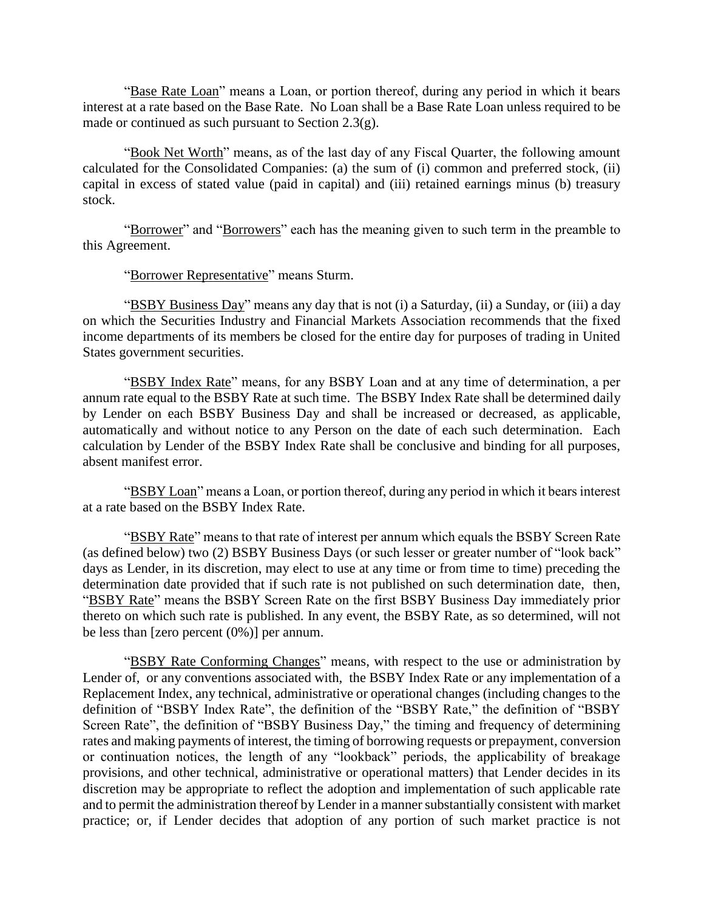"Base Rate Loan" means a Loan, or portion thereof, during any period in which it bears interest at a rate based on the Base Rate. No Loan shall be a Base Rate Loan unless required to be made or continued as such pursuant to Section 2.3(g).

"Book Net Worth" means, as of the last day of any Fiscal Quarter, the following amount calculated for the Consolidated Companies: (a) the sum of (i) common and preferred stock, (ii) capital in excess of stated value (paid in capital) and (iii) retained earnings minus (b) treasury stock.

"Borrower" and "Borrowers" each has the meaning given to such term in the preamble to this Agreement.

"Borrower Representative" means Sturm.

"BSBY Business Day" means any day that is not (i) a Saturday, (ii) a Sunday, or (iii) a day on which the Securities Industry and Financial Markets Association recommends that the fixed income departments of its members be closed for the entire day for purposes of trading in United States government securities.

"BSBY Index Rate" means, for any BSBY Loan and at any time of determination, a per annum rate equal to the BSBY Rate at such time. The BSBY Index Rate shall be determined daily by Lender on each BSBY Business Day and shall be increased or decreased, as applicable, automatically and without notice to any Person on the date of each such determination. Each calculation by Lender of the BSBY Index Rate shall be conclusive and binding for all purposes, absent manifest error.

"BSBY Loan" means a Loan, or portion thereof, during any period in which it bears interest at a rate based on the BSBY Index Rate.

"BSBY Rate" means to that rate of interest per annum which equals the BSBY Screen Rate (as defined below) two (2) BSBY Business Days (or such lesser or greater number of "look back" days as Lender, in its discretion, may elect to use at any time or from time to time) preceding the determination date provided that if such rate is not published on such determination date, then, "BSBY Rate" means the BSBY Screen Rate on the first BSBY Business Day immediately prior thereto on which such rate is published. In any event, the BSBY Rate, as so determined, will not be less than [zero percent (0%)] per annum.

"BSBY Rate Conforming Changes" means, with respect to the use or administration by Lender of, or any conventions associated with, the BSBY Index Rate or any implementation of a Replacement Index, any technical, administrative or operational changes (including changes to the definition of "BSBY Index Rate", the definition of the "BSBY Rate," the definition of "BSBY Screen Rate", the definition of "BSBY Business Day," the timing and frequency of determining rates and making payments of interest, the timing of borrowing requests or prepayment, conversion or continuation notices, the length of any "lookback" periods, the applicability of breakage provisions, and other technical, administrative or operational matters) that Lender decides in its discretion may be appropriate to reflect the adoption and implementation of such applicable rate and to permit the administration thereof by Lender in a manner substantially consistent with market practice; or, if Lender decides that adoption of any portion of such market practice is not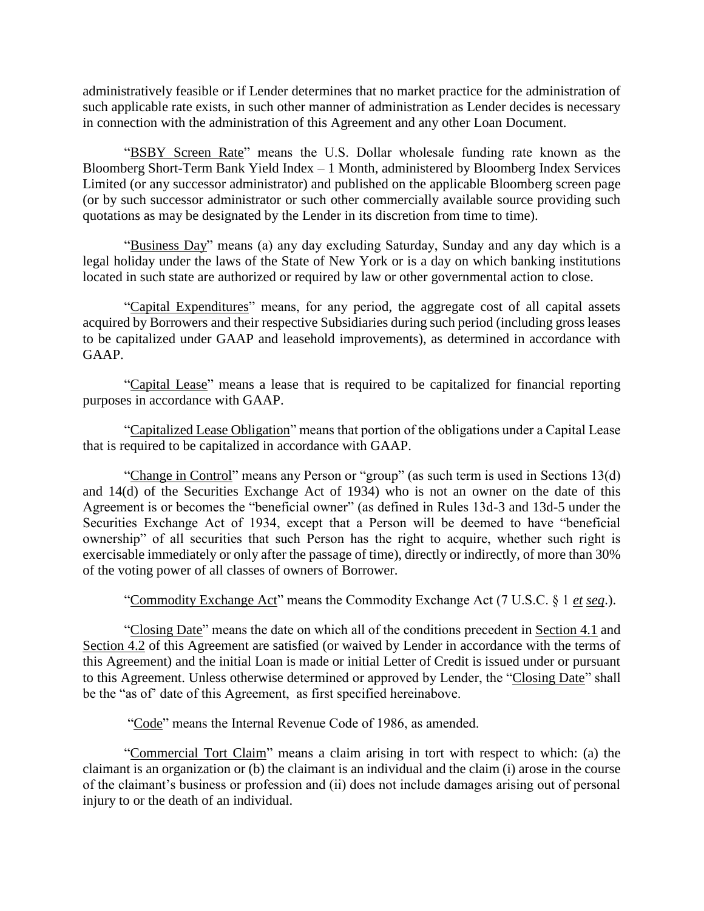administratively feasible or if Lender determines that no market practice for the administration of such applicable rate exists, in such other manner of administration as Lender decides is necessary in connection with the administration of this Agreement and any other Loan Document.

"BSBY Screen Rate" means the U.S. Dollar wholesale funding rate known as the Bloomberg Short-Term Bank Yield Index – 1 Month, administered by Bloomberg Index Services Limited (or any successor administrator) and published on the applicable Bloomberg screen page (or by such successor administrator or such other commercially available source providing such quotations as may be designated by the Lender in its discretion from time to time).

"Business Day" means (a) any day excluding Saturday, Sunday and any day which is a legal holiday under the laws of the State of New York or is a day on which banking institutions located in such state are authorized or required by law or other governmental action to close.

"Capital Expenditures" means, for any period, the aggregate cost of all capital assets acquired by Borrowers and their respective Subsidiaries during such period (including gross leases to be capitalized under GAAP and leasehold improvements), as determined in accordance with GAAP.

"Capital Lease" means a lease that is required to be capitalized for financial reporting purposes in accordance with GAAP.

"Capitalized Lease Obligation" means that portion of the obligations under a Capital Lease that is required to be capitalized in accordance with GAAP.

"Change in Control" means any Person or "group" (as such term is used in Sections 13(d) and 14(d) of the Securities Exchange Act of 1934) who is not an owner on the date of this Agreement is or becomes the "beneficial owner" (as defined in Rules 13d-3 and 13d-5 under the Securities Exchange Act of 1934, except that a Person will be deemed to have "beneficial ownership" of all securities that such Person has the right to acquire, whether such right is exercisable immediately or only after the passage of time), directly or indirectly, of more than 30% of the voting power of all classes of owners of Borrower.

"Commodity Exchange Act" means the Commodity Exchange Act (7 U.S.C. § 1 *et seq*.).

"Closing Date" means the date on which all of the conditions precedent in Section 4.1 and Section 4.2 of this Agreement are satisfied (or waived by Lender in accordance with the terms of this Agreement) and the initial Loan is made or initial Letter of Credit is issued under or pursuant to this Agreement. Unless otherwise determined or approved by Lender, the "Closing Date" shall be the "as of' date of this Agreement, as first specified hereinabove.

"Code" means the Internal Revenue Code of 1986, as amended.

"Commercial Tort Claim" means a claim arising in tort with respect to which: (a) the claimant is an organization or (b) the claimant is an individual and the claim (i) arose in the course of the claimant's business or profession and (ii) does not include damages arising out of personal injury to or the death of an individual.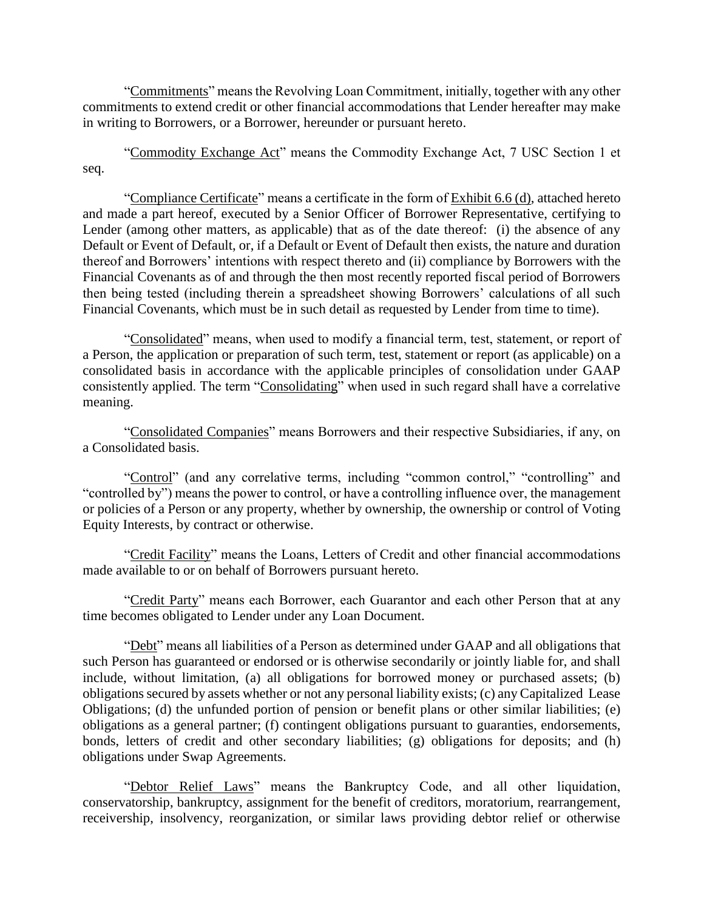"Commitments" means the Revolving Loan Commitment, initially, together with any other commitments to extend credit or other financial accommodations that Lender hereafter may make in writing to Borrowers, or a Borrower, hereunder or pursuant hereto.

"Commodity Exchange Act" means the Commodity Exchange Act, 7 USC Section 1 et seq.

"Compliance Certificate" means a certificate in the form of Exhibit 6.6 (d), attached hereto and made a part hereof, executed by a Senior Officer of Borrower Representative, certifying to Lender (among other matters, as applicable) that as of the date thereof: (i) the absence of any Default or Event of Default, or, if a Default or Event of Default then exists, the nature and duration thereof and Borrowers' intentions with respect thereto and (ii) compliance by Borrowers with the Financial Covenants as of and through the then most recently reported fiscal period of Borrowers then being tested (including therein a spreadsheet showing Borrowers' calculations of all such Financial Covenants, which must be in such detail as requested by Lender from time to time).

"Consolidated" means, when used to modify a financial term, test, statement, or report of a Person, the application or preparation of such term, test, statement or report (as applicable) on a consolidated basis in accordance with the applicable principles of consolidation under GAAP consistently applied. The term "Consolidating" when used in such regard shall have a correlative meaning.

"Consolidated Companies" means Borrowers and their respective Subsidiaries, if any, on a Consolidated basis.

"Control" (and any correlative terms, including "common control," "controlling" and "controlled by") means the power to control, or have a controlling influence over, the management or policies of a Person or any property, whether by ownership, the ownership or control of Voting Equity Interests, by contract or otherwise.

"Credit Facility" means the Loans, Letters of Credit and other financial accommodations made available to or on behalf of Borrowers pursuant hereto.

"Credit Party" means each Borrower, each Guarantor and each other Person that at any time becomes obligated to Lender under any Loan Document.

"Debt" means all liabilities of a Person as determined under GAAP and all obligations that such Person has guaranteed or endorsed or is otherwise secondarily or jointly liable for, and shall include, without limitation, (a) all obligations for borrowed money or purchased assets; (b) obligations secured by assets whether or not any personal liability exists; (c) any Capitalized Lease Obligations; (d) the unfunded portion of pension or benefit plans or other similar liabilities; (e) obligations as a general partner; (f) contingent obligations pursuant to guaranties, endorsements, bonds, letters of credit and other secondary liabilities; (g) obligations for deposits; and (h) obligations under Swap Agreements.

"Debtor Relief Laws" means the Bankruptcy Code, and all other liquidation, conservatorship, bankruptcy, assignment for the benefit of creditors, moratorium, rearrangement, receivership, insolvency, reorganization, or similar laws providing debtor relief or otherwise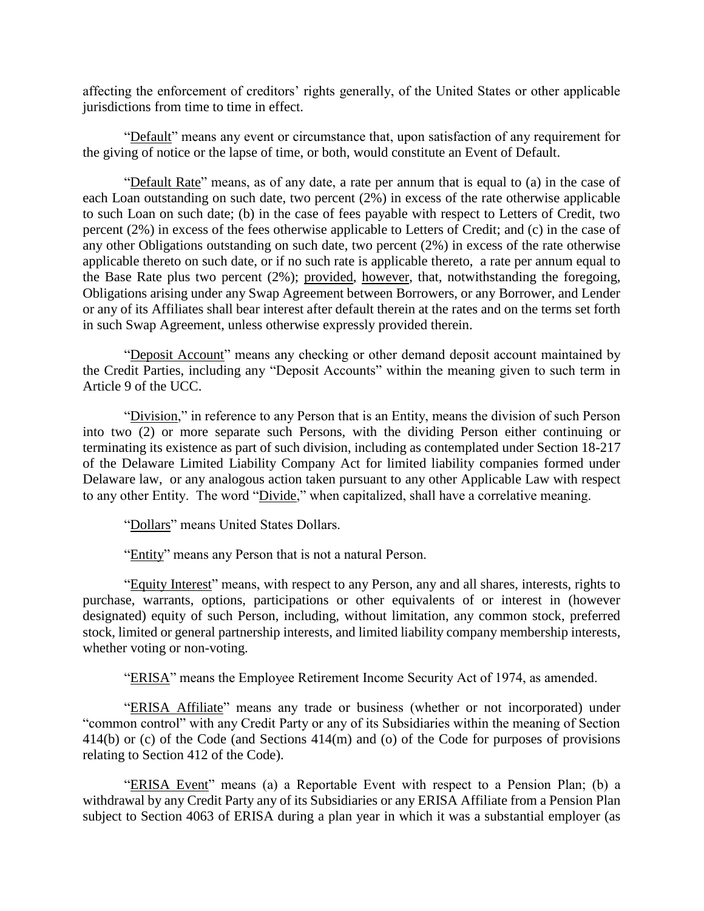affecting the enforcement of creditors' rights generally, of the United States or other applicable jurisdictions from time to time in effect.

"Default" means any event or circumstance that, upon satisfaction of any requirement for the giving of notice or the lapse of time, or both, would constitute an Event of Default.

"Default Rate" means, as of any date, a rate per annum that is equal to (a) in the case of each Loan outstanding on such date, two percent (2%) in excess of the rate otherwise applicable to such Loan on such date; (b) in the case of fees payable with respect to Letters of Credit, two percent (2%) in excess of the fees otherwise applicable to Letters of Credit; and (c) in the case of any other Obligations outstanding on such date, two percent (2%) in excess of the rate otherwise applicable thereto on such date, or if no such rate is applicable thereto, a rate per annum equal to the Base Rate plus two percent (2%); provided, however, that, notwithstanding the foregoing, Obligations arising under any Swap Agreement between Borrowers, or any Borrower, and Lender or any of its Affiliates shall bear interest after default therein at the rates and on the terms set forth in such Swap Agreement, unless otherwise expressly provided therein.

"Deposit Account" means any checking or other demand deposit account maintained by the Credit Parties, including any "Deposit Accounts" within the meaning given to such term in Article 9 of the UCC.

"Division," in reference to any Person that is an Entity, means the division of such Person into two (2) or more separate such Persons, with the dividing Person either continuing or terminating its existence as part of such division, including as contemplated under Section 18-217 of the Delaware Limited Liability Company Act for limited liability companies formed under Delaware law, or any analogous action taken pursuant to any other Applicable Law with respect to any other Entity. The word "Divide," when capitalized, shall have a correlative meaning.

"Dollars" means United States Dollars.

"Entity" means any Person that is not a natural Person.

"Equity Interest" means, with respect to any Person, any and all shares, interests, rights to purchase, warrants, options, participations or other equivalents of or interest in (however designated) equity of such Person, including, without limitation, any common stock, preferred stock, limited or general partnership interests, and limited liability company membership interests, whether voting or non-voting.

"ERISA" means the Employee Retirement Income Security Act of 1974, as amended.

"ERISA Affiliate" means any trade or business (whether or not incorporated) under "common control" with any Credit Party or any of its Subsidiaries within the meaning of Section 414(b) or (c) of the Code (and Sections 414(m) and (o) of the Code for purposes of provisions relating to Section 412 of the Code).

"ERISA Event" means (a) a Reportable Event with respect to a Pension Plan; (b) a withdrawal by any Credit Party any of its Subsidiaries or any ERISA Affiliate from a Pension Plan subject to Section 4063 of ERISA during a plan year in which it was a substantial employer (as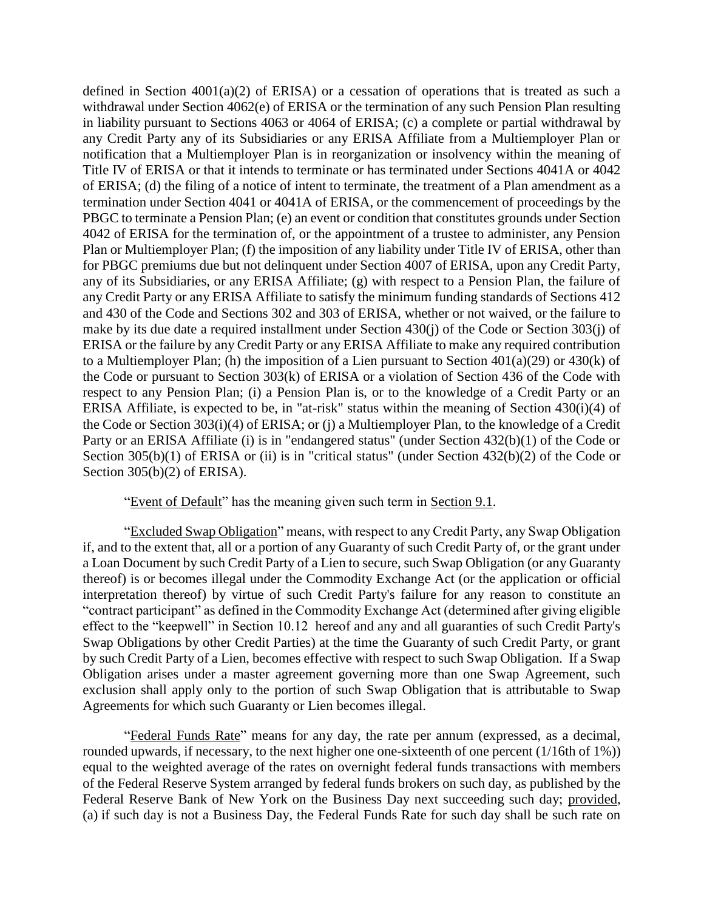defined in Section  $4001(a)(2)$  of ERISA) or a cessation of operations that is treated as such a withdrawal under Section 4062(e) of ERISA or the termination of any such Pension Plan resulting in liability pursuant to Sections 4063 or 4064 of ERISA; (c) a complete or partial withdrawal by any Credit Party any of its Subsidiaries or any ERISA Affiliate from a Multiemployer Plan or notification that a Multiemployer Plan is in reorganization or insolvency within the meaning of Title IV of ERISA or that it intends to terminate or has terminated under Sections 4041A or 4042 of ERISA; (d) the filing of a notice of intent to terminate, the treatment of a Plan amendment as a termination under Section 4041 or 4041A of ERISA, or the commencement of proceedings by the PBGC to terminate a Pension Plan; (e) an event or condition that constitutes grounds under Section 4042 of ERISA for the termination of, or the appointment of a trustee to administer, any Pension Plan or Multiemployer Plan; (f) the imposition of any liability under Title IV of ERISA, other than for PBGC premiums due but not delinquent under Section 4007 of ERISA, upon any Credit Party, any of its Subsidiaries, or any ERISA Affiliate; (g) with respect to a Pension Plan, the failure of any Credit Party or any ERISA Affiliate to satisfy the minimum funding standards of Sections 412 and 430 of the Code and Sections 302 and 303 of ERISA, whether or not waived, or the failure to make by its due date a required installment under Section 430(j) of the Code or Section 303(j) of ERISA or the failure by any Credit Party or any ERISA Affiliate to make any required contribution to a Multiemployer Plan; (h) the imposition of a Lien pursuant to Section 401(a)(29) or 430(k) of the Code or pursuant to Section 303(k) of ERISA or a violation of Section 436 of the Code with respect to any Pension Plan; (i) a Pension Plan is, or to the knowledge of a Credit Party or an ERISA Affiliate, is expected to be, in "at-risk" status within the meaning of Section 430(i)(4) of the Code or Section 303(i)(4) of ERISA; or (j) a Multiemployer Plan, to the knowledge of a Credit Party or an ERISA Affiliate (i) is in "endangered status" (under Section 432(b)(1) of the Code or Section 305(b)(1) of ERISA or (ii) is in "critical status" (under Section 432(b)(2) of the Code or Section 305(b)(2) of ERISA).

"Event of Default" has the meaning given such term in Section 9.1.

"Excluded Swap Obligation" means, with respect to any Credit Party, any Swap Obligation if, and to the extent that, all or a portion of any Guaranty of such Credit Party of, or the grant under a Loan Document by such Credit Party of a Lien to secure, such Swap Obligation (or any Guaranty thereof) is or becomes illegal under the Commodity Exchange Act (or the application or official interpretation thereof) by virtue of such Credit Party's failure for any reason to constitute an "contract participant" as defined in the Commodity Exchange Act (determined after giving eligible effect to the "keepwell" in Section 10.12 hereof and any and all guaranties of such Credit Party's Swap Obligations by other Credit Parties) at the time the Guaranty of such Credit Party, or grant by such Credit Party of a Lien, becomes effective with respect to such Swap Obligation. If a Swap Obligation arises under a master agreement governing more than one Swap Agreement, such exclusion shall apply only to the portion of such Swap Obligation that is attributable to Swap Agreements for which such Guaranty or Lien becomes illegal.

"Federal Funds Rate" means for any day, the rate per annum (expressed, as a decimal, rounded upwards, if necessary, to the next higher one one-sixteenth of one percent (1/16th of 1%)) equal to the weighted average of the rates on overnight federal funds transactions with members of the Federal Reserve System arranged by federal funds brokers on such day, as published by the Federal Reserve Bank of New York on the Business Day next succeeding such day; provided, (a) if such day is not a Business Day, the Federal Funds Rate for such day shall be such rate on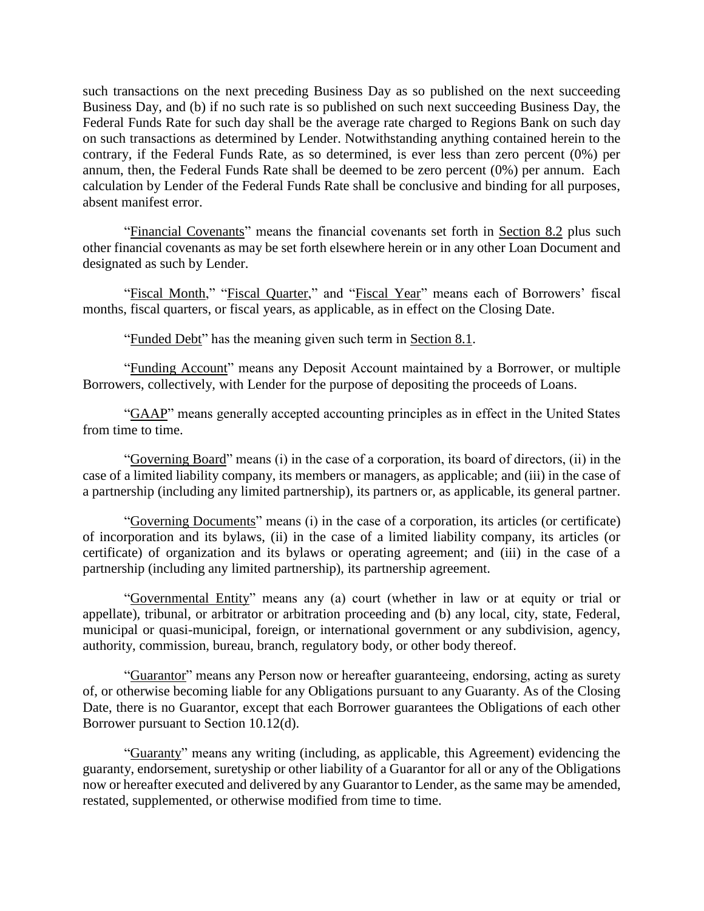such transactions on the next preceding Business Day as so published on the next succeeding Business Day, and (b) if no such rate is so published on such next succeeding Business Day, the Federal Funds Rate for such day shall be the average rate charged to Regions Bank on such day on such transactions as determined by Lender. Notwithstanding anything contained herein to the contrary, if the Federal Funds Rate, as so determined, is ever less than zero percent (0%) per annum, then, the Federal Funds Rate shall be deemed to be zero percent (0%) per annum. Each calculation by Lender of the Federal Funds Rate shall be conclusive and binding for all purposes, absent manifest error.

"Financial Covenants" means the financial covenants set forth in Section 8.2 plus such other financial covenants as may be set forth elsewhere herein or in any other Loan Document and designated as such by Lender.

"Fiscal Month," "Fiscal Quarter," and "Fiscal Year" means each of Borrowers' fiscal months, fiscal quarters, or fiscal years, as applicable, as in effect on the Closing Date.

"Funded Debt" has the meaning given such term in Section 8.1.

"Funding Account" means any Deposit Account maintained by a Borrower, or multiple Borrowers, collectively, with Lender for the purpose of depositing the proceeds of Loans.

"GAAP" means generally accepted accounting principles as in effect in the United States from time to time.

"Governing Board" means (i) in the case of a corporation, its board of directors, (ii) in the case of a limited liability company, its members or managers, as applicable; and (iii) in the case of a partnership (including any limited partnership), its partners or, as applicable, its general partner.

"Governing Documents" means (i) in the case of a corporation, its articles (or certificate) of incorporation and its bylaws, (ii) in the case of a limited liability company, its articles (or certificate) of organization and its bylaws or operating agreement; and (iii) in the case of a partnership (including any limited partnership), its partnership agreement.

"Governmental Entity" means any (a) court (whether in law or at equity or trial or appellate), tribunal, or arbitrator or arbitration proceeding and (b) any local, city, state, Federal, municipal or quasi-municipal, foreign, or international government or any subdivision, agency, authority, commission, bureau, branch, regulatory body, or other body thereof.

"Guarantor" means any Person now or hereafter guaranteeing, endorsing, acting as surety of, or otherwise becoming liable for any Obligations pursuant to any Guaranty. As of the Closing Date, there is no Guarantor, except that each Borrower guarantees the Obligations of each other Borrower pursuant to Section 10.12(d).

"Guaranty" means any writing (including, as applicable, this Agreement) evidencing the guaranty, endorsement, suretyship or other liability of a Guarantor for all or any of the Obligations now or hereafter executed and delivered by any Guarantor to Lender, as the same may be amended, restated, supplemented, or otherwise modified from time to time.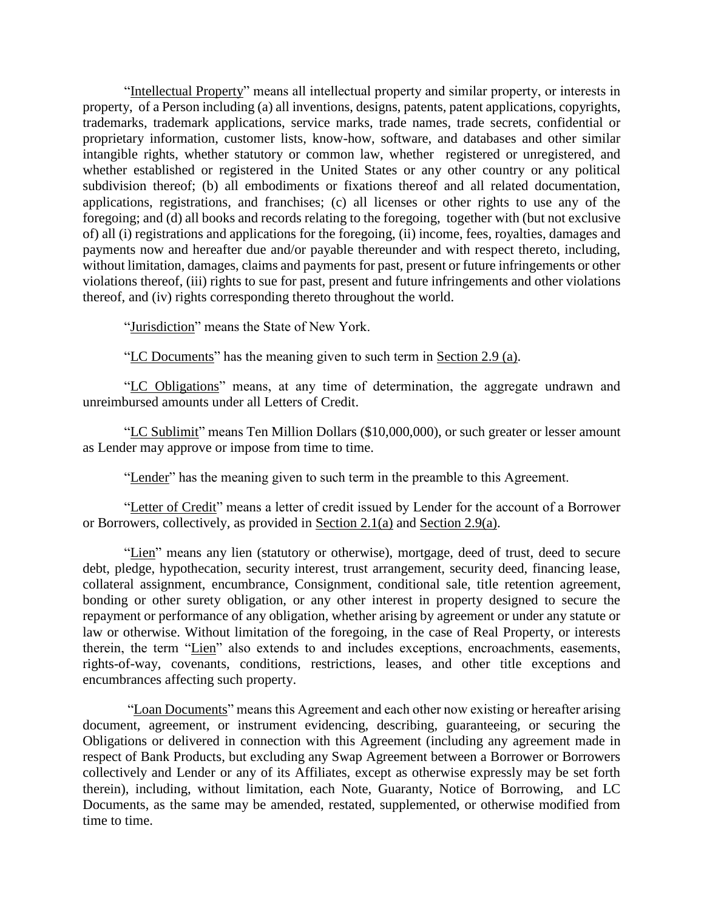"Intellectual Property" means all intellectual property and similar property, or interests in property, of a Person including (a) all inventions, designs, patents, patent applications, copyrights, trademarks, trademark applications, service marks, trade names, trade secrets, confidential or proprietary information, customer lists, know-how, software, and databases and other similar intangible rights, whether statutory or common law, whether registered or unregistered, and whether established or registered in the United States or any other country or any political subdivision thereof; (b) all embodiments or fixations thereof and all related documentation, applications, registrations, and franchises; (c) all licenses or other rights to use any of the foregoing; and (d) all books and records relating to the foregoing, together with (but not exclusive of) all (i) registrations and applications for the foregoing, (ii) income, fees, royalties, damages and payments now and hereafter due and/or payable thereunder and with respect thereto, including, without limitation, damages, claims and payments for past, present or future infringements or other violations thereof, (iii) rights to sue for past, present and future infringements and other violations thereof, and (iv) rights corresponding thereto throughout the world.

"Jurisdiction" means the State of New York.

"LC Documents" has the meaning given to such term in Section 2.9 (a).

"LC Obligations" means, at any time of determination, the aggregate undrawn and unreimbursed amounts under all Letters of Credit.

"LC Sublimit" means Ten Million Dollars (\$10,000,000), or such greater or lesser amount as Lender may approve or impose from time to time.

"Lender" has the meaning given to such term in the preamble to this Agreement.

"Letter of Credit" means a letter of credit issued by Lender for the account of a Borrower or Borrowers, collectively, as provided in Section 2.1(a) and Section 2.9(a).

"Lien" means any lien (statutory or otherwise), mortgage, deed of trust, deed to secure debt, pledge, hypothecation, security interest, trust arrangement, security deed, financing lease, collateral assignment, encumbrance, Consignment, conditional sale, title retention agreement, bonding or other surety obligation, or any other interest in property designed to secure the repayment or performance of any obligation, whether arising by agreement or under any statute or law or otherwise. Without limitation of the foregoing, in the case of Real Property, or interests therein, the term "Lien" also extends to and includes exceptions, encroachments, easements, rights-of-way, covenants, conditions, restrictions, leases, and other title exceptions and encumbrances affecting such property.

"Loan Documents" means this Agreement and each other now existing or hereafter arising document, agreement, or instrument evidencing, describing, guaranteeing, or securing the Obligations or delivered in connection with this Agreement (including any agreement made in respect of Bank Products, but excluding any Swap Agreement between a Borrower or Borrowers collectively and Lender or any of its Affiliates, except as otherwise expressly may be set forth therein), including, without limitation, each Note, Guaranty, Notice of Borrowing, and LC Documents, as the same may be amended, restated, supplemented, or otherwise modified from time to time.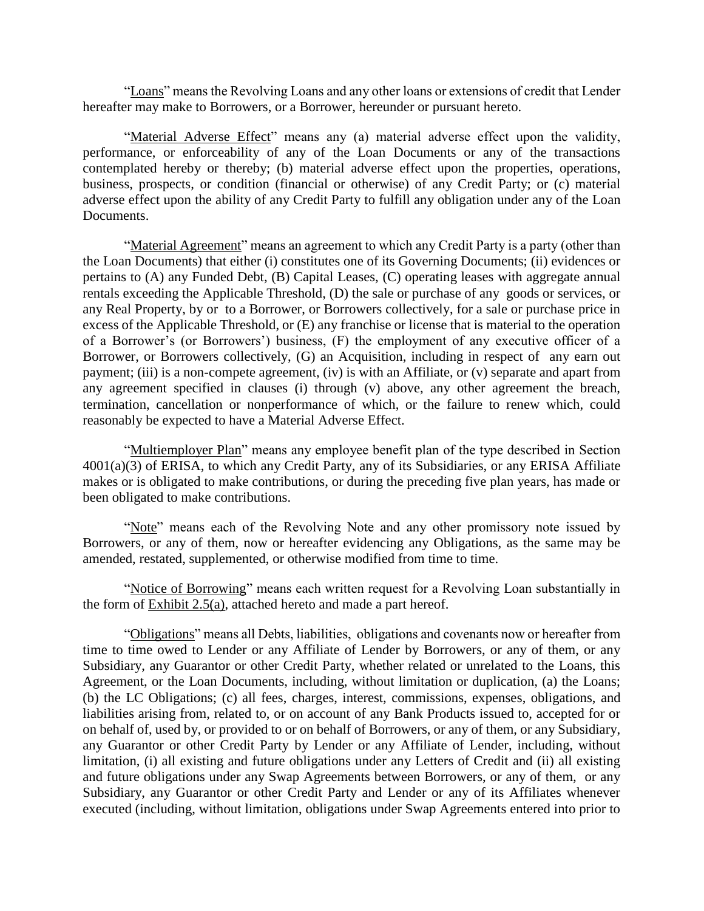"Loans" means the Revolving Loans and any other loans or extensions of credit that Lender hereafter may make to Borrowers, or a Borrower, hereunder or pursuant hereto.

"Material Adverse Effect" means any (a) material adverse effect upon the validity, performance, or enforceability of any of the Loan Documents or any of the transactions contemplated hereby or thereby; (b) material adverse effect upon the properties, operations, business, prospects, or condition (financial or otherwise) of any Credit Party; or (c) material adverse effect upon the ability of any Credit Party to fulfill any obligation under any of the Loan Documents.

"Material Agreement" means an agreement to which any Credit Party is a party (other than the Loan Documents) that either (i) constitutes one of its Governing Documents; (ii) evidences or pertains to (A) any Funded Debt, (B) Capital Leases, (C) operating leases with aggregate annual rentals exceeding the Applicable Threshold, (D) the sale or purchase of any goods or services, or any Real Property, by or to a Borrower, or Borrowers collectively, for a sale or purchase price in excess of the Applicable Threshold, or (E) any franchise or license that is material to the operation of a Borrower's (or Borrowers') business, (F) the employment of any executive officer of a Borrower, or Borrowers collectively, (G) an Acquisition, including in respect of any earn out payment; (iii) is a non-compete agreement, (iv) is with an Affiliate, or (v) separate and apart from any agreement specified in clauses (i) through (v) above, any other agreement the breach, termination, cancellation or nonperformance of which, or the failure to renew which, could reasonably be expected to have a Material Adverse Effect.

"Multiemployer Plan" means any employee benefit plan of the type described in Section 4001(a)(3) of ERISA, to which any Credit Party, any of its Subsidiaries, or any ERISA Affiliate makes or is obligated to make contributions, or during the preceding five plan years, has made or been obligated to make contributions.

"Note" means each of the Revolving Note and any other promissory note issued by Borrowers, or any of them, now or hereafter evidencing any Obligations, as the same may be amended, restated, supplemented, or otherwise modified from time to time.

"Notice of Borrowing" means each written request for a Revolving Loan substantially in the form of Exhibit 2.5(a), attached hereto and made a part hereof.

"Obligations" means all Debts, liabilities, obligations and covenants now or hereafter from time to time owed to Lender or any Affiliate of Lender by Borrowers, or any of them, or any Subsidiary, any Guarantor or other Credit Party, whether related or unrelated to the Loans, this Agreement, or the Loan Documents, including, without limitation or duplication, (a) the Loans; (b) the LC Obligations; (c) all fees, charges, interest, commissions, expenses, obligations, and liabilities arising from, related to, or on account of any Bank Products issued to, accepted for or on behalf of, used by, or provided to or on behalf of Borrowers, or any of them, or any Subsidiary, any Guarantor or other Credit Party by Lender or any Affiliate of Lender, including, without limitation, (i) all existing and future obligations under any Letters of Credit and (ii) all existing and future obligations under any Swap Agreements between Borrowers, or any of them, or any Subsidiary, any Guarantor or other Credit Party and Lender or any of its Affiliates whenever executed (including, without limitation, obligations under Swap Agreements entered into prior to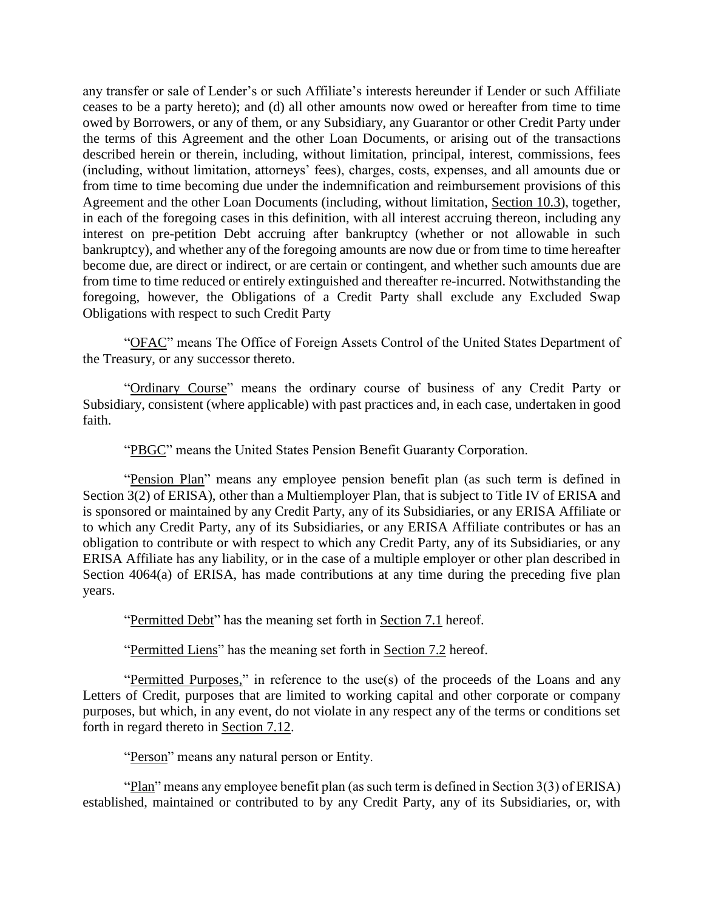any transfer or sale of Lender's or such Affiliate's interests hereunder if Lender or such Affiliate ceases to be a party hereto); and (d) all other amounts now owed or hereafter from time to time owed by Borrowers, or any of them, or any Subsidiary, any Guarantor or other Credit Party under the terms of this Agreement and the other Loan Documents, or arising out of the transactions described herein or therein, including, without limitation, principal, interest, commissions, fees (including, without limitation, attorneys' fees), charges, costs, expenses, and all amounts due or from time to time becoming due under the indemnification and reimbursement provisions of this Agreement and the other Loan Documents (including, without limitation, Section 10.3), together, in each of the foregoing cases in this definition, with all interest accruing thereon, including any interest on pre-petition Debt accruing after bankruptcy (whether or not allowable in such bankruptcy), and whether any of the foregoing amounts are now due or from time to time hereafter become due, are direct or indirect, or are certain or contingent, and whether such amounts due are from time to time reduced or entirely extinguished and thereafter re-incurred. Notwithstanding the foregoing, however, the Obligations of a Credit Party shall exclude any Excluded Swap Obligations with respect to such Credit Party

"OFAC" means The Office of Foreign Assets Control of the United States Department of the Treasury, or any successor thereto.

"Ordinary Course" means the ordinary course of business of any Credit Party or Subsidiary, consistent (where applicable) with past practices and, in each case, undertaken in good faith.

"PBGC" means the United States Pension Benefit Guaranty Corporation.

"Pension Plan" means any employee pension benefit plan (as such term is defined in Section 3(2) of ERISA), other than a Multiemployer Plan, that is subject to Title IV of ERISA and is sponsored or maintained by any Credit Party, any of its Subsidiaries, or any ERISA Affiliate or to which any Credit Party, any of its Subsidiaries, or any ERISA Affiliate contributes or has an obligation to contribute or with respect to which any Credit Party, any of its Subsidiaries, or any ERISA Affiliate has any liability, or in the case of a multiple employer or other plan described in Section 4064(a) of ERISA, has made contributions at any time during the preceding five plan years.

"Permitted Debt" has the meaning set forth in Section 7.1 hereof.

"Permitted Liens" has the meaning set forth in Section 7.2 hereof.

"Permitted Purposes," in reference to the use(s) of the proceeds of the Loans and any Letters of Credit, purposes that are limited to working capital and other corporate or company purposes, but which, in any event, do not violate in any respect any of the terms or conditions set forth in regard thereto in Section 7.12.

"Person" means any natural person or Entity.

"Plan" means any employee benefit plan (as such term is defined in Section 3(3) of ERISA) established, maintained or contributed to by any Credit Party, any of its Subsidiaries, or, with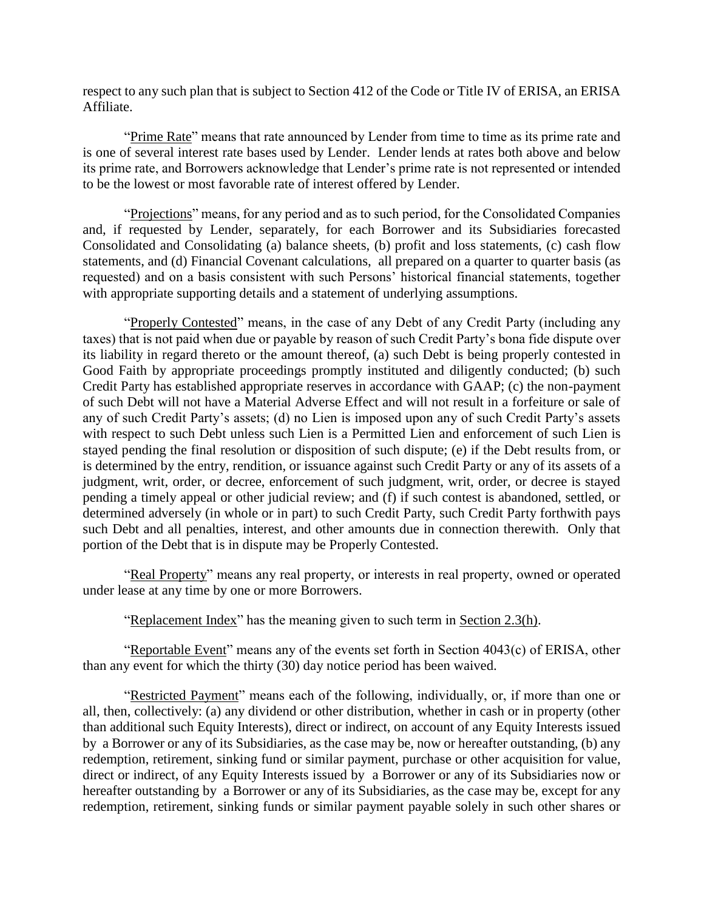respect to any such plan that is subject to Section 412 of the Code or Title IV of ERISA, an ERISA Affiliate.

"Prime Rate" means that rate announced by Lender from time to time as its prime rate and is one of several interest rate bases used by Lender. Lender lends at rates both above and below its prime rate, and Borrowers acknowledge that Lender's prime rate is not represented or intended to be the lowest or most favorable rate of interest offered by Lender.

"Projections" means, for any period and as to such period, for the Consolidated Companies and, if requested by Lender, separately, for each Borrower and its Subsidiaries forecasted Consolidated and Consolidating (a) balance sheets, (b) profit and loss statements, (c) cash flow statements, and (d) Financial Covenant calculations, all prepared on a quarter to quarter basis (as requested) and on a basis consistent with such Persons' historical financial statements, together with appropriate supporting details and a statement of underlying assumptions.

"Properly Contested" means, in the case of any Debt of any Credit Party (including any taxes) that is not paid when due or payable by reason of such Credit Party's bona fide dispute over its liability in regard thereto or the amount thereof, (a) such Debt is being properly contested in Good Faith by appropriate proceedings promptly instituted and diligently conducted; (b) such Credit Party has established appropriate reserves in accordance with GAAP; (c) the non-payment of such Debt will not have a Material Adverse Effect and will not result in a forfeiture or sale of any of such Credit Party's assets; (d) no Lien is imposed upon any of such Credit Party's assets with respect to such Debt unless such Lien is a Permitted Lien and enforcement of such Lien is stayed pending the final resolution or disposition of such dispute; (e) if the Debt results from, or is determined by the entry, rendition, or issuance against such Credit Party or any of its assets of a judgment, writ, order, or decree, enforcement of such judgment, writ, order, or decree is stayed pending a timely appeal or other judicial review; and (f) if such contest is abandoned, settled, or determined adversely (in whole or in part) to such Credit Party, such Credit Party forthwith pays such Debt and all penalties, interest, and other amounts due in connection therewith. Only that portion of the Debt that is in dispute may be Properly Contested.

"Real Property" means any real property, or interests in real property, owned or operated under lease at any time by one or more Borrowers.

"Replacement Index" has the meaning given to such term in Section 2.3(h).

"Reportable Event" means any of the events set forth in Section 4043(c) of ERISA, other than any event for which the thirty (30) day notice period has been waived.

"Restricted Payment" means each of the following, individually, or, if more than one or all, then, collectively: (a) any dividend or other distribution, whether in cash or in property (other than additional such Equity Interests), direct or indirect, on account of any Equity Interests issued by a Borrower or any of its Subsidiaries, as the case may be, now or hereafter outstanding, (b) any redemption, retirement, sinking fund or similar payment, purchase or other acquisition for value, direct or indirect, of any Equity Interests issued by a Borrower or any of its Subsidiaries now or hereafter outstanding by a Borrower or any of its Subsidiaries, as the case may be, except for any redemption, retirement, sinking funds or similar payment payable solely in such other shares or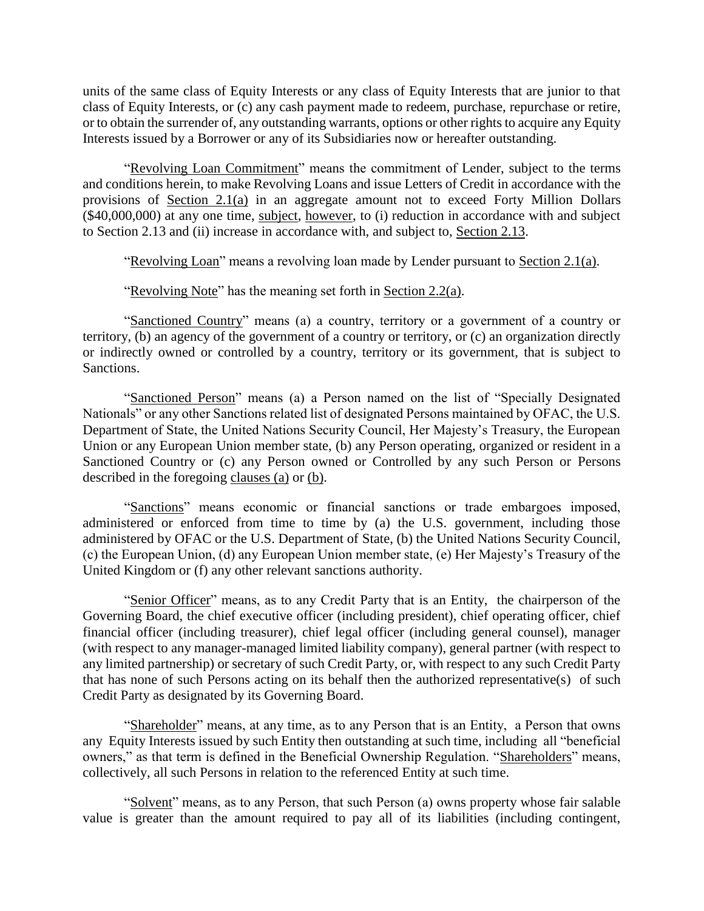units of the same class of Equity Interests or any class of Equity Interests that are junior to that class of Equity Interests, or (c) any cash payment made to redeem, purchase, repurchase or retire, or to obtain the surrender of, any outstanding warrants, options or other rights to acquire any Equity Interests issued by a Borrower or any of its Subsidiaries now or hereafter outstanding.

"Revolving Loan Commitment" means the commitment of Lender, subject to the terms and conditions herein, to make Revolving Loans and issue Letters of Credit in accordance with the provisions of Section 2.1(a) in an aggregate amount not to exceed Forty Million Dollars (\$40,000,000) at any one time, subject, however, to (i) reduction in accordance with and subject to Section 2.13 and (ii) increase in accordance with, and subject to, Section 2.13.

"Revolving Loan" means a revolving loan made by Lender pursuant to Section 2.1(a).

"Revolving Note" has the meaning set forth in Section 2.2(a).

"Sanctioned Country" means (a) a country, territory or a government of a country or territory, (b) an agency of the government of a country or territory, or (c) an organization directly or indirectly owned or controlled by a country, territory or its government, that is subject to Sanctions.

"Sanctioned Person" means (a) a Person named on the list of "Specially Designated Nationals" or any other Sanctions related list of designated Persons maintained by OFAC, the U.S. Department of State, the United Nations Security Council, Her Majesty's Treasury, the European Union or any European Union member state, (b) any Person operating, organized or resident in a Sanctioned Country or (c) any Person owned or Controlled by any such Person or Persons described in the foregoing clauses (a) or (b).

"Sanctions" means economic or financial sanctions or trade embargoes imposed, administered or enforced from time to time by (a) the U.S. government, including those administered by OFAC or the U.S. Department of State, (b) the United Nations Security Council, (c) the European Union, (d) any European Union member state, (e) Her Majesty's Treasury of the United Kingdom or (f) any other relevant sanctions authority.

"Senior Officer" means, as to any Credit Party that is an Entity, the chairperson of the Governing Board, the chief executive officer (including president), chief operating officer, chief financial officer (including treasurer), chief legal officer (including general counsel), manager (with respect to any manager-managed limited liability company), general partner (with respect to any limited partnership) or secretary of such Credit Party, or, with respect to any such Credit Party that has none of such Persons acting on its behalf then the authorized representative(s) of such Credit Party as designated by its Governing Board.

"Shareholder" means, at any time, as to any Person that is an Entity, a Person that owns any Equity Interests issued by such Entity then outstanding at such time, including all "beneficial owners," as that term is defined in the Beneficial Ownership Regulation. "Shareholders" means, collectively, all such Persons in relation to the referenced Entity at such time.

"Solvent" means, as to any Person, that such Person (a) owns property whose fair salable value is greater than the amount required to pay all of its liabilities (including contingent,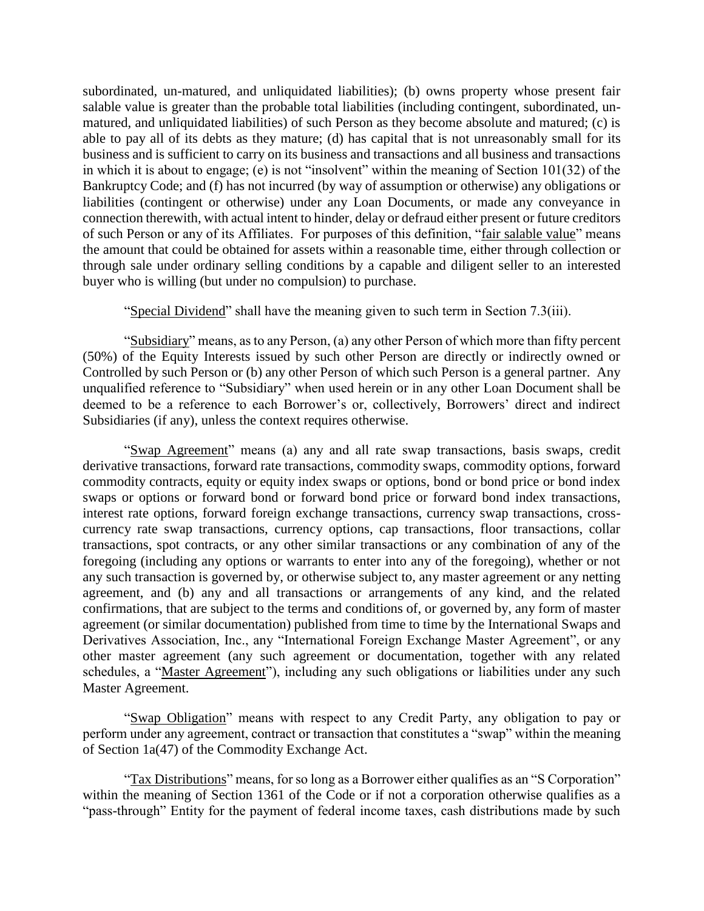subordinated, un-matured, and unliquidated liabilities); (b) owns property whose present fair salable value is greater than the probable total liabilities (including contingent, subordinated, unmatured, and unliquidated liabilities) of such Person as they become absolute and matured; (c) is able to pay all of its debts as they mature; (d) has capital that is not unreasonably small for its business and is sufficient to carry on its business and transactions and all business and transactions in which it is about to engage; (e) is not "insolvent" within the meaning of Section 101(32) of the Bankruptcy Code; and (f) has not incurred (by way of assumption or otherwise) any obligations or liabilities (contingent or otherwise) under any Loan Documents, or made any conveyance in connection therewith, with actual intent to hinder, delay or defraud either present or future creditors of such Person or any of its Affiliates. For purposes of this definition, "fair salable value" means the amount that could be obtained for assets within a reasonable time, either through collection or through sale under ordinary selling conditions by a capable and diligent seller to an interested buyer who is willing (but under no compulsion) to purchase.

"Special Dividend" shall have the meaning given to such term in Section 7.3(iii).

"Subsidiary" means, as to any Person, (a) any other Person of which more than fifty percent (50%) of the Equity Interests issued by such other Person are directly or indirectly owned or Controlled by such Person or (b) any other Person of which such Person is a general partner. Any unqualified reference to "Subsidiary" when used herein or in any other Loan Document shall be deemed to be a reference to each Borrower's or, collectively, Borrowers' direct and indirect Subsidiaries (if any), unless the context requires otherwise.

"Swap Agreement" means (a) any and all rate swap transactions, basis swaps, credit derivative transactions, forward rate transactions, commodity swaps, commodity options, forward commodity contracts, equity or equity index swaps or options, bond or bond price or bond index swaps or options or forward bond or forward bond price or forward bond index transactions, interest rate options, forward foreign exchange transactions, currency swap transactions, crosscurrency rate swap transactions, currency options, cap transactions, floor transactions, collar transactions, spot contracts, or any other similar transactions or any combination of any of the foregoing (including any options or warrants to enter into any of the foregoing), whether or not any such transaction is governed by, or otherwise subject to, any master agreement or any netting agreement, and (b) any and all transactions or arrangements of any kind, and the related confirmations, that are subject to the terms and conditions of, or governed by, any form of master agreement (or similar documentation) published from time to time by the International Swaps and Derivatives Association, Inc., any "International Foreign Exchange Master Agreement", or any other master agreement (any such agreement or documentation, together with any related schedules, a "Master Agreement"), including any such obligations or liabilities under any such Master Agreement.

"Swap Obligation" means with respect to any Credit Party, any obligation to pay or perform under any agreement, contract or transaction that constitutes a "swap" within the meaning of Section 1a(47) of the Commodity Exchange Act.

"Tax Distributions" means, for so long as a Borrower either qualifies as an "S Corporation" within the meaning of Section 1361 of the Code or if not a corporation otherwise qualifies as a "pass-through" Entity for the payment of federal income taxes, cash distributions made by such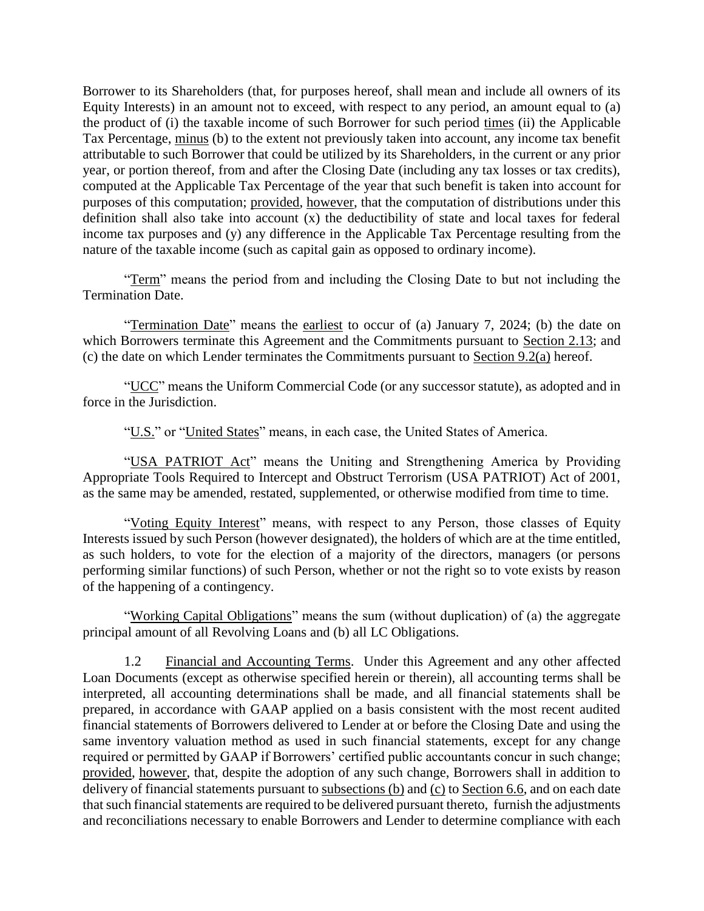Borrower to its Shareholders (that, for purposes hereof, shall mean and include all owners of its Equity Interests) in an amount not to exceed, with respect to any period, an amount equal to (a) the product of (i) the taxable income of such Borrower for such period times (ii) the Applicable Tax Percentage, minus (b) to the extent not previously taken into account, any income tax benefit attributable to such Borrower that could be utilized by its Shareholders, in the current or any prior year, or portion thereof, from and after the Closing Date (including any tax losses or tax credits), computed at the Applicable Tax Percentage of the year that such benefit is taken into account for purposes of this computation; provided, however, that the computation of distributions under this definition shall also take into account (x) the deductibility of state and local taxes for federal income tax purposes and (y) any difference in the Applicable Tax Percentage resulting from the nature of the taxable income (such as capital gain as opposed to ordinary income).

"Term" means the period from and including the Closing Date to but not including the Termination Date.

"Termination Date" means the earliest to occur of (a) January 7, 2024; (b) the date on which Borrowers terminate this Agreement and the Commitments pursuant to Section 2.13; and (c) the date on which Lender terminates the Commitments pursuant to Section 9.2(a) hereof.

"UCC" means the Uniform Commercial Code (or any successor statute), as adopted and in force in the Jurisdiction.

"U.S." or "United States" means, in each case, the United States of America.

"USA PATRIOT Act" means the Uniting and Strengthening America by Providing Appropriate Tools Required to Intercept and Obstruct Terrorism (USA PATRIOT) Act of 2001, as the same may be amended, restated, supplemented, or otherwise modified from time to time.

"Voting Equity Interest" means, with respect to any Person, those classes of Equity Interests issued by such Person (however designated), the holders of which are at the time entitled, as such holders, to vote for the election of a majority of the directors, managers (or persons performing similar functions) of such Person, whether or not the right so to vote exists by reason of the happening of a contingency.

"Working Capital Obligations" means the sum (without duplication) of (a) the aggregate principal amount of all Revolving Loans and (b) all LC Obligations.

1.2 Financial and Accounting Terms. Under this Agreement and any other affected Loan Documents (except as otherwise specified herein or therein), all accounting terms shall be interpreted, all accounting determinations shall be made, and all financial statements shall be prepared, in accordance with GAAP applied on a basis consistent with the most recent audited financial statements of Borrowers delivered to Lender at or before the Closing Date and using the same inventory valuation method as used in such financial statements, except for any change required or permitted by GAAP if Borrowers' certified public accountants concur in such change; provided, however, that, despite the adoption of any such change, Borrowers shall in addition to delivery of financial statements pursuant to subsections (b) and (c) to Section 6.6, and on each date that such financial statements are required to be delivered pursuant thereto, furnish the adjustments and reconciliations necessary to enable Borrowers and Lender to determine compliance with each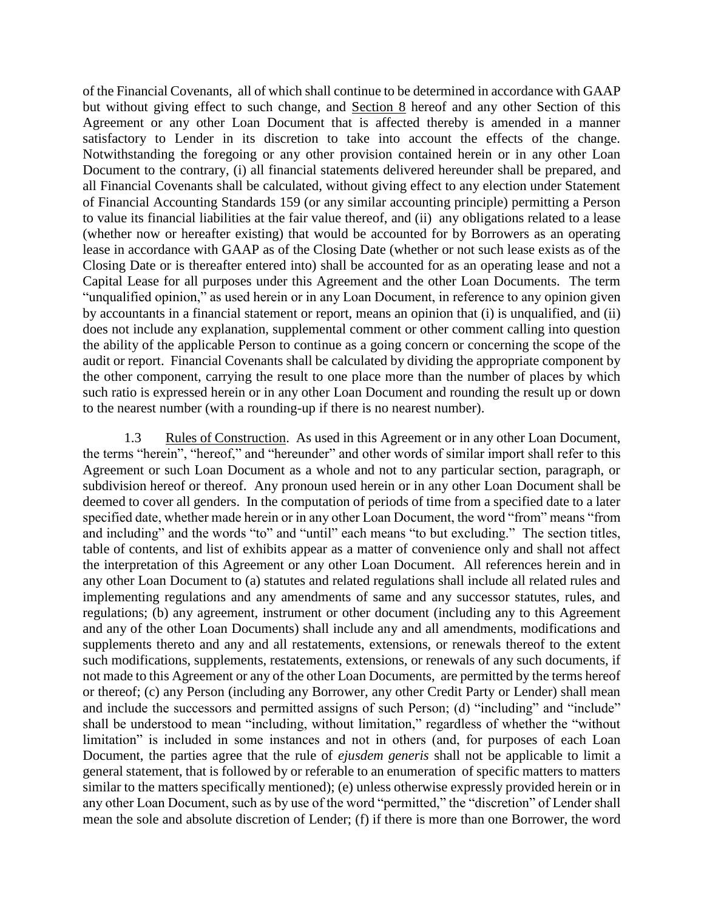of the Financial Covenants, all of which shall continue to be determined in accordance with GAAP but without giving effect to such change, and Section 8 hereof and any other Section of this Agreement or any other Loan Document that is affected thereby is amended in a manner satisfactory to Lender in its discretion to take into account the effects of the change. Notwithstanding the foregoing or any other provision contained herein or in any other Loan Document to the contrary, (i) all financial statements delivered hereunder shall be prepared, and all Financial Covenants shall be calculated, without giving effect to any election under Statement of Financial Accounting Standards 159 (or any similar accounting principle) permitting a Person to value its financial liabilities at the fair value thereof, and (ii) any obligations related to a lease (whether now or hereafter existing) that would be accounted for by Borrowers as an operating lease in accordance with GAAP as of the Closing Date (whether or not such lease exists as of the Closing Date or is thereafter entered into) shall be accounted for as an operating lease and not a Capital Lease for all purposes under this Agreement and the other Loan Documents. The term "unqualified opinion," as used herein or in any Loan Document, in reference to any opinion given by accountants in a financial statement or report, means an opinion that (i) is unqualified, and (ii) does not include any explanation, supplemental comment or other comment calling into question the ability of the applicable Person to continue as a going concern or concerning the scope of the audit or report. Financial Covenants shall be calculated by dividing the appropriate component by the other component, carrying the result to one place more than the number of places by which such ratio is expressed herein or in any other Loan Document and rounding the result up or down to the nearest number (with a rounding-up if there is no nearest number).

1.3 Rules of Construction. As used in this Agreement or in any other Loan Document, the terms "herein", "hereof," and "hereunder" and other words of similar import shall refer to this Agreement or such Loan Document as a whole and not to any particular section, paragraph, or subdivision hereof or thereof. Any pronoun used herein or in any other Loan Document shall be deemed to cover all genders. In the computation of periods of time from a specified date to a later specified date, whether made herein or in any other Loan Document, the word "from" means "from and including" and the words "to" and "until" each means "to but excluding." The section titles, table of contents, and list of exhibits appear as a matter of convenience only and shall not affect the interpretation of this Agreement or any other Loan Document. All references herein and in any other Loan Document to (a) statutes and related regulations shall include all related rules and implementing regulations and any amendments of same and any successor statutes, rules, and regulations; (b) any agreement, instrument or other document (including any to this Agreement and any of the other Loan Documents) shall include any and all amendments, modifications and supplements thereto and any and all restatements, extensions, or renewals thereof to the extent such modifications, supplements, restatements, extensions, or renewals of any such documents, if not made to this Agreement or any of the other Loan Documents, are permitted by the terms hereof or thereof; (c) any Person (including any Borrower, any other Credit Party or Lender) shall mean and include the successors and permitted assigns of such Person; (d) "including" and "include" shall be understood to mean "including, without limitation," regardless of whether the "without limitation" is included in some instances and not in others (and, for purposes of each Loan Document, the parties agree that the rule of *ejusdem generis* shall not be applicable to limit a general statement, that is followed by or referable to an enumeration of specific matters to matters similar to the matters specifically mentioned); (e) unless otherwise expressly provided herein or in any other Loan Document, such as by use of the word "permitted," the "discretion" of Lender shall mean the sole and absolute discretion of Lender; (f) if there is more than one Borrower, the word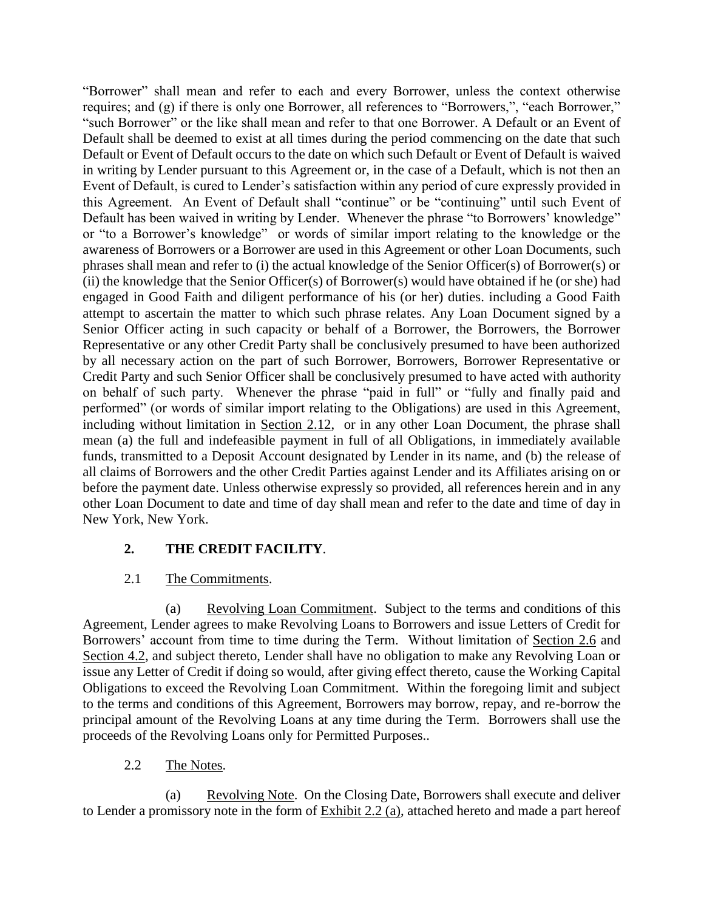"Borrower" shall mean and refer to each and every Borrower, unless the context otherwise requires; and (g) if there is only one Borrower, all references to "Borrowers,", "each Borrower," "such Borrower" or the like shall mean and refer to that one Borrower. A Default or an Event of Default shall be deemed to exist at all times during the period commencing on the date that such Default or Event of Default occurs to the date on which such Default or Event of Default is waived in writing by Lender pursuant to this Agreement or, in the case of a Default, which is not then an Event of Default, is cured to Lender's satisfaction within any period of cure expressly provided in this Agreement. An Event of Default shall "continue" or be "continuing" until such Event of Default has been waived in writing by Lender. Whenever the phrase "to Borrowers' knowledge" or "to a Borrower's knowledge" or words of similar import relating to the knowledge or the awareness of Borrowers or a Borrower are used in this Agreement or other Loan Documents, such phrases shall mean and refer to (i) the actual knowledge of the Senior Officer(s) of Borrower(s) or (ii) the knowledge that the Senior Officer(s) of Borrower(s) would have obtained if he (or she) had engaged in Good Faith and diligent performance of his (or her) duties. including a Good Faith attempt to ascertain the matter to which such phrase relates. Any Loan Document signed by a Senior Officer acting in such capacity or behalf of a Borrower, the Borrowers, the Borrower Representative or any other Credit Party shall be conclusively presumed to have been authorized by all necessary action on the part of such Borrower, Borrowers, Borrower Representative or Credit Party and such Senior Officer shall be conclusively presumed to have acted with authority on behalf of such party. Whenever the phrase "paid in full" or "fully and finally paid and performed" (or words of similar import relating to the Obligations) are used in this Agreement, including without limitation in Section 2.12, or in any other Loan Document, the phrase shall mean (a) the full and indefeasible payment in full of all Obligations, in immediately available funds, transmitted to a Deposit Account designated by Lender in its name, and (b) the release of all claims of Borrowers and the other Credit Parties against Lender and its Affiliates arising on or before the payment date. Unless otherwise expressly so provided, all references herein and in any other Loan Document to date and time of day shall mean and refer to the date and time of day in New York, New York.

### **2. THE CREDIT FACILITY**.

#### 2.1 The Commitments.

(a) Revolving Loan Commitment. Subject to the terms and conditions of this Agreement, Lender agrees to make Revolving Loans to Borrowers and issue Letters of Credit for Borrowers' account from time to time during the Term. Without limitation of Section 2.6 and Section 4.2, and subject thereto, Lender shall have no obligation to make any Revolving Loan or issue any Letter of Credit if doing so would, after giving effect thereto, cause the Working Capital Obligations to exceed the Revolving Loan Commitment. Within the foregoing limit and subject to the terms and conditions of this Agreement, Borrowers may borrow, repay, and re-borrow the principal amount of the Revolving Loans at any time during the Term. Borrowers shall use the proceeds of the Revolving Loans only for Permitted Purposes..

#### 2.2 The Notes.

(a) Revolving Note. On the Closing Date, Borrowers shall execute and deliver to Lender a promissory note in the form of Exhibit 2.2 (a), attached hereto and made a part hereof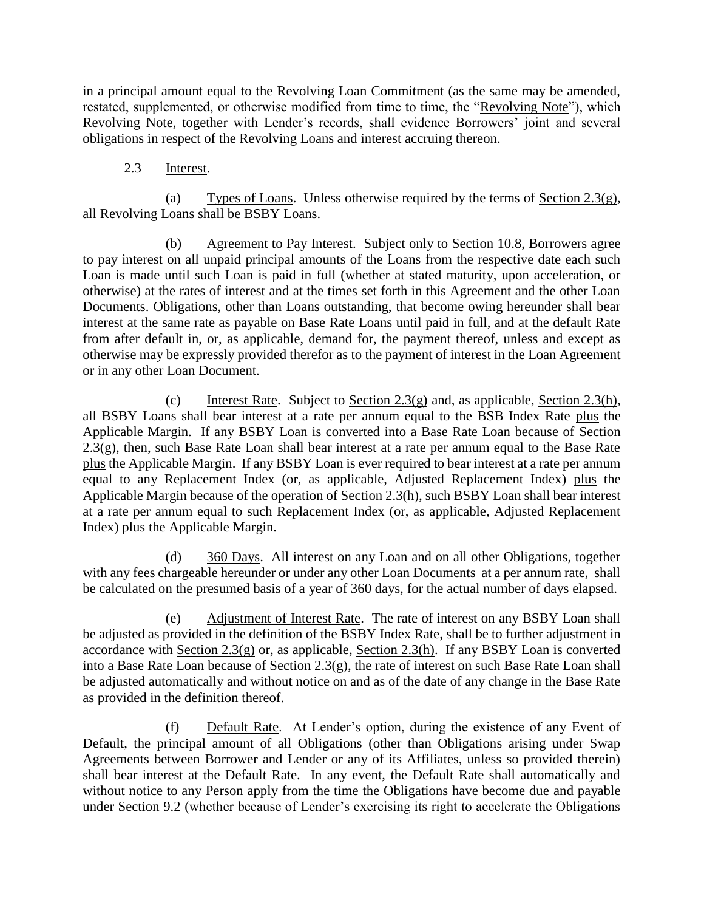in a principal amount equal to the Revolving Loan Commitment (as the same may be amended, restated, supplemented, or otherwise modified from time to time, the "Revolving Note"), which Revolving Note, together with Lender's records, shall evidence Borrowers' joint and several obligations in respect of the Revolving Loans and interest accruing thereon.

#### 2.3 Interest.

(a) Types of Loans. Unless otherwise required by the terms of Section  $2.3(g)$ , all Revolving Loans shall be BSBY Loans.

(b) Agreement to Pay Interest. Subject only to Section 10.8, Borrowers agree to pay interest on all unpaid principal amounts of the Loans from the respective date each such Loan is made until such Loan is paid in full (whether at stated maturity, upon acceleration, or otherwise) at the rates of interest and at the times set forth in this Agreement and the other Loan Documents. Obligations, other than Loans outstanding, that become owing hereunder shall bear interest at the same rate as payable on Base Rate Loans until paid in full, and at the default Rate from after default in, or, as applicable, demand for, the payment thereof, unless and except as otherwise may be expressly provided therefor as to the payment of interest in the Loan Agreement or in any other Loan Document.

(c) Interest Rate. Subject to Section 2.3(g) and, as applicable, Section 2.3(h), all BSBY Loans shall bear interest at a rate per annum equal to the BSB Index Rate plus the Applicable Margin. If any BSBY Loan is converted into a Base Rate Loan because of Section 2.3(g), then, such Base Rate Loan shall bear interest at a rate per annum equal to the Base Rate plus the Applicable Margin. If any BSBY Loan is ever required to bear interest at a rate per annum equal to any Replacement Index (or, as applicable, Adjusted Replacement Index) plus the Applicable Margin because of the operation of Section 2.3(h), such BSBY Loan shall bear interest at a rate per annum equal to such Replacement Index (or, as applicable, Adjusted Replacement Index) plus the Applicable Margin.

(d) 360 Days. All interest on any Loan and on all other Obligations, together with any fees chargeable hereunder or under any other Loan Documents at a per annum rate, shall be calculated on the presumed basis of a year of 360 days, for the actual number of days elapsed.

(e) Adjustment of Interest Rate. The rate of interest on any BSBY Loan shall be adjusted as provided in the definition of the BSBY Index Rate, shall be to further adjustment in accordance with Section  $2.3(g)$  or, as applicable, Section  $2.3(h)$ . If any BSBY Loan is converted into a Base Rate Loan because of Section 2.3(g), the rate of interest on such Base Rate Loan shall be adjusted automatically and without notice on and as of the date of any change in the Base Rate as provided in the definition thereof.

(f) Default Rate. At Lender's option, during the existence of any Event of Default, the principal amount of all Obligations (other than Obligations arising under Swap Agreements between Borrower and Lender or any of its Affiliates, unless so provided therein) shall bear interest at the Default Rate. In any event, the Default Rate shall automatically and without notice to any Person apply from the time the Obligations have become due and payable under Section 9.2 (whether because of Lender's exercising its right to accelerate the Obligations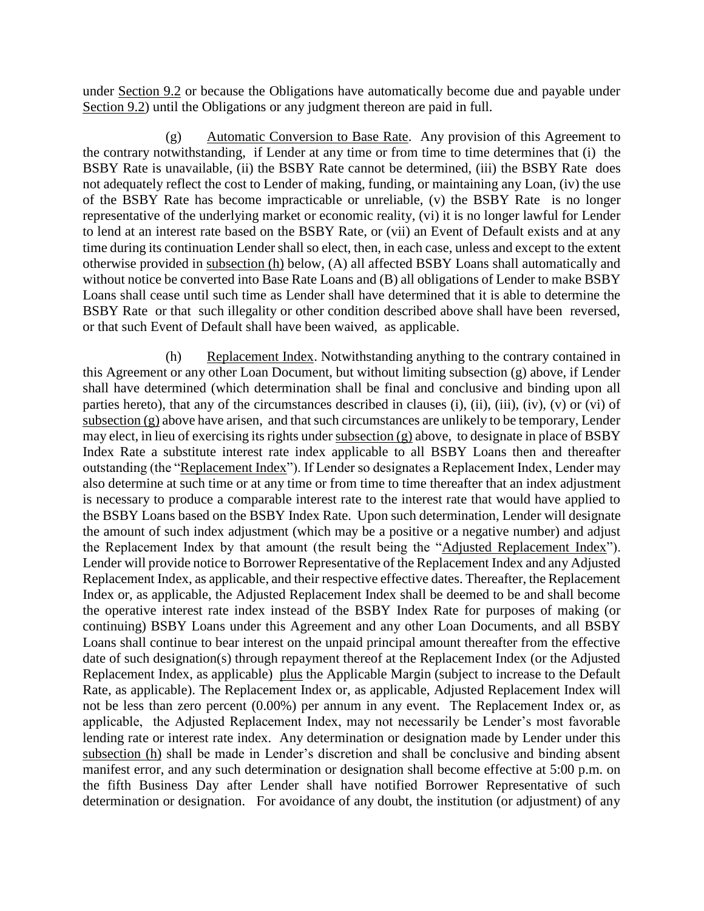under Section 9.2 or because the Obligations have automatically become due and payable under Section 9.2) until the Obligations or any judgment thereon are paid in full.

(g) Automatic Conversion to Base Rate. Any provision of this Agreement to the contrary notwithstanding, if Lender at any time or from time to time determines that (i) the BSBY Rate is unavailable, (ii) the BSBY Rate cannot be determined, (iii) the BSBY Rate does not adequately reflect the cost to Lender of making, funding, or maintaining any Loan, (iv) the use of the BSBY Rate has become impracticable or unreliable, (v) the BSBY Rate is no longer representative of the underlying market or economic reality, (vi) it is no longer lawful for Lender to lend at an interest rate based on the BSBY Rate, or (vii) an Event of Default exists and at any time during its continuation Lender shall so elect, then, in each case, unless and except to the extent otherwise provided in subsection (h) below, (A) all affected BSBY Loans shall automatically and without notice be converted into Base Rate Loans and (B) all obligations of Lender to make BSBY Loans shall cease until such time as Lender shall have determined that it is able to determine the BSBY Rate or that such illegality or other condition described above shall have been reversed, or that such Event of Default shall have been waived, as applicable.

(h) Replacement Index. Notwithstanding anything to the contrary contained in this Agreement or any other Loan Document, but without limiting subsection (g) above, if Lender shall have determined (which determination shall be final and conclusive and binding upon all parties hereto), that any of the circumstances described in clauses (i), (ii), (iii), (iv), (v) or (vi) of subsection (g) above have arisen, and that such circumstances are unlikely to be temporary, Lender may elect, in lieu of exercising its rights under subsection (g) above, to designate in place of BSBY Index Rate a substitute interest rate index applicable to all BSBY Loans then and thereafter outstanding (the "Replacement Index"). If Lender so designates a Replacement Index, Lender may also determine at such time or at any time or from time to time thereafter that an index adjustment is necessary to produce a comparable interest rate to the interest rate that would have applied to the BSBY Loans based on the BSBY Index Rate. Upon such determination, Lender will designate the amount of such index adjustment (which may be a positive or a negative number) and adjust the Replacement Index by that amount (the result being the "Adjusted Replacement Index"). Lender will provide notice to Borrower Representative of the Replacement Index and any Adjusted Replacement Index, as applicable, and their respective effective dates. Thereafter, the Replacement Index or, as applicable, the Adjusted Replacement Index shall be deemed to be and shall become the operative interest rate index instead of the BSBY Index Rate for purposes of making (or continuing) BSBY Loans under this Agreement and any other Loan Documents, and all BSBY Loans shall continue to bear interest on the unpaid principal amount thereafter from the effective date of such designation(s) through repayment thereof at the Replacement Index (or the Adjusted Replacement Index, as applicable) plus the Applicable Margin (subject to increase to the Default Rate, as applicable). The Replacement Index or, as applicable, Adjusted Replacement Index will not be less than zero percent (0.00%) per annum in any event. The Replacement Index or, as applicable, the Adjusted Replacement Index, may not necessarily be Lender's most favorable lending rate or interest rate index. Any determination or designation made by Lender under this subsection (h) shall be made in Lender's discretion and shall be conclusive and binding absent manifest error, and any such determination or designation shall become effective at 5:00 p.m. on the fifth Business Day after Lender shall have notified Borrower Representative of such determination or designation. For avoidance of any doubt, the institution (or adjustment) of any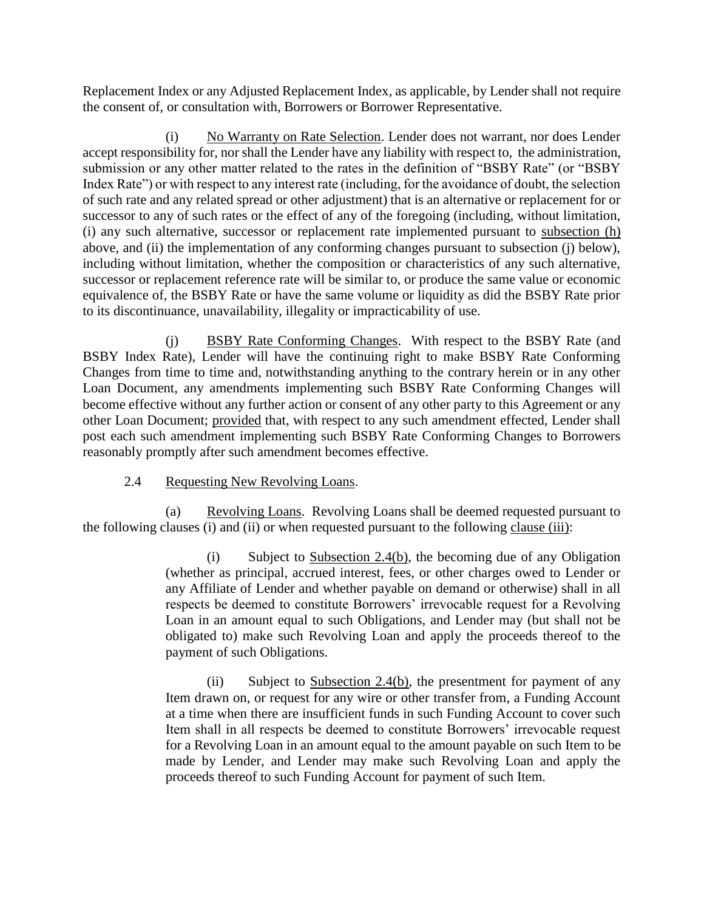Replacement Index or any Adjusted Replacement Index, as applicable, by Lender shall not require the consent of, or consultation with, Borrowers or Borrower Representative.

(i) No Warranty on Rate Selection. Lender does not warrant, nor does Lender accept responsibility for, nor shall the Lender have any liability with respect to, the administration, submission or any other matter related to the rates in the definition of "BSBY Rate" (or "BSBY Index Rate") or with respect to any interest rate (including, for the avoidance of doubt, the selection of such rate and any related spread or other adjustment) that is an alternative or replacement for or successor to any of such rates or the effect of any of the foregoing (including, without limitation, (i) any such alternative, successor or replacement rate implemented pursuant to subsection (h) above, and (ii) the implementation of any conforming changes pursuant to subsection (j) below), including without limitation, whether the composition or characteristics of any such alternative, successor or replacement reference rate will be similar to, or produce the same value or economic equivalence of, the BSBY Rate or have the same volume or liquidity as did the BSBY Rate prior to its discontinuance, unavailability, illegality or impracticability of use.

(j) BSBY Rate Conforming Changes. With respect to the BSBY Rate (and BSBY Index Rate), Lender will have the continuing right to make BSBY Rate Conforming Changes from time to time and, notwithstanding anything to the contrary herein or in any other Loan Document, any amendments implementing such BSBY Rate Conforming Changes will become effective without any further action or consent of any other party to this Agreement or any other Loan Document; provided that, with respect to any such amendment effected, Lender shall post each such amendment implementing such BSBY Rate Conforming Changes to Borrowers reasonably promptly after such amendment becomes effective.

#### 2.4 Requesting New Revolving Loans.

(a) Revolving Loans. Revolving Loans shall be deemed requested pursuant to the following clauses (i) and (ii) or when requested pursuant to the following clause (iii):

> (i) Subject to Subsection 2.4(b), the becoming due of any Obligation (whether as principal, accrued interest, fees, or other charges owed to Lender or any Affiliate of Lender and whether payable on demand or otherwise) shall in all respects be deemed to constitute Borrowers' irrevocable request for a Revolving Loan in an amount equal to such Obligations, and Lender may (but shall not be obligated to) make such Revolving Loan and apply the proceeds thereof to the payment of such Obligations.

> (ii) Subject to Subsection 2.4(b), the presentment for payment of any Item drawn on, or request for any wire or other transfer from, a Funding Account at a time when there are insufficient funds in such Funding Account to cover such Item shall in all respects be deemed to constitute Borrowers' irrevocable request for a Revolving Loan in an amount equal to the amount payable on such Item to be made by Lender, and Lender may make such Revolving Loan and apply the proceeds thereof to such Funding Account for payment of such Item.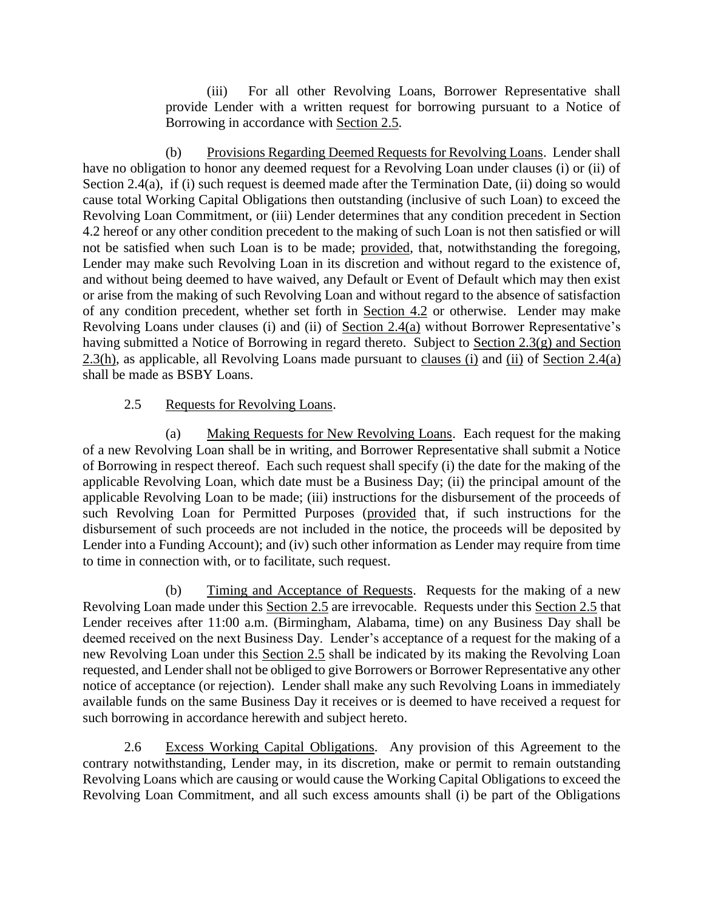(iii) For all other Revolving Loans, Borrower Representative shall provide Lender with a written request for borrowing pursuant to a Notice of Borrowing in accordance with Section 2.5.

(b) Provisions Regarding Deemed Requests for Revolving Loans. Lender shall have no obligation to honor any deemed request for a Revolving Loan under clauses (i) or (ii) of Section 2.4(a), if (i) such request is deemed made after the Termination Date, (ii) doing so would cause total Working Capital Obligations then outstanding (inclusive of such Loan) to exceed the Revolving Loan Commitment, or (iii) Lender determines that any condition precedent in Section 4.2 hereof or any other condition precedent to the making of such Loan is not then satisfied or will not be satisfied when such Loan is to be made; provided, that, notwithstanding the foregoing, Lender may make such Revolving Loan in its discretion and without regard to the existence of, and without being deemed to have waived, any Default or Event of Default which may then exist or arise from the making of such Revolving Loan and without regard to the absence of satisfaction of any condition precedent, whether set forth in Section 4.2 or otherwise. Lender may make Revolving Loans under clauses (i) and (ii) of Section 2.4(a) without Borrower Representative's having submitted a Notice of Borrowing in regard thereto. Subject to Section 2.3(g) and Section 2.3(h), as applicable, all Revolving Loans made pursuant to clauses (i) and (ii) of Section 2.4(a) shall be made as BSBY Loans.

#### 2.5 Requests for Revolving Loans.

(a) Making Requests for New Revolving Loans. Each request for the making of a new Revolving Loan shall be in writing, and Borrower Representative shall submit a Notice of Borrowing in respect thereof. Each such request shall specify (i) the date for the making of the applicable Revolving Loan, which date must be a Business Day; (ii) the principal amount of the applicable Revolving Loan to be made; (iii) instructions for the disbursement of the proceeds of such Revolving Loan for Permitted Purposes (provided that, if such instructions for the disbursement of such proceeds are not included in the notice, the proceeds will be deposited by Lender into a Funding Account); and (iv) such other information as Lender may require from time to time in connection with, or to facilitate, such request.

(b) Timing and Acceptance of Requests. Requests for the making of a new Revolving Loan made under this Section 2.5 are irrevocable. Requests under this Section 2.5 that Lender receives after 11:00 a.m. (Birmingham, Alabama, time) on any Business Day shall be deemed received on the next Business Day. Lender's acceptance of a request for the making of a new Revolving Loan under this Section 2.5 shall be indicated by its making the Revolving Loan requested, and Lender shall not be obliged to give Borrowers or Borrower Representative any other notice of acceptance (or rejection). Lender shall make any such Revolving Loans in immediately available funds on the same Business Day it receives or is deemed to have received a request for such borrowing in accordance herewith and subject hereto.

2.6 Excess Working Capital Obligations. Any provision of this Agreement to the contrary notwithstanding, Lender may, in its discretion, make or permit to remain outstanding Revolving Loans which are causing or would cause the Working Capital Obligations to exceed the Revolving Loan Commitment, and all such excess amounts shall (i) be part of the Obligations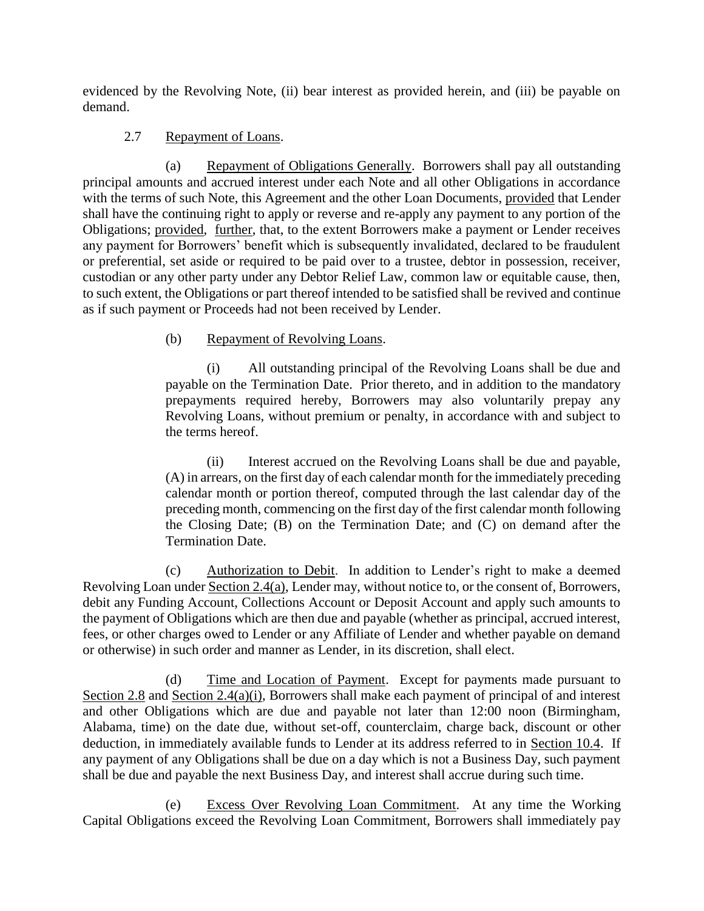evidenced by the Revolving Note, (ii) bear interest as provided herein, and (iii) be payable on demand.

#### 2.7 Repayment of Loans.

(a) Repayment of Obligations Generally. Borrowers shall pay all outstanding principal amounts and accrued interest under each Note and all other Obligations in accordance with the terms of such Note, this Agreement and the other Loan Documents, provided that Lender shall have the continuing right to apply or reverse and re-apply any payment to any portion of the Obligations; provided, further, that, to the extent Borrowers make a payment or Lender receives any payment for Borrowers' benefit which is subsequently invalidated, declared to be fraudulent or preferential, set aside or required to be paid over to a trustee, debtor in possession, receiver, custodian or any other party under any Debtor Relief Law, common law or equitable cause, then, to such extent, the Obligations or part thereof intended to be satisfied shall be revived and continue as if such payment or Proceeds had not been received by Lender.

#### (b) Repayment of Revolving Loans.

(i) All outstanding principal of the Revolving Loans shall be due and payable on the Termination Date. Prior thereto, and in addition to the mandatory prepayments required hereby, Borrowers may also voluntarily prepay any Revolving Loans, without premium or penalty, in accordance with and subject to the terms hereof.

(ii) Interest accrued on the Revolving Loans shall be due and payable, (A) in arrears, on the first day of each calendar month for the immediately preceding calendar month or portion thereof, computed through the last calendar day of the preceding month, commencing on the first day of the first calendar month following the Closing Date; (B) on the Termination Date; and (C) on demand after the Termination Date.

(c) Authorization to Debit. In addition to Lender's right to make a deemed Revolving Loan under Section 2.4(a), Lender may, without notice to, or the consent of, Borrowers, debit any Funding Account, Collections Account or Deposit Account and apply such amounts to the payment of Obligations which are then due and payable (whether as principal, accrued interest, fees, or other charges owed to Lender or any Affiliate of Lender and whether payable on demand or otherwise) in such order and manner as Lender, in its discretion, shall elect.

(d) Time and Location of Payment. Except for payments made pursuant to Section 2.8 and Section 2.4(a)(i), Borrowers shall make each payment of principal of and interest and other Obligations which are due and payable not later than 12:00 noon (Birmingham, Alabama, time) on the date due, without set-off, counterclaim, charge back, discount or other deduction, in immediately available funds to Lender at its address referred to in Section 10.4. If any payment of any Obligations shall be due on a day which is not a Business Day, such payment shall be due and payable the next Business Day, and interest shall accrue during such time.

(e) Excess Over Revolving Loan Commitment. At any time the Working Capital Obligations exceed the Revolving Loan Commitment, Borrowers shall immediately pay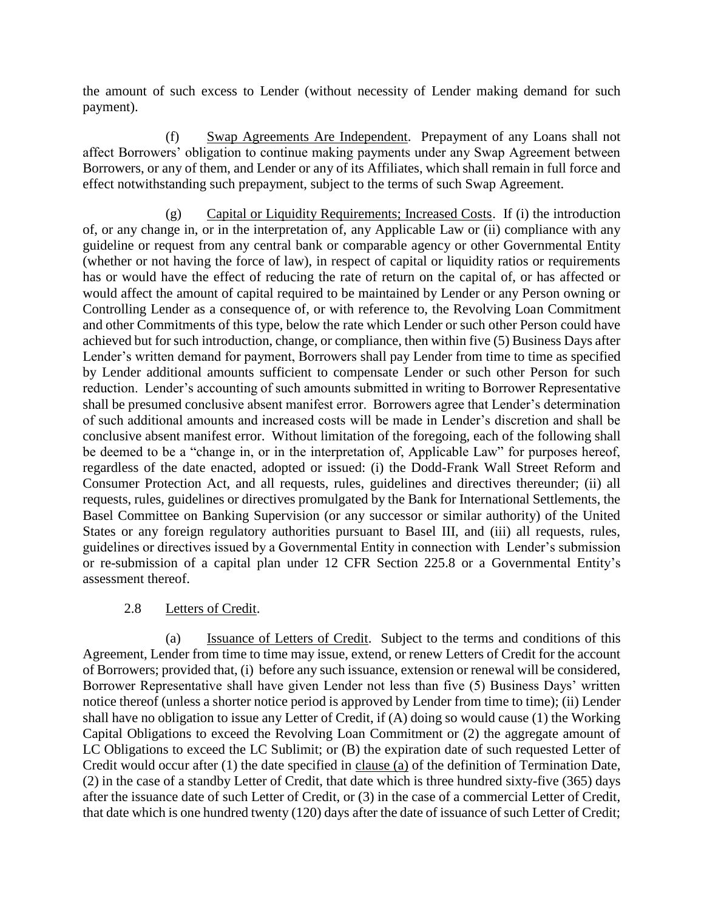the amount of such excess to Lender (without necessity of Lender making demand for such payment).

(f) Swap Agreements Are Independent. Prepayment of any Loans shall not affect Borrowers' obligation to continue making payments under any Swap Agreement between Borrowers, or any of them, and Lender or any of its Affiliates, which shall remain in full force and effect notwithstanding such prepayment, subject to the terms of such Swap Agreement.

(g) Capital or Liquidity Requirements; Increased Costs. If (i) the introduction of, or any change in, or in the interpretation of, any Applicable Law or (ii) compliance with any guideline or request from any central bank or comparable agency or other Governmental Entity (whether or not having the force of law), in respect of capital or liquidity ratios or requirements has or would have the effect of reducing the rate of return on the capital of, or has affected or would affect the amount of capital required to be maintained by Lender or any Person owning or Controlling Lender as a consequence of, or with reference to, the Revolving Loan Commitment and other Commitments of this type, below the rate which Lender or such other Person could have achieved but for such introduction, change, or compliance, then within five (5) Business Days after Lender's written demand for payment, Borrowers shall pay Lender from time to time as specified by Lender additional amounts sufficient to compensate Lender or such other Person for such reduction. Lender's accounting of such amounts submitted in writing to Borrower Representative shall be presumed conclusive absent manifest error. Borrowers agree that Lender's determination of such additional amounts and increased costs will be made in Lender's discretion and shall be conclusive absent manifest error. Without limitation of the foregoing, each of the following shall be deemed to be a "change in, or in the interpretation of, Applicable Law" for purposes hereof, regardless of the date enacted, adopted or issued: (i) the Dodd-Frank Wall Street Reform and Consumer Protection Act, and all requests, rules, guidelines and directives thereunder; (ii) all requests, rules, guidelines or directives promulgated by the Bank for International Settlements, the Basel Committee on Banking Supervision (or any successor or similar authority) of the United States or any foreign regulatory authorities pursuant to Basel III, and (iii) all requests, rules, guidelines or directives issued by a Governmental Entity in connection with Lender's submission or re-submission of a capital plan under 12 CFR Section 225.8 or a Governmental Entity's assessment thereof.

#### 2.8 Letters of Credit.

(a) Issuance of Letters of Credit. Subject to the terms and conditions of this Agreement, Lender from time to time may issue, extend, or renew Letters of Credit for the account of Borrowers; provided that, (i) before any such issuance, extension or renewal will be considered, Borrower Representative shall have given Lender not less than five (5) Business Days' written notice thereof (unless a shorter notice period is approved by Lender from time to time); (ii) Lender shall have no obligation to issue any Letter of Credit, if (A) doing so would cause (1) the Working Capital Obligations to exceed the Revolving Loan Commitment or (2) the aggregate amount of LC Obligations to exceed the LC Sublimit; or (B) the expiration date of such requested Letter of Credit would occur after (1) the date specified in clause (a) of the definition of Termination Date, (2) in the case of a standby Letter of Credit, that date which is three hundred sixty-five (365) days after the issuance date of such Letter of Credit, or (3) in the case of a commercial Letter of Credit, that date which is one hundred twenty (120) days after the date of issuance of such Letter of Credit;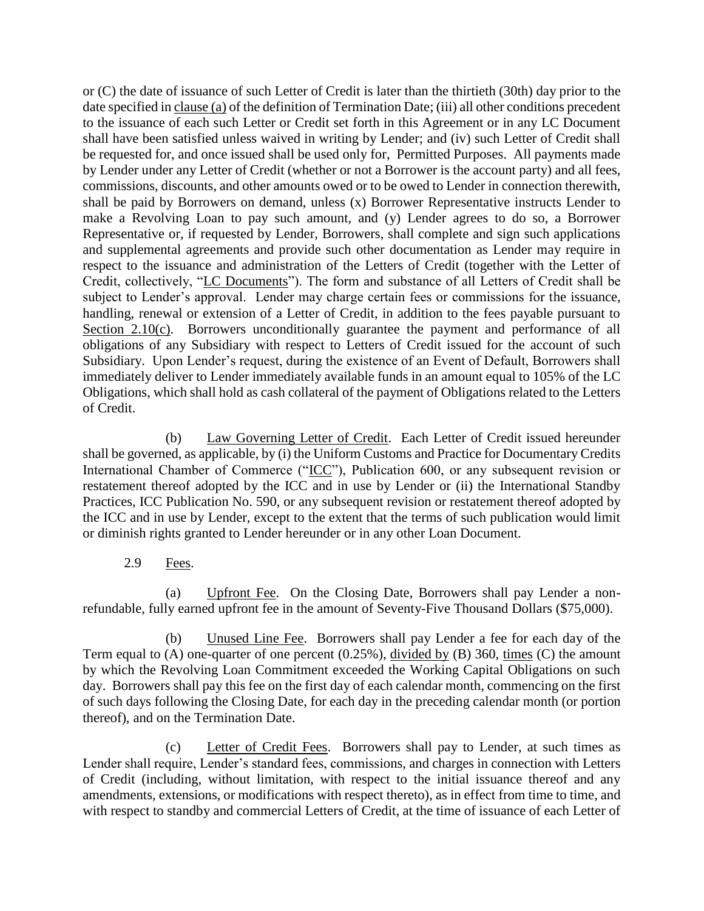or (C) the date of issuance of such Letter of Credit is later than the thirtieth (30th) day prior to the date specified in clause (a) of the definition of Termination Date; (iii) all other conditions precedent to the issuance of each such Letter or Credit set forth in this Agreement or in any LC Document shall have been satisfied unless waived in writing by Lender; and (iv) such Letter of Credit shall be requested for, and once issued shall be used only for, Permitted Purposes. All payments made by Lender under any Letter of Credit (whether or not a Borrower is the account party) and all fees, commissions, discounts, and other amounts owed or to be owed to Lender in connection therewith, shall be paid by Borrowers on demand, unless (x) Borrower Representative instructs Lender to make a Revolving Loan to pay such amount, and (y) Lender agrees to do so, a Borrower Representative or, if requested by Lender, Borrowers, shall complete and sign such applications and supplemental agreements and provide such other documentation as Lender may require in respect to the issuance and administration of the Letters of Credit (together with the Letter of Credit, collectively, "LC Documents"). The form and substance of all Letters of Credit shall be subject to Lender's approval. Lender may charge certain fees or commissions for the issuance, handling, renewal or extension of a Letter of Credit, in addition to the fees payable pursuant to Section 2.10(c). Borrowers unconditionally guarantee the payment and performance of all obligations of any Subsidiary with respect to Letters of Credit issued for the account of such Subsidiary. Upon Lender's request, during the existence of an Event of Default, Borrowers shall immediately deliver to Lender immediately available funds in an amount equal to 105% of the LC Obligations, which shall hold as cash collateral of the payment of Obligations related to the Letters of Credit.

(b) Law Governing Letter of Credit. Each Letter of Credit issued hereunder shall be governed, as applicable, by (i) the Uniform Customs and Practice for Documentary Credits International Chamber of Commerce ("ICC"), Publication 600, or any subsequent revision or restatement thereof adopted by the ICC and in use by Lender or (ii) the International Standby Practices, ICC Publication No. 590, or any subsequent revision or restatement thereof adopted by the ICC and in use by Lender, except to the extent that the terms of such publication would limit or diminish rights granted to Lender hereunder or in any other Loan Document.

2.9 Fees.

(a) Upfront Fee. On the Closing Date, Borrowers shall pay Lender a nonrefundable, fully earned upfront fee in the amount of Seventy-Five Thousand Dollars (\$75,000).

(b) Unused Line Fee. Borrowers shall pay Lender a fee for each day of the Term equal to (A) one-quarter of one percent (0.25%), divided by (B) 360, times (C) the amount by which the Revolving Loan Commitment exceeded the Working Capital Obligations on such day. Borrowers shall pay this fee on the first day of each calendar month, commencing on the first of such days following the Closing Date, for each day in the preceding calendar month (or portion thereof), and on the Termination Date.

(c) Letter of Credit Fees. Borrowers shall pay to Lender, at such times as Lender shall require, Lender's standard fees, commissions, and charges in connection with Letters of Credit (including, without limitation, with respect to the initial issuance thereof and any amendments, extensions, or modifications with respect thereto), as in effect from time to time, and with respect to standby and commercial Letters of Credit, at the time of issuance of each Letter of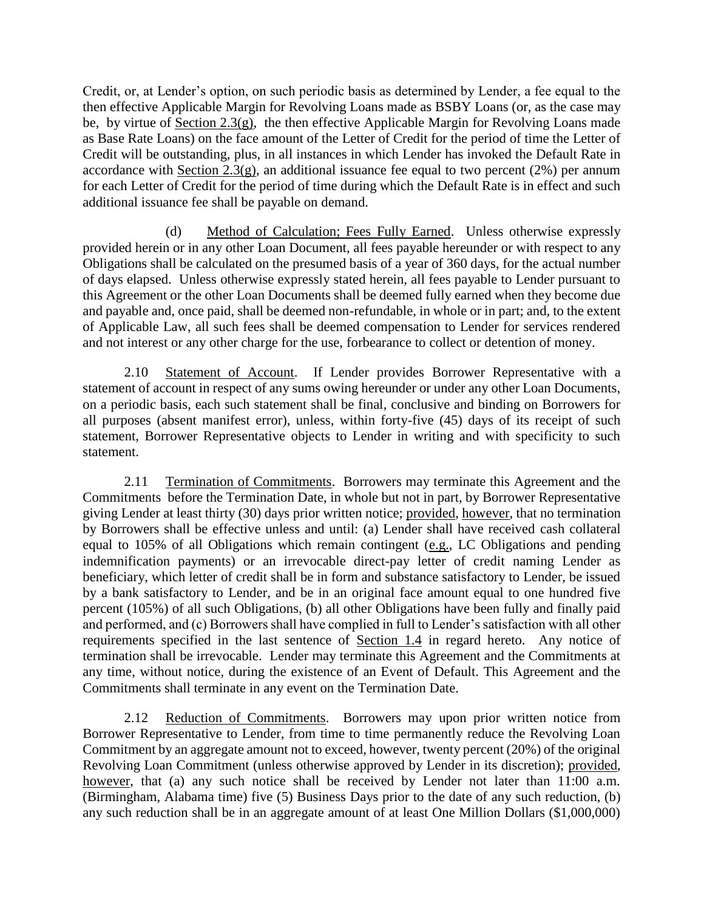Credit, or, at Lender's option, on such periodic basis as determined by Lender, a fee equal to the then effective Applicable Margin for Revolving Loans made as BSBY Loans (or, as the case may be, by virtue of Section 2.3(g), the then effective Applicable Margin for Revolving Loans made as Base Rate Loans) on the face amount of the Letter of Credit for the period of time the Letter of Credit will be outstanding, plus, in all instances in which Lender has invoked the Default Rate in accordance with Section  $2.3(g)$ , an additional issuance fee equal to two percent (2%) per annum for each Letter of Credit for the period of time during which the Default Rate is in effect and such additional issuance fee shall be payable on demand.

(d) Method of Calculation; Fees Fully Earned. Unless otherwise expressly provided herein or in any other Loan Document, all fees payable hereunder or with respect to any Obligations shall be calculated on the presumed basis of a year of 360 days, for the actual number of days elapsed. Unless otherwise expressly stated herein, all fees payable to Lender pursuant to this Agreement or the other Loan Documents shall be deemed fully earned when they become due and payable and, once paid, shall be deemed non-refundable, in whole or in part; and, to the extent of Applicable Law, all such fees shall be deemed compensation to Lender for services rendered and not interest or any other charge for the use, forbearance to collect or detention of money.

2.10 Statement of Account. If Lender provides Borrower Representative with a statement of account in respect of any sums owing hereunder or under any other Loan Documents, on a periodic basis, each such statement shall be final, conclusive and binding on Borrowers for all purposes (absent manifest error), unless, within forty-five (45) days of its receipt of such statement, Borrower Representative objects to Lender in writing and with specificity to such statement.

2.11 Termination of Commitments. Borrowers may terminate this Agreement and the Commitments before the Termination Date, in whole but not in part, by Borrower Representative giving Lender at least thirty (30) days prior written notice; provided, however, that no termination by Borrowers shall be effective unless and until: (a) Lender shall have received cash collateral equal to 105% of all Obligations which remain contingent (e.g., LC Obligations and pending indemnification payments) or an irrevocable direct-pay letter of credit naming Lender as beneficiary, which letter of credit shall be in form and substance satisfactory to Lender, be issued by a bank satisfactory to Lender, and be in an original face amount equal to one hundred five percent (105%) of all such Obligations, (b) all other Obligations have been fully and finally paid and performed, and (c) Borrowers shall have complied in full to Lender's satisfaction with all other requirements specified in the last sentence of Section 1.4 in regard hereto. Any notice of termination shall be irrevocable. Lender may terminate this Agreement and the Commitments at any time, without notice, during the existence of an Event of Default. This Agreement and the Commitments shall terminate in any event on the Termination Date.

2.12 Reduction of Commitments. Borrowers may upon prior written notice from Borrower Representative to Lender, from time to time permanently reduce the Revolving Loan Commitment by an aggregate amount not to exceed, however, twenty percent (20%) of the original Revolving Loan Commitment (unless otherwise approved by Lender in its discretion); provided, however, that (a) any such notice shall be received by Lender not later than 11:00 a.m. (Birmingham, Alabama time) five (5) Business Days prior to the date of any such reduction, (b) any such reduction shall be in an aggregate amount of at least One Million Dollars (\$1,000,000)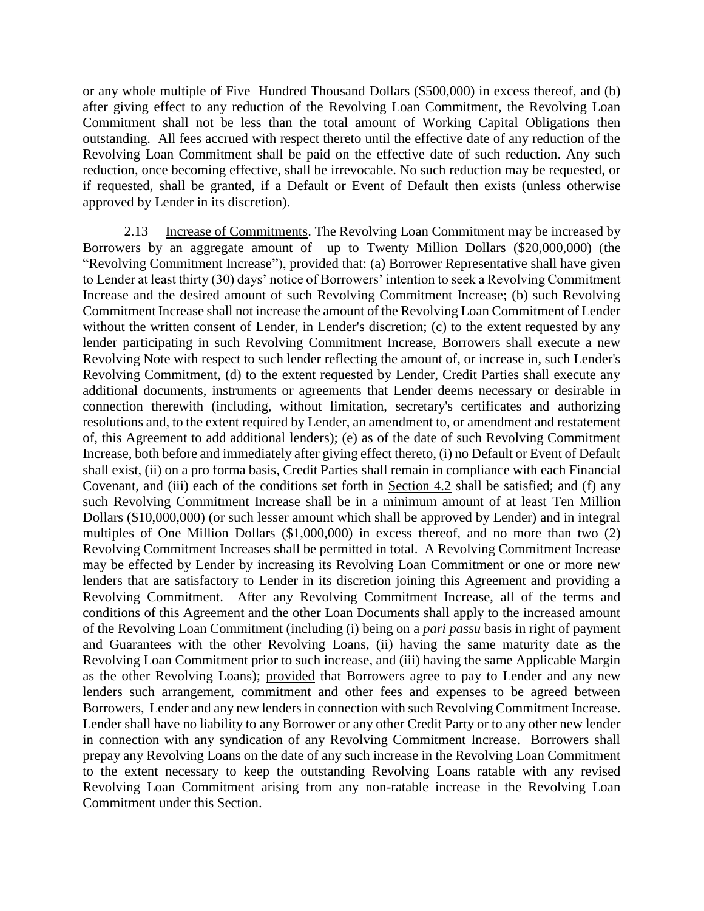or any whole multiple of Five Hundred Thousand Dollars (\$500,000) in excess thereof, and (b) after giving effect to any reduction of the Revolving Loan Commitment, the Revolving Loan Commitment shall not be less than the total amount of Working Capital Obligations then outstanding. All fees accrued with respect thereto until the effective date of any reduction of the Revolving Loan Commitment shall be paid on the effective date of such reduction. Any such reduction, once becoming effective, shall be irrevocable. No such reduction may be requested, or if requested, shall be granted, if a Default or Event of Default then exists (unless otherwise approved by Lender in its discretion).

2.13 Increase of Commitments. The Revolving Loan Commitment may be increased by Borrowers by an aggregate amount of up to Twenty Million Dollars (\$20,000,000) (the "Revolving Commitment Increase"), provided that: (a) Borrower Representative shall have given to Lender at least thirty (30) days' notice of Borrowers' intention to seek a Revolving Commitment Increase and the desired amount of such Revolving Commitment Increase; (b) such Revolving Commitment Increase shall not increase the amount of the Revolving Loan Commitment of Lender without the written consent of Lender, in Lender's discretion; (c) to the extent requested by any lender participating in such Revolving Commitment Increase, Borrowers shall execute a new Revolving Note with respect to such lender reflecting the amount of, or increase in, such Lender's Revolving Commitment, (d) to the extent requested by Lender, Credit Parties shall execute any additional documents, instruments or agreements that Lender deems necessary or desirable in connection therewith (including, without limitation, secretary's certificates and authorizing resolutions and, to the extent required by Lender, an amendment to, or amendment and restatement of, this Agreement to add additional lenders); (e) as of the date of such Revolving Commitment Increase, both before and immediately after giving effect thereto, (i) no Default or Event of Default shall exist, (ii) on a pro forma basis, Credit Parties shall remain in compliance with each Financial Covenant, and (iii) each of the conditions set forth in Section 4.2 shall be satisfied; and (f) any such Revolving Commitment Increase shall be in a minimum amount of at least Ten Million Dollars (\$10,000,000) (or such lesser amount which shall be approved by Lender) and in integral multiples of One Million Dollars (\$1,000,000) in excess thereof, and no more than two (2) Revolving Commitment Increases shall be permitted in total. A Revolving Commitment Increase may be effected by Lender by increasing its Revolving Loan Commitment or one or more new lenders that are satisfactory to Lender in its discretion joining this Agreement and providing a Revolving Commitment. After any Revolving Commitment Increase, all of the terms and conditions of this Agreement and the other Loan Documents shall apply to the increased amount of the Revolving Loan Commitment (including (i) being on a *pari passu* basis in right of payment and Guarantees with the other Revolving Loans, (ii) having the same maturity date as the Revolving Loan Commitment prior to such increase, and (iii) having the same Applicable Margin as the other Revolving Loans); provided that Borrowers agree to pay to Lender and any new lenders such arrangement, commitment and other fees and expenses to be agreed between Borrowers, Lender and any new lenders in connection with such Revolving Commitment Increase. Lender shall have no liability to any Borrower or any other Credit Party or to any other new lender in connection with any syndication of any Revolving Commitment Increase. Borrowers shall prepay any Revolving Loans on the date of any such increase in the Revolving Loan Commitment to the extent necessary to keep the outstanding Revolving Loans ratable with any revised Revolving Loan Commitment arising from any non-ratable increase in the Revolving Loan Commitment under this Section.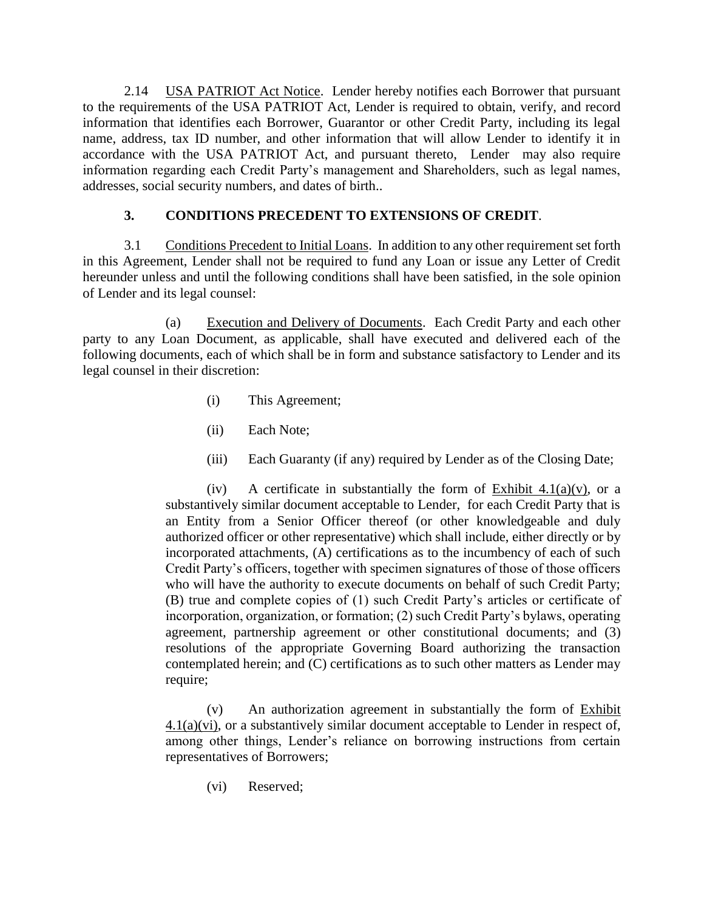2.14 USA PATRIOT Act Notice. Lender hereby notifies each Borrower that pursuant to the requirements of the USA PATRIOT Act, Lender is required to obtain, verify, and record information that identifies each Borrower, Guarantor or other Credit Party, including its legal name, address, tax ID number, and other information that will allow Lender to identify it in accordance with the USA PATRIOT Act, and pursuant thereto, Lender may also require information regarding each Credit Party's management and Shareholders, such as legal names, addresses, social security numbers, and dates of birth..

#### **3. CONDITIONS PRECEDENT TO EXTENSIONS OF CREDIT**.

3.1 Conditions Precedent to Initial Loans. In addition to any other requirement set forth in this Agreement, Lender shall not be required to fund any Loan or issue any Letter of Credit hereunder unless and until the following conditions shall have been satisfied, in the sole opinion of Lender and its legal counsel:

(a) Execution and Delivery of Documents. Each Credit Party and each other party to any Loan Document, as applicable, shall have executed and delivered each of the following documents, each of which shall be in form and substance satisfactory to Lender and its legal counsel in their discretion:

- (i) This Agreement;
- (ii) Each Note;
- (iii) Each Guaranty (if any) required by Lender as of the Closing Date;

(iv) A certificate in substantially the form of Exhibit 4.1(a)(v), or a substantively similar document acceptable to Lender, for each Credit Party that is an Entity from a Senior Officer thereof (or other knowledgeable and duly authorized officer or other representative) which shall include, either directly or by incorporated attachments, (A) certifications as to the incumbency of each of such Credit Party's officers, together with specimen signatures of those of those officers who will have the authority to execute documents on behalf of such Credit Party; (B) true and complete copies of (1) such Credit Party's articles or certificate of incorporation, organization, or formation; (2) such Credit Party's bylaws, operating agreement, partnership agreement or other constitutional documents; and (3) resolutions of the appropriate Governing Board authorizing the transaction contemplated herein; and (C) certifications as to such other matters as Lender may require;

(v) An authorization agreement in substantially the form of Exhibit 4.1(a)(vi), or a substantively similar document acceptable to Lender in respect of, among other things, Lender's reliance on borrowing instructions from certain representatives of Borrowers;

(vi) Reserved;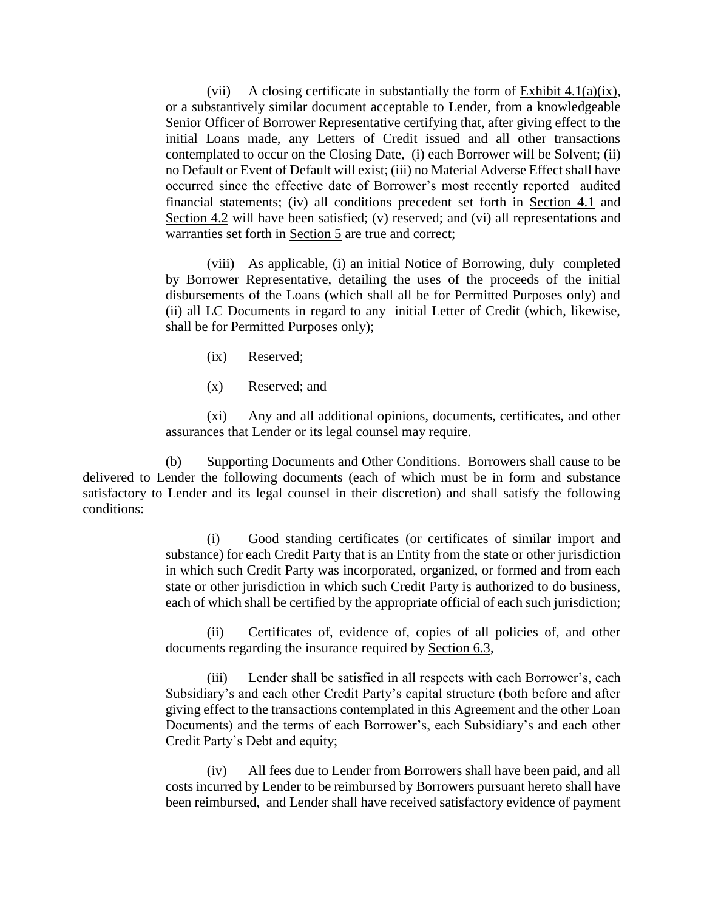(vii) A closing certificate in substantially the form of Exhibit 4.1(a)(ix), or a substantively similar document acceptable to Lender, from a knowledgeable Senior Officer of Borrower Representative certifying that, after giving effect to the initial Loans made, any Letters of Credit issued and all other transactions contemplated to occur on the Closing Date, (i) each Borrower will be Solvent; (ii) no Default or Event of Default will exist; (iii) no Material Adverse Effect shall have occurred since the effective date of Borrower's most recently reported audited financial statements; (iv) all conditions precedent set forth in Section 4.1 and Section 4.2 will have been satisfied; (v) reserved; and (vi) all representations and warranties set forth in Section 5 are true and correct;

(viii) As applicable, (i) an initial Notice of Borrowing, duly completed by Borrower Representative, detailing the uses of the proceeds of the initial disbursements of the Loans (which shall all be for Permitted Purposes only) and (ii) all LC Documents in regard to any initial Letter of Credit (which, likewise, shall be for Permitted Purposes only);

- (ix) Reserved;
- (x) Reserved; and

(xi) Any and all additional opinions, documents, certificates, and other assurances that Lender or its legal counsel may require.

(b) Supporting Documents and Other Conditions. Borrowers shall cause to be delivered to Lender the following documents (each of which must be in form and substance satisfactory to Lender and its legal counsel in their discretion) and shall satisfy the following conditions:

> (i) Good standing certificates (or certificates of similar import and substance) for each Credit Party that is an Entity from the state or other jurisdiction in which such Credit Party was incorporated, organized, or formed and from each state or other jurisdiction in which such Credit Party is authorized to do business, each of which shall be certified by the appropriate official of each such jurisdiction;

> (ii) Certificates of, evidence of, copies of all policies of, and other documents regarding the insurance required by Section 6.3,

> (iii) Lender shall be satisfied in all respects with each Borrower's, each Subsidiary's and each other Credit Party's capital structure (both before and after giving effect to the transactions contemplated in this Agreement and the other Loan Documents) and the terms of each Borrower's, each Subsidiary's and each other Credit Party's Debt and equity;

> (iv) All fees due to Lender from Borrowers shall have been paid, and all costs incurred by Lender to be reimbursed by Borrowers pursuant hereto shall have been reimbursed, and Lender shall have received satisfactory evidence of payment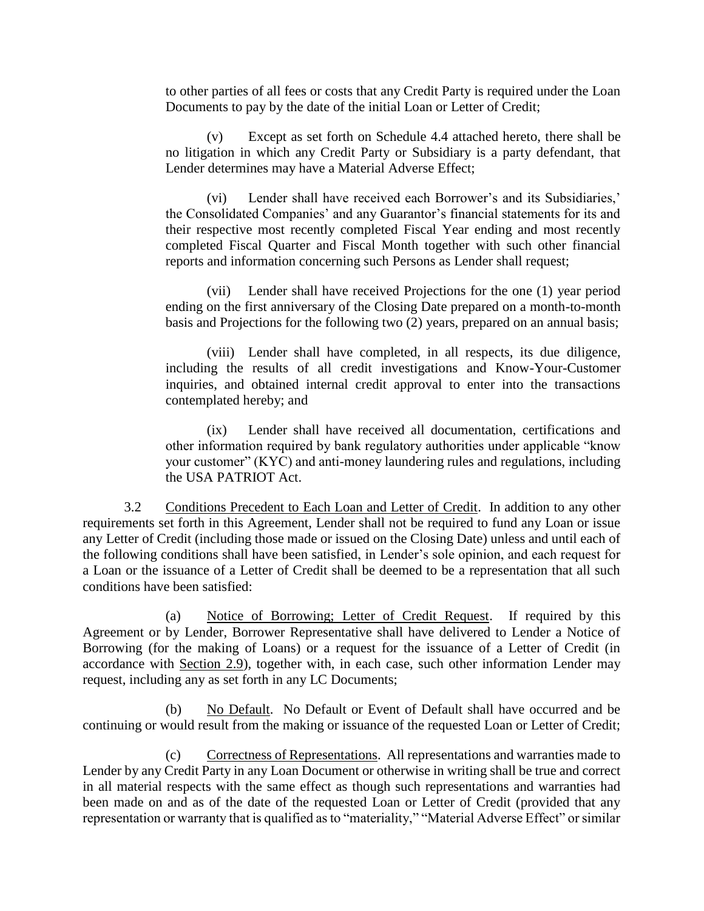to other parties of all fees or costs that any Credit Party is required under the Loan Documents to pay by the date of the initial Loan or Letter of Credit;

(v) Except as set forth on Schedule 4.4 attached hereto, there shall be no litigation in which any Credit Party or Subsidiary is a party defendant, that Lender determines may have a Material Adverse Effect;

(vi) Lender shall have received each Borrower's and its Subsidiaries,' the Consolidated Companies' and any Guarantor's financial statements for its and their respective most recently completed Fiscal Year ending and most recently completed Fiscal Quarter and Fiscal Month together with such other financial reports and information concerning such Persons as Lender shall request;

(vii) Lender shall have received Projections for the one (1) year period ending on the first anniversary of the Closing Date prepared on a month-to-month basis and Projections for the following two (2) years, prepared on an annual basis;

(viii) Lender shall have completed, in all respects, its due diligence, including the results of all credit investigations and Know-Your-Customer inquiries, and obtained internal credit approval to enter into the transactions contemplated hereby; and

(ix) Lender shall have received all documentation, certifications and other information required by bank regulatory authorities under applicable "know your customer" (KYC) and anti-money laundering rules and regulations, including the USA PATRIOT Act.

3.2 Conditions Precedent to Each Loan and Letter of Credit. In addition to any other requirements set forth in this Agreement, Lender shall not be required to fund any Loan or issue any Letter of Credit (including those made or issued on the Closing Date) unless and until each of the following conditions shall have been satisfied, in Lender's sole opinion, and each request for a Loan or the issuance of a Letter of Credit shall be deemed to be a representation that all such conditions have been satisfied:

(a) Notice of Borrowing; Letter of Credit Request. If required by this Agreement or by Lender, Borrower Representative shall have delivered to Lender a Notice of Borrowing (for the making of Loans) or a request for the issuance of a Letter of Credit (in accordance with Section 2.9), together with, in each case, such other information Lender may request, including any as set forth in any LC Documents;

(b) No Default. No Default or Event of Default shall have occurred and be continuing or would result from the making or issuance of the requested Loan or Letter of Credit;

(c) Correctness of Representations. All representations and warranties made to Lender by any Credit Party in any Loan Document or otherwise in writing shall be true and correct in all material respects with the same effect as though such representations and warranties had been made on and as of the date of the requested Loan or Letter of Credit (provided that any representation or warranty that is qualified as to "materiality," "Material Adverse Effect" or similar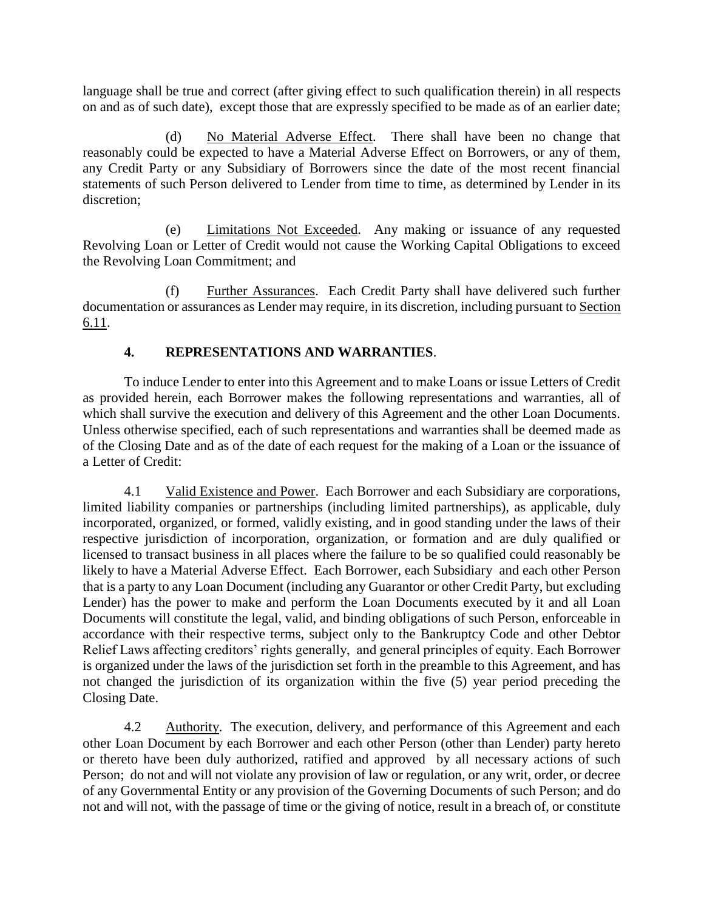language shall be true and correct (after giving effect to such qualification therein) in all respects on and as of such date), except those that are expressly specified to be made as of an earlier date;

(d) No Material Adverse Effect. There shall have been no change that reasonably could be expected to have a Material Adverse Effect on Borrowers, or any of them, any Credit Party or any Subsidiary of Borrowers since the date of the most recent financial statements of such Person delivered to Lender from time to time, as determined by Lender in its discretion;

(e) Limitations Not Exceeded. Any making or issuance of any requested Revolving Loan or Letter of Credit would not cause the Working Capital Obligations to exceed the Revolving Loan Commitment; and

(f) Further Assurances. Each Credit Party shall have delivered such further documentation or assurances as Lender may require, in its discretion, including pursuant to Section 6.11.

#### **4. REPRESENTATIONS AND WARRANTIES**.

To induce Lender to enter into this Agreement and to make Loans or issue Letters of Credit as provided herein, each Borrower makes the following representations and warranties, all of which shall survive the execution and delivery of this Agreement and the other Loan Documents. Unless otherwise specified, each of such representations and warranties shall be deemed made as of the Closing Date and as of the date of each request for the making of a Loan or the issuance of a Letter of Credit:

4.1 Valid Existence and Power. Each Borrower and each Subsidiary are corporations, limited liability companies or partnerships (including limited partnerships), as applicable, duly incorporated, organized, or formed, validly existing, and in good standing under the laws of their respective jurisdiction of incorporation, organization, or formation and are duly qualified or licensed to transact business in all places where the failure to be so qualified could reasonably be likely to have a Material Adverse Effect. Each Borrower, each Subsidiary and each other Person that is a party to any Loan Document (including any Guarantor or other Credit Party, but excluding Lender) has the power to make and perform the Loan Documents executed by it and all Loan Documents will constitute the legal, valid, and binding obligations of such Person, enforceable in accordance with their respective terms, subject only to the Bankruptcy Code and other Debtor Relief Laws affecting creditors' rights generally, and general principles of equity. Each Borrower is organized under the laws of the jurisdiction set forth in the preamble to this Agreement, and has not changed the jurisdiction of its organization within the five (5) year period preceding the Closing Date.

4.2 Authority. The execution, delivery, and performance of this Agreement and each other Loan Document by each Borrower and each other Person (other than Lender) party hereto or thereto have been duly authorized, ratified and approved by all necessary actions of such Person; do not and will not violate any provision of law or regulation, or any writ, order, or decree of any Governmental Entity or any provision of the Governing Documents of such Person; and do not and will not, with the passage of time or the giving of notice, result in a breach of, or constitute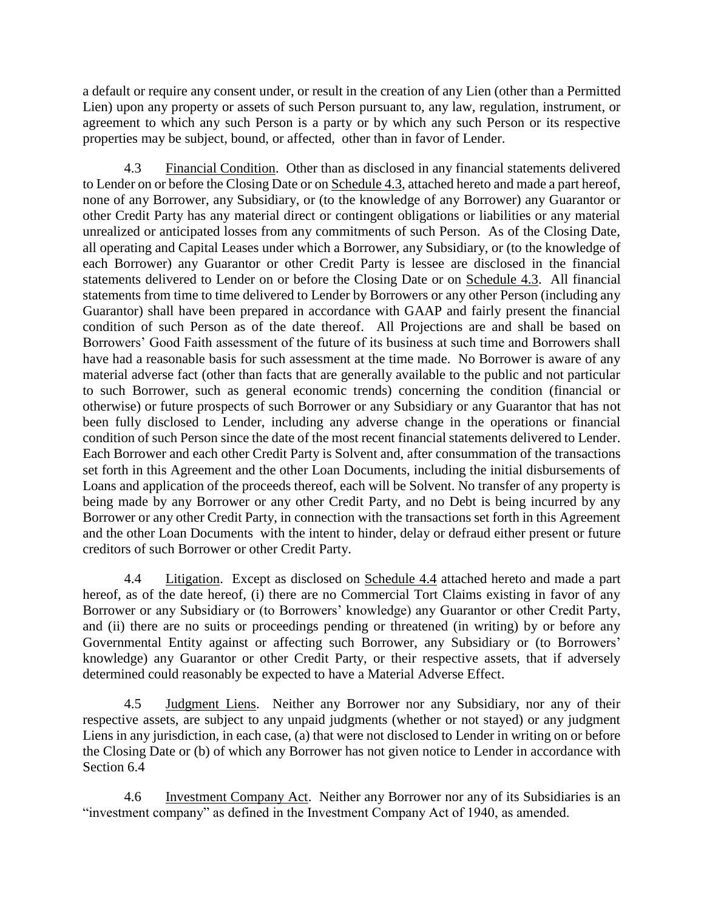a default or require any consent under, or result in the creation of any Lien (other than a Permitted Lien) upon any property or assets of such Person pursuant to, any law, regulation, instrument, or agreement to which any such Person is a party or by which any such Person or its respective properties may be subject, bound, or affected, other than in favor of Lender.

4.3 Financial Condition. Other than as disclosed in any financial statements delivered to Lender on or before the Closing Date or on Schedule 4.3, attached hereto and made a part hereof, none of any Borrower, any Subsidiary, or (to the knowledge of any Borrower) any Guarantor or other Credit Party has any material direct or contingent obligations or liabilities or any material unrealized or anticipated losses from any commitments of such Person. As of the Closing Date, all operating and Capital Leases under which a Borrower, any Subsidiary, or (to the knowledge of each Borrower) any Guarantor or other Credit Party is lessee are disclosed in the financial statements delivered to Lender on or before the Closing Date or on Schedule 4.3. All financial statements from time to time delivered to Lender by Borrowers or any other Person (including any Guarantor) shall have been prepared in accordance with GAAP and fairly present the financial condition of such Person as of the date thereof. All Projections are and shall be based on Borrowers' Good Faith assessment of the future of its business at such time and Borrowers shall have had a reasonable basis for such assessment at the time made. No Borrower is aware of any material adverse fact (other than facts that are generally available to the public and not particular to such Borrower, such as general economic trends) concerning the condition (financial or otherwise) or future prospects of such Borrower or any Subsidiary or any Guarantor that has not been fully disclosed to Lender, including any adverse change in the operations or financial condition of such Person since the date of the most recent financial statements delivered to Lender. Each Borrower and each other Credit Party is Solvent and, after consummation of the transactions set forth in this Agreement and the other Loan Documents, including the initial disbursements of Loans and application of the proceeds thereof, each will be Solvent. No transfer of any property is being made by any Borrower or any other Credit Party, and no Debt is being incurred by any Borrower or any other Credit Party, in connection with the transactions set forth in this Agreement and the other Loan Documents with the intent to hinder, delay or defraud either present or future creditors of such Borrower or other Credit Party.

4.4 Litigation. Except as disclosed on Schedule 4.4 attached hereto and made a part hereof, as of the date hereof, (i) there are no Commercial Tort Claims existing in favor of any Borrower or any Subsidiary or (to Borrowers' knowledge) any Guarantor or other Credit Party, and (ii) there are no suits or proceedings pending or threatened (in writing) by or before any Governmental Entity against or affecting such Borrower, any Subsidiary or (to Borrowers' knowledge) any Guarantor or other Credit Party, or their respective assets, that if adversely determined could reasonably be expected to have a Material Adverse Effect.

4.5 Judgment Liens. Neither any Borrower nor any Subsidiary, nor any of their respective assets, are subject to any unpaid judgments (whether or not stayed) or any judgment Liens in any jurisdiction, in each case, (a) that were not disclosed to Lender in writing on or before the Closing Date or (b) of which any Borrower has not given notice to Lender in accordance with Section 6.4

4.6 Investment Company Act. Neither any Borrower nor any of its Subsidiaries is an "investment company" as defined in the Investment Company Act of 1940, as amended.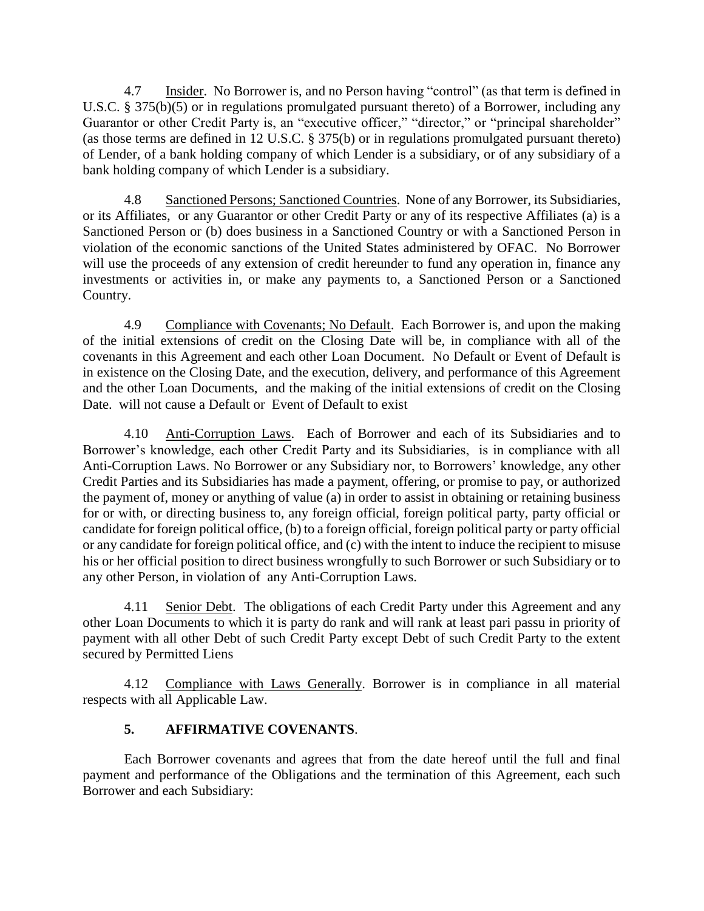4.7 Insider. No Borrower is, and no Person having "control" (as that term is defined in U.S.C. § 375(b)(5) or in regulations promulgated pursuant thereto) of a Borrower, including any Guarantor or other Credit Party is, an "executive officer," "director," or "principal shareholder" (as those terms are defined in 12 U.S.C. § 375(b) or in regulations promulgated pursuant thereto) of Lender, of a bank holding company of which Lender is a subsidiary, or of any subsidiary of a bank holding company of which Lender is a subsidiary.

4.8 Sanctioned Persons; Sanctioned Countries. None of any Borrower, its Subsidiaries, or its Affiliates, or any Guarantor or other Credit Party or any of its respective Affiliates (a) is a Sanctioned Person or (b) does business in a Sanctioned Country or with a Sanctioned Person in violation of the economic sanctions of the United States administered by OFAC. No Borrower will use the proceeds of any extension of credit hereunder to fund any operation in, finance any investments or activities in, or make any payments to, a Sanctioned Person or a Sanctioned Country.

4.9 Compliance with Covenants; No Default. Each Borrower is, and upon the making of the initial extensions of credit on the Closing Date will be, in compliance with all of the covenants in this Agreement and each other Loan Document. No Default or Event of Default is in existence on the Closing Date, and the execution, delivery, and performance of this Agreement and the other Loan Documents, and the making of the initial extensions of credit on the Closing Date. will not cause a Default or Event of Default to exist

4.10 Anti-Corruption Laws. Each of Borrower and each of its Subsidiaries and to Borrower's knowledge, each other Credit Party and its Subsidiaries, is in compliance with all Anti-Corruption Laws. No Borrower or any Subsidiary nor, to Borrowers' knowledge, any other Credit Parties and its Subsidiaries has made a payment, offering, or promise to pay, or authorized the payment of, money or anything of value (a) in order to assist in obtaining or retaining business for or with, or directing business to, any foreign official, foreign political party, party official or candidate for foreign political office, (b) to a foreign official, foreign political party or party official or any candidate for foreign political office, and (c) with the intent to induce the recipient to misuse his or her official position to direct business wrongfully to such Borrower or such Subsidiary or to any other Person, in violation of any Anti-Corruption Laws.

4.11 Senior Debt. The obligations of each Credit Party under this Agreement and any other Loan Documents to which it is party do rank and will rank at least pari passu in priority of payment with all other Debt of such Credit Party except Debt of such Credit Party to the extent secured by Permitted Liens

4.12 Compliance with Laws Generally. Borrower is in compliance in all material respects with all Applicable Law.

#### **5. AFFIRMATIVE COVENANTS**.

Each Borrower covenants and agrees that from the date hereof until the full and final payment and performance of the Obligations and the termination of this Agreement, each such Borrower and each Subsidiary: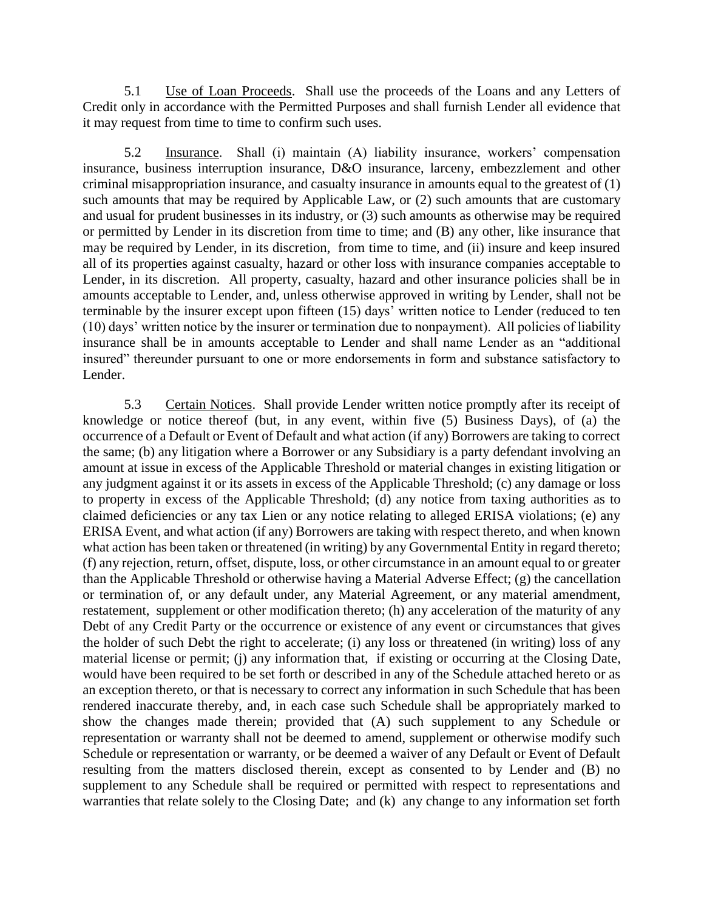5.1 Use of Loan Proceeds. Shall use the proceeds of the Loans and any Letters of Credit only in accordance with the Permitted Purposes and shall furnish Lender all evidence that it may request from time to time to confirm such uses.

5.2 Insurance. Shall (i) maintain (A) liability insurance, workers' compensation insurance, business interruption insurance, D&O insurance, larceny, embezzlement and other criminal misappropriation insurance, and casualty insurance in amounts equal to the greatest of (1) such amounts that may be required by Applicable Law, or (2) such amounts that are customary and usual for prudent businesses in its industry, or (3) such amounts as otherwise may be required or permitted by Lender in its discretion from time to time; and (B) any other, like insurance that may be required by Lender, in its discretion, from time to time, and (ii) insure and keep insured all of its properties against casualty, hazard or other loss with insurance companies acceptable to Lender, in its discretion. All property, casualty, hazard and other insurance policies shall be in amounts acceptable to Lender, and, unless otherwise approved in writing by Lender, shall not be terminable by the insurer except upon fifteen (15) days' written notice to Lender (reduced to ten (10) days' written notice by the insurer or termination due to nonpayment). All policies of liability insurance shall be in amounts acceptable to Lender and shall name Lender as an "additional insured" thereunder pursuant to one or more endorsements in form and substance satisfactory to Lender.

5.3 Certain Notices. Shall provide Lender written notice promptly after its receipt of knowledge or notice thereof (but, in any event, within five (5) Business Days), of (a) the occurrence of a Default or Event of Default and what action (if any) Borrowers are taking to correct the same; (b) any litigation where a Borrower or any Subsidiary is a party defendant involving an amount at issue in excess of the Applicable Threshold or material changes in existing litigation or any judgment against it or its assets in excess of the Applicable Threshold; (c) any damage or loss to property in excess of the Applicable Threshold; (d) any notice from taxing authorities as to claimed deficiencies or any tax Lien or any notice relating to alleged ERISA violations; (e) any ERISA Event, and what action (if any) Borrowers are taking with respect thereto, and when known what action has been taken or threatened (in writing) by any Governmental Entity in regard thereto; (f) any rejection, return, offset, dispute, loss, or other circumstance in an amount equal to or greater than the Applicable Threshold or otherwise having a Material Adverse Effect; (g) the cancellation or termination of, or any default under, any Material Agreement, or any material amendment, restatement, supplement or other modification thereto; (h) any acceleration of the maturity of any Debt of any Credit Party or the occurrence or existence of any event or circumstances that gives the holder of such Debt the right to accelerate; (i) any loss or threatened (in writing) loss of any material license or permit; (j) any information that, if existing or occurring at the Closing Date, would have been required to be set forth or described in any of the Schedule attached hereto or as an exception thereto, or that is necessary to correct any information in such Schedule that has been rendered inaccurate thereby, and, in each case such Schedule shall be appropriately marked to show the changes made therein; provided that (A) such supplement to any Schedule or representation or warranty shall not be deemed to amend, supplement or otherwise modify such Schedule or representation or warranty, or be deemed a waiver of any Default or Event of Default resulting from the matters disclosed therein, except as consented to by Lender and (B) no supplement to any Schedule shall be required or permitted with respect to representations and warranties that relate solely to the Closing Date; and (k) any change to any information set forth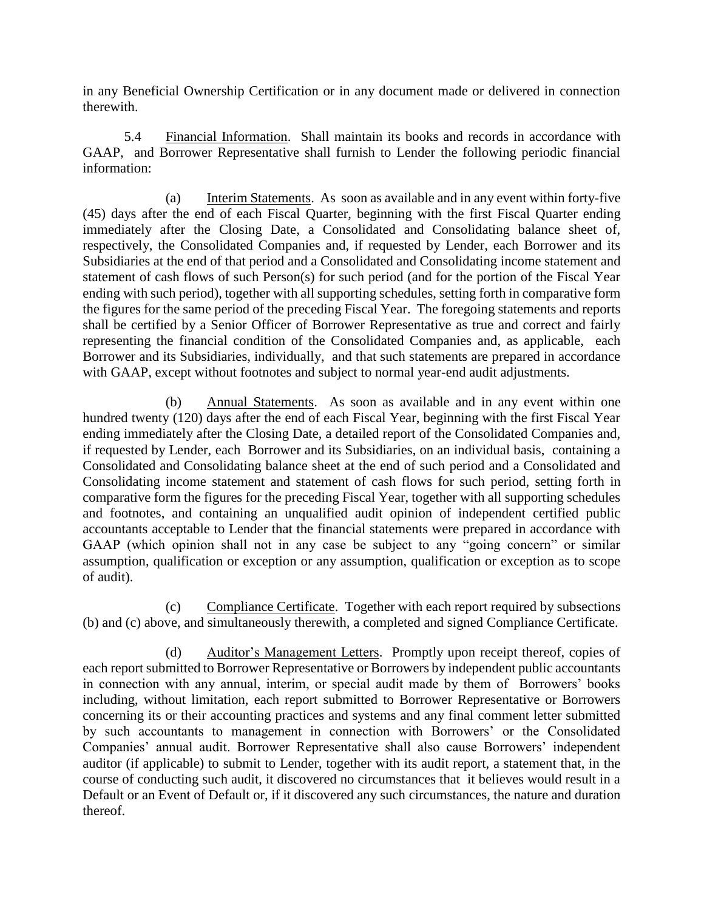in any Beneficial Ownership Certification or in any document made or delivered in connection therewith.

5.4 Financial Information. Shall maintain its books and records in accordance with GAAP, and Borrower Representative shall furnish to Lender the following periodic financial information:

(a) Interim Statements. As soon as available and in any event within forty-five (45) days after the end of each Fiscal Quarter, beginning with the first Fiscal Quarter ending immediately after the Closing Date, a Consolidated and Consolidating balance sheet of, respectively, the Consolidated Companies and, if requested by Lender, each Borrower and its Subsidiaries at the end of that period and a Consolidated and Consolidating income statement and statement of cash flows of such Person(s) for such period (and for the portion of the Fiscal Year ending with such period), together with all supporting schedules, setting forth in comparative form the figures for the same period of the preceding Fiscal Year. The foregoing statements and reports shall be certified by a Senior Officer of Borrower Representative as true and correct and fairly representing the financial condition of the Consolidated Companies and, as applicable, each Borrower and its Subsidiaries, individually, and that such statements are prepared in accordance with GAAP, except without footnotes and subject to normal year-end audit adjustments.

(b) Annual Statements. As soon as available and in any event within one hundred twenty (120) days after the end of each Fiscal Year, beginning with the first Fiscal Year ending immediately after the Closing Date, a detailed report of the Consolidated Companies and, if requested by Lender, each Borrower and its Subsidiaries, on an individual basis, containing a Consolidated and Consolidating balance sheet at the end of such period and a Consolidated and Consolidating income statement and statement of cash flows for such period, setting forth in comparative form the figures for the preceding Fiscal Year, together with all supporting schedules and footnotes, and containing an unqualified audit opinion of independent certified public accountants acceptable to Lender that the financial statements were prepared in accordance with GAAP (which opinion shall not in any case be subject to any "going concern" or similar assumption, qualification or exception or any assumption, qualification or exception as to scope of audit).

(c) Compliance Certificate. Together with each report required by subsections (b) and (c) above, and simultaneously therewith, a completed and signed Compliance Certificate.

(d) Auditor's Management Letters. Promptly upon receipt thereof, copies of each report submitted to Borrower Representative or Borrowers by independent public accountants in connection with any annual, interim, or special audit made by them of Borrowers' books including, without limitation, each report submitted to Borrower Representative or Borrowers concerning its or their accounting practices and systems and any final comment letter submitted by such accountants to management in connection with Borrowers' or the Consolidated Companies' annual audit. Borrower Representative shall also cause Borrowers' independent auditor (if applicable) to submit to Lender, together with its audit report, a statement that, in the course of conducting such audit, it discovered no circumstances that it believes would result in a Default or an Event of Default or, if it discovered any such circumstances, the nature and duration thereof.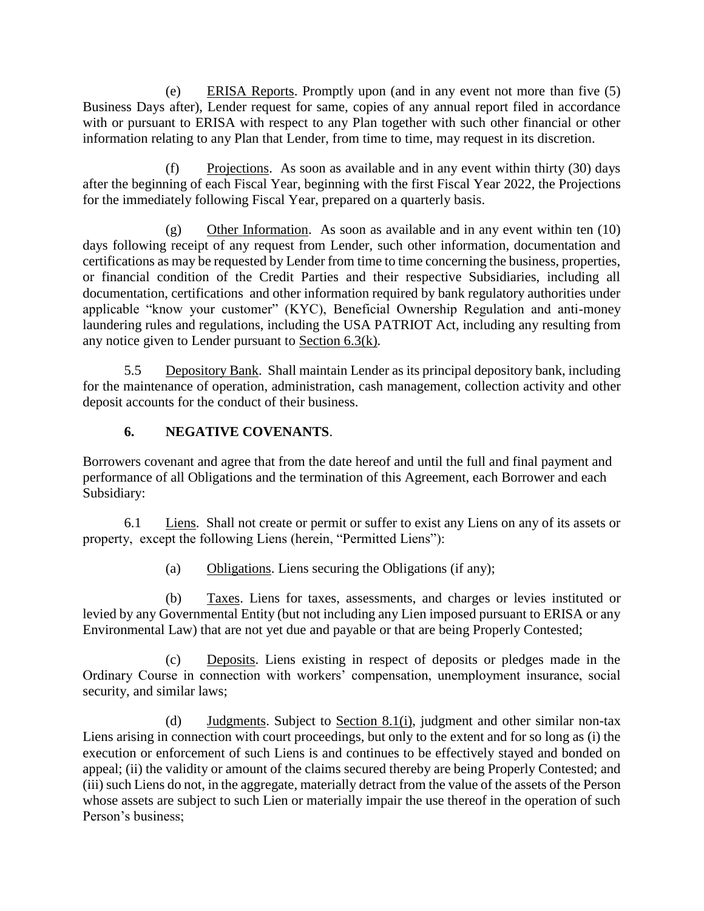(e) ERISA Reports. Promptly upon (and in any event not more than five (5) Business Days after), Lender request for same, copies of any annual report filed in accordance with or pursuant to ERISA with respect to any Plan together with such other financial or other information relating to any Plan that Lender, from time to time, may request in its discretion.

(f) Projections. As soon as available and in any event within thirty (30) days after the beginning of each Fiscal Year, beginning with the first Fiscal Year 2022, the Projections for the immediately following Fiscal Year, prepared on a quarterly basis.

(g) Other Information. As soon as available and in any event within ten (10) days following receipt of any request from Lender, such other information, documentation and certifications as may be requested by Lender from time to time concerning the business, properties, or financial condition of the Credit Parties and their respective Subsidiaries, including all documentation, certifications and other information required by bank regulatory authorities under applicable "know your customer" (KYC), Beneficial Ownership Regulation and anti-money laundering rules and regulations, including the USA PATRIOT Act, including any resulting from any notice given to Lender pursuant to Section 6.3(k).

5.5 Depository Bank. Shall maintain Lender as its principal depository bank, including for the maintenance of operation, administration, cash management, collection activity and other deposit accounts for the conduct of their business.

#### **6. NEGATIVE COVENANTS**.

Borrowers covenant and agree that from the date hereof and until the full and final payment and performance of all Obligations and the termination of this Agreement, each Borrower and each Subsidiary:

6.1 Liens. Shall not create or permit or suffer to exist any Liens on any of its assets or property, except the following Liens (herein, "Permitted Liens"):

(a) Obligations. Liens securing the Obligations (if any);

(b) Taxes. Liens for taxes, assessments, and charges or levies instituted or levied by any Governmental Entity (but not including any Lien imposed pursuant to ERISA or any Environmental Law) that are not yet due and payable or that are being Properly Contested;

(c) Deposits. Liens existing in respect of deposits or pledges made in the Ordinary Course in connection with workers' compensation, unemployment insurance, social security, and similar laws;

(d) Judgments. Subject to Section 8.1(i), judgment and other similar non-tax Liens arising in connection with court proceedings, but only to the extent and for so long as (i) the execution or enforcement of such Liens is and continues to be effectively stayed and bonded on appeal; (ii) the validity or amount of the claims secured thereby are being Properly Contested; and (iii) such Liens do not, in the aggregate, materially detract from the value of the assets of the Person whose assets are subject to such Lien or materially impair the use thereof in the operation of such Person's business;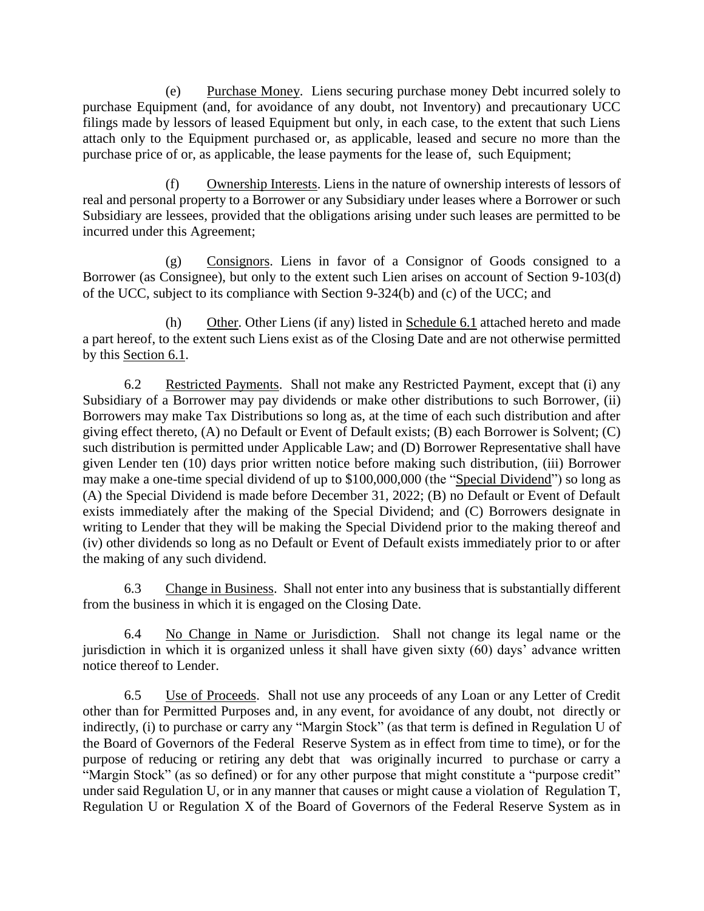(e) Purchase Money. Liens securing purchase money Debt incurred solely to purchase Equipment (and, for avoidance of any doubt, not Inventory) and precautionary UCC filings made by lessors of leased Equipment but only, in each case, to the extent that such Liens attach only to the Equipment purchased or, as applicable, leased and secure no more than the purchase price of or, as applicable, the lease payments for the lease of, such Equipment;

(f) Ownership Interests. Liens in the nature of ownership interests of lessors of real and personal property to a Borrower or any Subsidiary under leases where a Borrower or such Subsidiary are lessees, provided that the obligations arising under such leases are permitted to be incurred under this Agreement;

(g) Consignors. Liens in favor of a Consignor of Goods consigned to a Borrower (as Consignee), but only to the extent such Lien arises on account of Section 9-103(d) of the UCC, subject to its compliance with Section 9-324(b) and (c) of the UCC; and

(h) Other. Other Liens (if any) listed in Schedule 6.1 attached hereto and made a part hereof, to the extent such Liens exist as of the Closing Date and are not otherwise permitted by this Section 6.1.

6.2 Restricted Payments. Shall not make any Restricted Payment, except that (i) any Subsidiary of a Borrower may pay dividends or make other distributions to such Borrower, (ii) Borrowers may make Tax Distributions so long as, at the time of each such distribution and after giving effect thereto, (A) no Default or Event of Default exists; (B) each Borrower is Solvent; (C) such distribution is permitted under Applicable Law; and (D) Borrower Representative shall have given Lender ten (10) days prior written notice before making such distribution, (iii) Borrower may make a one-time special dividend of up to \$100,000,000 (the "Special Dividend") so long as (A) the Special Dividend is made before December 31, 2022; (B) no Default or Event of Default exists immediately after the making of the Special Dividend; and (C) Borrowers designate in writing to Lender that they will be making the Special Dividend prior to the making thereof and (iv) other dividends so long as no Default or Event of Default exists immediately prior to or after the making of any such dividend.

6.3 Change in Business. Shall not enter into any business that is substantially different from the business in which it is engaged on the Closing Date.

6.4 No Change in Name or Jurisdiction. Shall not change its legal name or the jurisdiction in which it is organized unless it shall have given sixty  $(60)$  days' advance written notice thereof to Lender.

6.5 Use of Proceeds. Shall not use any proceeds of any Loan or any Letter of Credit other than for Permitted Purposes and, in any event, for avoidance of any doubt, not directly or indirectly, (i) to purchase or carry any "Margin Stock" (as that term is defined in Regulation U of the Board of Governors of the Federal Reserve System as in effect from time to time), or for the purpose of reducing or retiring any debt that was originally incurred to purchase or carry a "Margin Stock" (as so defined) or for any other purpose that might constitute a "purpose credit" under said Regulation U, or in any manner that causes or might cause a violation of Regulation T, Regulation U or Regulation X of the Board of Governors of the Federal Reserve System as in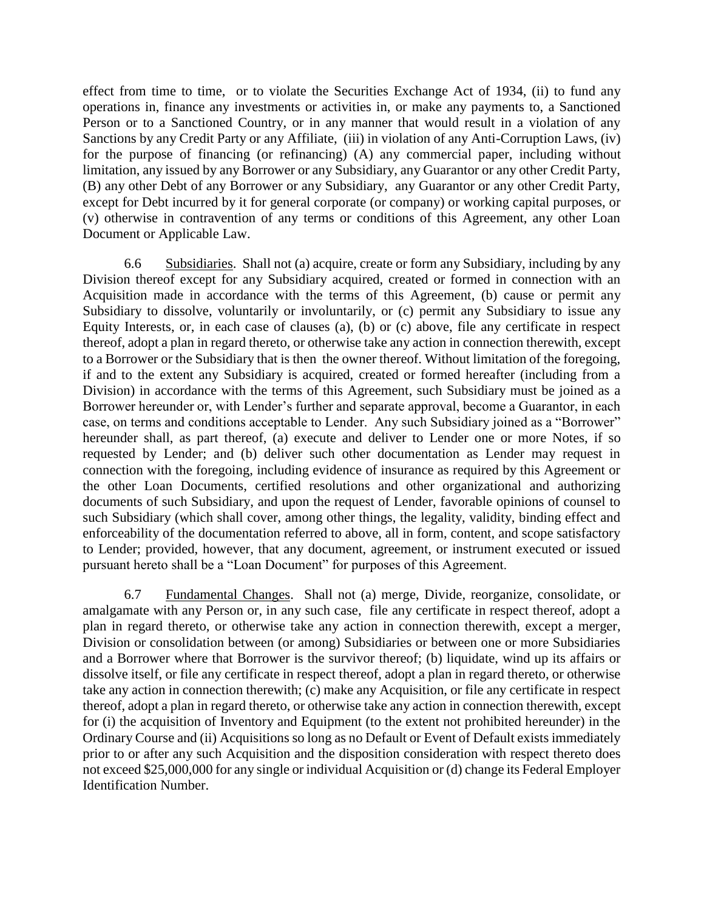effect from time to time, or to violate the Securities Exchange Act of 1934, (ii) to fund any operations in, finance any investments or activities in, or make any payments to, a Sanctioned Person or to a Sanctioned Country, or in any manner that would result in a violation of any Sanctions by any Credit Party or any Affiliate, (iii) in violation of any Anti-Corruption Laws, (iv) for the purpose of financing (or refinancing) (A) any commercial paper, including without limitation, any issued by any Borrower or any Subsidiary, any Guarantor or any other Credit Party, (B) any other Debt of any Borrower or any Subsidiary, any Guarantor or any other Credit Party, except for Debt incurred by it for general corporate (or company) or working capital purposes, or (v) otherwise in contravention of any terms or conditions of this Agreement, any other Loan Document or Applicable Law.

6.6 Subsidiaries. Shall not (a) acquire, create or form any Subsidiary, including by any Division thereof except for any Subsidiary acquired, created or formed in connection with an Acquisition made in accordance with the terms of this Agreement, (b) cause or permit any Subsidiary to dissolve, voluntarily or involuntarily, or (c) permit any Subsidiary to issue any Equity Interests, or, in each case of clauses (a), (b) or (c) above, file any certificate in respect thereof, adopt a plan in regard thereto, or otherwise take any action in connection therewith, except to a Borrower or the Subsidiary that is then the owner thereof. Without limitation of the foregoing, if and to the extent any Subsidiary is acquired, created or formed hereafter (including from a Division) in accordance with the terms of this Agreement, such Subsidiary must be joined as a Borrower hereunder or, with Lender's further and separate approval, become a Guarantor, in each case, on terms and conditions acceptable to Lender. Any such Subsidiary joined as a "Borrower" hereunder shall, as part thereof, (a) execute and deliver to Lender one or more Notes, if so requested by Lender; and (b) deliver such other documentation as Lender may request in connection with the foregoing, including evidence of insurance as required by this Agreement or the other Loan Documents, certified resolutions and other organizational and authorizing documents of such Subsidiary, and upon the request of Lender, favorable opinions of counsel to such Subsidiary (which shall cover, among other things, the legality, validity, binding effect and enforceability of the documentation referred to above, all in form, content, and scope satisfactory to Lender; provided, however, that any document, agreement, or instrument executed or issued pursuant hereto shall be a "Loan Document" for purposes of this Agreement.

6.7 Fundamental Changes. Shall not (a) merge, Divide, reorganize, consolidate, or amalgamate with any Person or, in any such case, file any certificate in respect thereof, adopt a plan in regard thereto, or otherwise take any action in connection therewith, except a merger, Division or consolidation between (or among) Subsidiaries or between one or more Subsidiaries and a Borrower where that Borrower is the survivor thereof; (b) liquidate, wind up its affairs or dissolve itself, or file any certificate in respect thereof, adopt a plan in regard thereto, or otherwise take any action in connection therewith; (c) make any Acquisition, or file any certificate in respect thereof, adopt a plan in regard thereto, or otherwise take any action in connection therewith, except for (i) the acquisition of Inventory and Equipment (to the extent not prohibited hereunder) in the Ordinary Course and (ii) Acquisitions so long as no Default or Event of Default exists immediately prior to or after any such Acquisition and the disposition consideration with respect thereto does not exceed \$25,000,000 for any single or individual Acquisition or (d) change its Federal Employer Identification Number.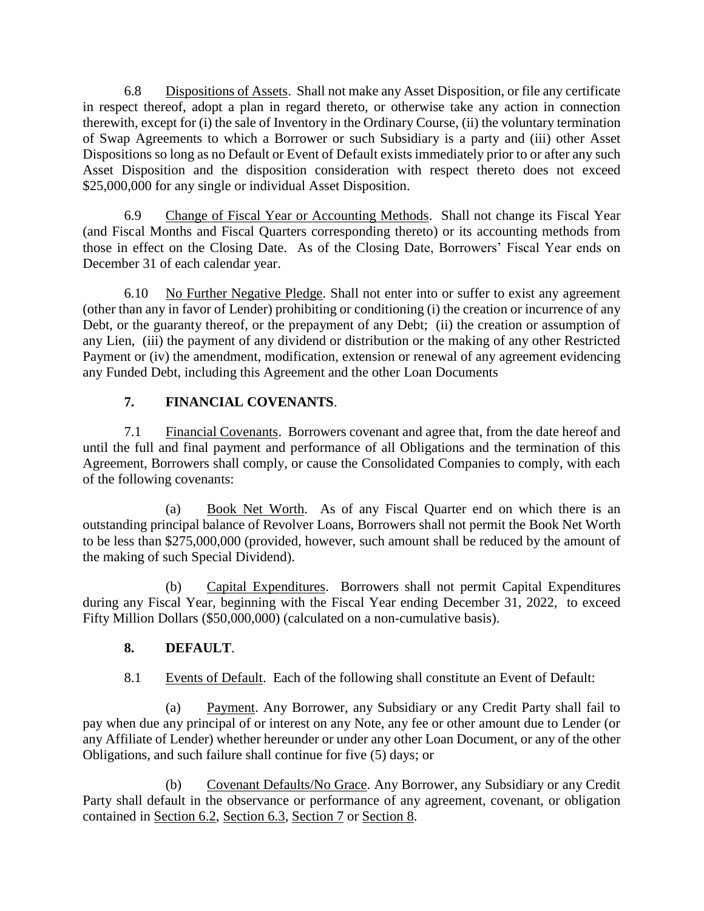6.8 Dispositions of Assets. Shall not make any Asset Disposition, or file any certificate in respect thereof, adopt a plan in regard thereto, or otherwise take any action in connection therewith, except for (i) the sale of Inventory in the Ordinary Course, (ii) the voluntary termination of Swap Agreements to which a Borrower or such Subsidiary is a party and (iii) other Asset Dispositions so long as no Default or Event of Default exists immediately prior to or after any such Asset Disposition and the disposition consideration with respect thereto does not exceed \$25,000,000 for any single or individual Asset Disposition.

6.9 Change of Fiscal Year or Accounting Methods. Shall not change its Fiscal Year (and Fiscal Months and Fiscal Quarters corresponding thereto) or its accounting methods from those in effect on the Closing Date. As of the Closing Date, Borrowers' Fiscal Year ends on December 31 of each calendar year.

6.10 No Further Negative Pledge. Shall not enter into or suffer to exist any agreement (other than any in favor of Lender) prohibiting or conditioning (i) the creation or incurrence of any Debt, or the guaranty thereof, or the prepayment of any Debt; (ii) the creation or assumption of any Lien, (iii) the payment of any dividend or distribution or the making of any other Restricted Payment or (iv) the amendment, modification, extension or renewal of any agreement evidencing any Funded Debt, including this Agreement and the other Loan Documents

### **7. FINANCIAL COVENANTS**.

7.1 Financial Covenants. Borrowers covenant and agree that, from the date hereof and until the full and final payment and performance of all Obligations and the termination of this Agreement, Borrowers shall comply, or cause the Consolidated Companies to comply, with each of the following covenants:

(a) Book Net Worth. As of any Fiscal Quarter end on which there is an outstanding principal balance of Revolver Loans, Borrowers shall not permit the Book Net Worth to be less than \$275,000,000 (provided, however, such amount shall be reduced by the amount of the making of such Special Dividend).

(b) Capital Expenditures. Borrowers shall not permit Capital Expenditures during any Fiscal Year, beginning with the Fiscal Year ending December 31, 2022, to exceed Fifty Million Dollars (\$50,000,000) (calculated on a non-cumulative basis).

#### **8. DEFAULT**.

#### 8.1 Events of Default. Each of the following shall constitute an Event of Default:

(a) Payment. Any Borrower, any Subsidiary or any Credit Party shall fail to pay when due any principal of or interest on any Note, any fee or other amount due to Lender (or any Affiliate of Lender) whether hereunder or under any other Loan Document, or any of the other Obligations, and such failure shall continue for five (5) days; or

(b) Covenant Defaults/No Grace. Any Borrower, any Subsidiary or any Credit Party shall default in the observance or performance of any agreement, covenant, or obligation contained in Section 6.2, Section 6.3, Section 7 or Section 8.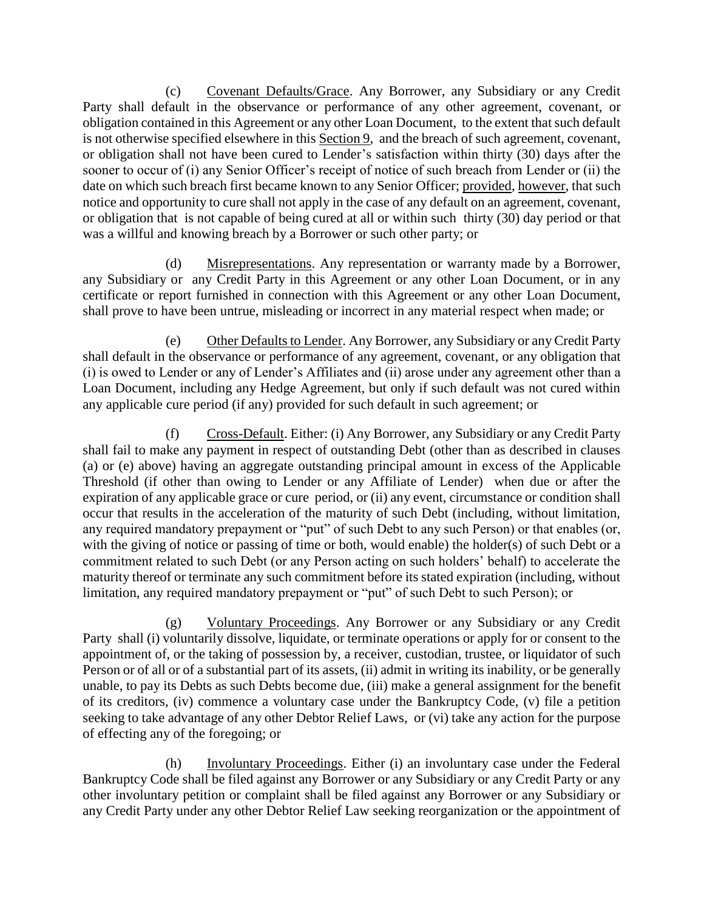(c) Covenant Defaults/Grace. Any Borrower, any Subsidiary or any Credit Party shall default in the observance or performance of any other agreement, covenant, or obligation contained in this Agreement or any other Loan Document, to the extent that such default is not otherwise specified elsewhere in this Section 9, and the breach of such agreement, covenant, or obligation shall not have been cured to Lender's satisfaction within thirty (30) days after the sooner to occur of (i) any Senior Officer's receipt of notice of such breach from Lender or (ii) the date on which such breach first became known to any Senior Officer; provided, however, that such notice and opportunity to cure shall not apply in the case of any default on an agreement, covenant, or obligation that is not capable of being cured at all or within such thirty (30) day period or that was a willful and knowing breach by a Borrower or such other party; or

(d) Misrepresentations. Any representation or warranty made by a Borrower, any Subsidiary or any Credit Party in this Agreement or any other Loan Document, or in any certificate or report furnished in connection with this Agreement or any other Loan Document, shall prove to have been untrue, misleading or incorrect in any material respect when made; or

(e) Other Defaults to Lender. Any Borrower, any Subsidiary or any Credit Party shall default in the observance or performance of any agreement, covenant, or any obligation that (i) is owed to Lender or any of Lender's Affiliates and (ii) arose under any agreement other than a Loan Document, including any Hedge Agreement, but only if such default was not cured within any applicable cure period (if any) provided for such default in such agreement; or

(f) Cross-Default. Either: (i) Any Borrower, any Subsidiary or any Credit Party shall fail to make any payment in respect of outstanding Debt (other than as described in clauses (a) or (e) above) having an aggregate outstanding principal amount in excess of the Applicable Threshold (if other than owing to Lender or any Affiliate of Lender) when due or after the expiration of any applicable grace or cure period, or (ii) any event, circumstance or condition shall occur that results in the acceleration of the maturity of such Debt (including, without limitation, any required mandatory prepayment or "put" of such Debt to any such Person) or that enables (or, with the giving of notice or passing of time or both, would enable) the holder(s) of such Debt or a commitment related to such Debt (or any Person acting on such holders' behalf) to accelerate the maturity thereof or terminate any such commitment before its stated expiration (including, without limitation, any required mandatory prepayment or "put" of such Debt to such Person); or

(g) Voluntary Proceedings. Any Borrower or any Subsidiary or any Credit Party shall (i) voluntarily dissolve, liquidate, or terminate operations or apply for or consent to the appointment of, or the taking of possession by, a receiver, custodian, trustee, or liquidator of such Person or of all or of a substantial part of its assets, (ii) admit in writing its inability, or be generally unable, to pay its Debts as such Debts become due, (iii) make a general assignment for the benefit of its creditors, (iv) commence a voluntary case under the Bankruptcy Code, (v) file a petition seeking to take advantage of any other Debtor Relief Laws, or (vi) take any action for the purpose of effecting any of the foregoing; or

(h) Involuntary Proceedings. Either (i) an involuntary case under the Federal Bankruptcy Code shall be filed against any Borrower or any Subsidiary or any Credit Party or any other involuntary petition or complaint shall be filed against any Borrower or any Subsidiary or any Credit Party under any other Debtor Relief Law seeking reorganization or the appointment of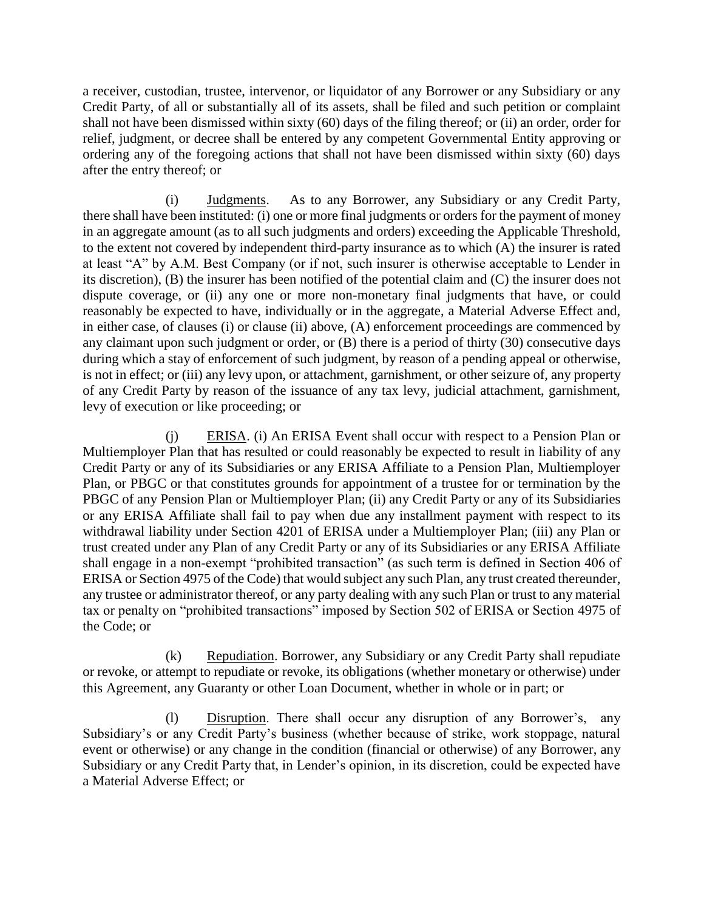a receiver, custodian, trustee, intervenor, or liquidator of any Borrower or any Subsidiary or any Credit Party, of all or substantially all of its assets, shall be filed and such petition or complaint shall not have been dismissed within sixty (60) days of the filing thereof; or (ii) an order, order for relief, judgment, or decree shall be entered by any competent Governmental Entity approving or ordering any of the foregoing actions that shall not have been dismissed within sixty (60) days after the entry thereof; or

(i) Judgments. As to any Borrower, any Subsidiary or any Credit Party, there shall have been instituted: (i) one or more final judgments or orders for the payment of money in an aggregate amount (as to all such judgments and orders) exceeding the Applicable Threshold, to the extent not covered by independent third-party insurance as to which (A) the insurer is rated at least "A" by A.M. Best Company (or if not, such insurer is otherwise acceptable to Lender in its discretion), (B) the insurer has been notified of the potential claim and (C) the insurer does not dispute coverage, or (ii) any one or more non-monetary final judgments that have, or could reasonably be expected to have, individually or in the aggregate, a Material Adverse Effect and, in either case, of clauses (i) or clause (ii) above, (A) enforcement proceedings are commenced by any claimant upon such judgment or order, or (B) there is a period of thirty (30) consecutive days during which a stay of enforcement of such judgment, by reason of a pending appeal or otherwise, is not in effect; or (iii) any levy upon, or attachment, garnishment, or other seizure of, any property of any Credit Party by reason of the issuance of any tax levy, judicial attachment, garnishment, levy of execution or like proceeding; or

(j) ERISA. (i) An ERISA Event shall occur with respect to a Pension Plan or Multiemployer Plan that has resulted or could reasonably be expected to result in liability of any Credit Party or any of its Subsidiaries or any ERISA Affiliate to a Pension Plan, Multiemployer Plan, or PBGC or that constitutes grounds for appointment of a trustee for or termination by the PBGC of any Pension Plan or Multiemployer Plan; (ii) any Credit Party or any of its Subsidiaries or any ERISA Affiliate shall fail to pay when due any installment payment with respect to its withdrawal liability under Section 4201 of ERISA under a Multiemployer Plan; (iii) any Plan or trust created under any Plan of any Credit Party or any of its Subsidiaries or any ERISA Affiliate shall engage in a non-exempt "prohibited transaction" (as such term is defined in Section 406 of ERISA or Section 4975 of the Code) that would subject any such Plan, any trust created thereunder, any trustee or administrator thereof, or any party dealing with any such Plan or trust to any material tax or penalty on "prohibited transactions" imposed by Section 502 of ERISA or Section 4975 of the Code; or

(k) Repudiation. Borrower, any Subsidiary or any Credit Party shall repudiate or revoke, or attempt to repudiate or revoke, its obligations (whether monetary or otherwise) under this Agreement, any Guaranty or other Loan Document, whether in whole or in part; or

(l) Disruption. There shall occur any disruption of any Borrower's, any Subsidiary's or any Credit Party's business (whether because of strike, work stoppage, natural event or otherwise) or any change in the condition (financial or otherwise) of any Borrower, any Subsidiary or any Credit Party that, in Lender's opinion, in its discretion, could be expected have a Material Adverse Effect; or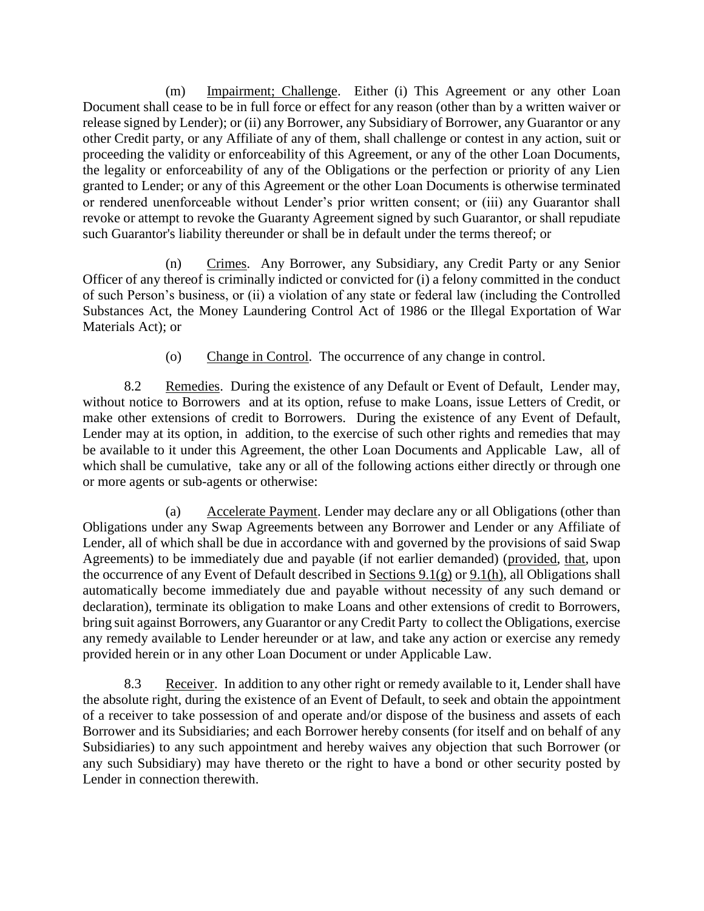(m) Impairment; Challenge. Either (i) This Agreement or any other Loan Document shall cease to be in full force or effect for any reason (other than by a written waiver or release signed by Lender); or (ii) any Borrower, any Subsidiary of Borrower, any Guarantor or any other Credit party, or any Affiliate of any of them, shall challenge or contest in any action, suit or proceeding the validity or enforceability of this Agreement, or any of the other Loan Documents, the legality or enforceability of any of the Obligations or the perfection or priority of any Lien granted to Lender; or any of this Agreement or the other Loan Documents is otherwise terminated or rendered unenforceable without Lender's prior written consent; or (iii) any Guarantor shall revoke or attempt to revoke the Guaranty Agreement signed by such Guarantor, or shall repudiate such Guarantor's liability thereunder or shall be in default under the terms thereof; or

(n) Crimes. Any Borrower, any Subsidiary, any Credit Party or any Senior Officer of any thereof is criminally indicted or convicted for (i) a felony committed in the conduct of such Person's business, or (ii) a violation of any state or federal law (including the Controlled Substances Act, the Money Laundering Control Act of 1986 or the Illegal Exportation of War Materials Act); or

(o) Change in Control. The occurrence of any change in control.

8.2 Remedies. During the existence of any Default or Event of Default, Lender may, without notice to Borrowers and at its option, refuse to make Loans, issue Letters of Credit, or make other extensions of credit to Borrowers. During the existence of any Event of Default, Lender may at its option, in addition, to the exercise of such other rights and remedies that may be available to it under this Agreement, the other Loan Documents and Applicable Law, all of which shall be cumulative, take any or all of the following actions either directly or through one or more agents or sub-agents or otherwise:

(a) Accelerate Payment. Lender may declare any or all Obligations (other than Obligations under any Swap Agreements between any Borrower and Lender or any Affiliate of Lender, all of which shall be due in accordance with and governed by the provisions of said Swap Agreements) to be immediately due and payable (if not earlier demanded) (provided, that, upon the occurrence of any Event of Default described in Sections 9.1(g) or 9.1(h), all Obligations shall automatically become immediately due and payable without necessity of any such demand or declaration), terminate its obligation to make Loans and other extensions of credit to Borrowers, bring suit against Borrowers, any Guarantor or any Credit Party to collect the Obligations, exercise any remedy available to Lender hereunder or at law, and take any action or exercise any remedy provided herein or in any other Loan Document or under Applicable Law.

8.3 Receiver. In addition to any other right or remedy available to it, Lender shall have the absolute right, during the existence of an Event of Default, to seek and obtain the appointment of a receiver to take possession of and operate and/or dispose of the business and assets of each Borrower and its Subsidiaries; and each Borrower hereby consents (for itself and on behalf of any Subsidiaries) to any such appointment and hereby waives any objection that such Borrower (or any such Subsidiary) may have thereto or the right to have a bond or other security posted by Lender in connection therewith.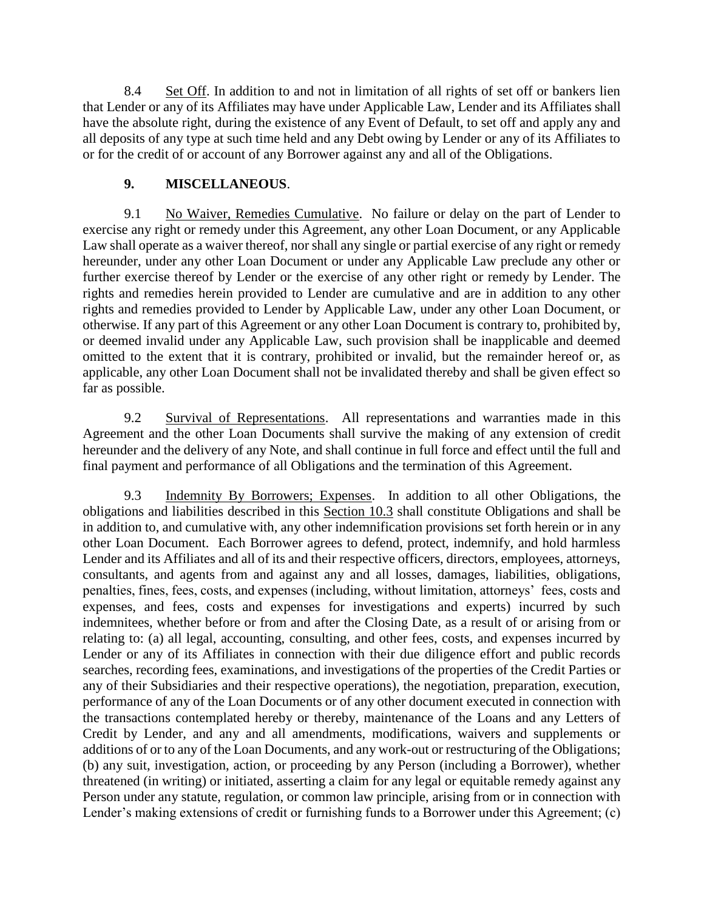8.4 Set Off. In addition to and not in limitation of all rights of set off or bankers lien that Lender or any of its Affiliates may have under Applicable Law, Lender and its Affiliates shall have the absolute right, during the existence of any Event of Default, to set off and apply any and all deposits of any type at such time held and any Debt owing by Lender or any of its Affiliates to or for the credit of or account of any Borrower against any and all of the Obligations.

#### **9. MISCELLANEOUS**.

9.1 No Waiver, Remedies Cumulative. No failure or delay on the part of Lender to exercise any right or remedy under this Agreement, any other Loan Document, or any Applicable Law shall operate as a waiver thereof, nor shall any single or partial exercise of any right or remedy hereunder, under any other Loan Document or under any Applicable Law preclude any other or further exercise thereof by Lender or the exercise of any other right or remedy by Lender. The rights and remedies herein provided to Lender are cumulative and are in addition to any other rights and remedies provided to Lender by Applicable Law, under any other Loan Document, or otherwise. If any part of this Agreement or any other Loan Document is contrary to, prohibited by, or deemed invalid under any Applicable Law, such provision shall be inapplicable and deemed omitted to the extent that it is contrary, prohibited or invalid, but the remainder hereof or, as applicable, any other Loan Document shall not be invalidated thereby and shall be given effect so far as possible.

9.2 Survival of Representations. All representations and warranties made in this Agreement and the other Loan Documents shall survive the making of any extension of credit hereunder and the delivery of any Note, and shall continue in full force and effect until the full and final payment and performance of all Obligations and the termination of this Agreement.

9.3 Indemnity By Borrowers; Expenses. In addition to all other Obligations, the obligations and liabilities described in this Section 10.3 shall constitute Obligations and shall be in addition to, and cumulative with, any other indemnification provisions set forth herein or in any other Loan Document. Each Borrower agrees to defend, protect, indemnify, and hold harmless Lender and its Affiliates and all of its and their respective officers, directors, employees, attorneys, consultants, and agents from and against any and all losses, damages, liabilities, obligations, penalties, fines, fees, costs, and expenses (including, without limitation, attorneys' fees, costs and expenses, and fees, costs and expenses for investigations and experts) incurred by such indemnitees, whether before or from and after the Closing Date, as a result of or arising from or relating to: (a) all legal, accounting, consulting, and other fees, costs, and expenses incurred by Lender or any of its Affiliates in connection with their due diligence effort and public records searches, recording fees, examinations, and investigations of the properties of the Credit Parties or any of their Subsidiaries and their respective operations), the negotiation, preparation, execution, performance of any of the Loan Documents or of any other document executed in connection with the transactions contemplated hereby or thereby, maintenance of the Loans and any Letters of Credit by Lender, and any and all amendments, modifications, waivers and supplements or additions of or to any of the Loan Documents, and any work-out or restructuring of the Obligations; (b) any suit, investigation, action, or proceeding by any Person (including a Borrower), whether threatened (in writing) or initiated, asserting a claim for any legal or equitable remedy against any Person under any statute, regulation, or common law principle, arising from or in connection with Lender's making extensions of credit or furnishing funds to a Borrower under this Agreement; (c)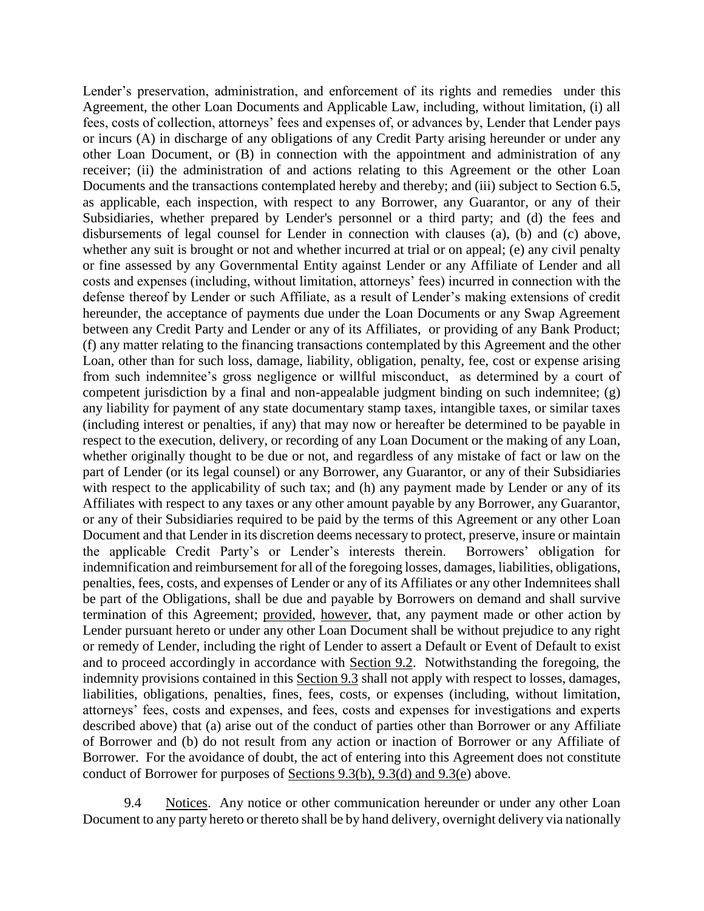Lender's preservation, administration, and enforcement of its rights and remedies under this Agreement, the other Loan Documents and Applicable Law, including, without limitation, (i) all fees, costs of collection, attorneys' fees and expenses of, or advances by, Lender that Lender pays or incurs (A) in discharge of any obligations of any Credit Party arising hereunder or under any other Loan Document, or (B) in connection with the appointment and administration of any receiver; (ii) the administration of and actions relating to this Agreement or the other Loan Documents and the transactions contemplated hereby and thereby; and (iii) subject to Section 6.5, as applicable, each inspection, with respect to any Borrower, any Guarantor, or any of their Subsidiaries, whether prepared by Lender's personnel or a third party; and (d) the fees and disbursements of legal counsel for Lender in connection with clauses (a), (b) and (c) above, whether any suit is brought or not and whether incurred at trial or on appeal; (e) any civil penalty or fine assessed by any Governmental Entity against Lender or any Affiliate of Lender and all costs and expenses (including, without limitation, attorneys' fees) incurred in connection with the defense thereof by Lender or such Affiliate, as a result of Lender's making extensions of credit hereunder, the acceptance of payments due under the Loan Documents or any Swap Agreement between any Credit Party and Lender or any of its Affiliates, or providing of any Bank Product; (f) any matter relating to the financing transactions contemplated by this Agreement and the other Loan, other than for such loss, damage, liability, obligation, penalty, fee, cost or expense arising from such indemnitee's gross negligence or willful misconduct, as determined by a court of competent jurisdiction by a final and non-appealable judgment binding on such indemnitee; (g) any liability for payment of any state documentary stamp taxes, intangible taxes, or similar taxes (including interest or penalties, if any) that may now or hereafter be determined to be payable in respect to the execution, delivery, or recording of any Loan Document or the making of any Loan, whether originally thought to be due or not, and regardless of any mistake of fact or law on the part of Lender (or its legal counsel) or any Borrower, any Guarantor, or any of their Subsidiaries with respect to the applicability of such tax; and (h) any payment made by Lender or any of its Affiliates with respect to any taxes or any other amount payable by any Borrower, any Guarantor, or any of their Subsidiaries required to be paid by the terms of this Agreement or any other Loan Document and that Lender in its discretion deems necessary to protect, preserve, insure or maintain the applicable Credit Party's or Lender's interests therein. Borrowers' obligation for indemnification and reimbursement for all of the foregoing losses, damages, liabilities, obligations, penalties, fees, costs, and expenses of Lender or any of its Affiliates or any other Indemnitees shall be part of the Obligations, shall be due and payable by Borrowers on demand and shall survive termination of this Agreement; provided, however, that, any payment made or other action by Lender pursuant hereto or under any other Loan Document shall be without prejudice to any right or remedy of Lender, including the right of Lender to assert a Default or Event of Default to exist and to proceed accordingly in accordance with Section 9.2. Notwithstanding the foregoing, the indemnity provisions contained in this Section 9.3 shall not apply with respect to losses, damages, liabilities, obligations, penalties, fines, fees, costs, or expenses (including, without limitation, attorneys' fees, costs and expenses, and fees, costs and expenses for investigations and experts described above) that (a) arise out of the conduct of parties other than Borrower or any Affiliate of Borrower and (b) do not result from any action or inaction of Borrower or any Affiliate of Borrower. For the avoidance of doubt, the act of entering into this Agreement does not constitute conduct of Borrower for purposes of Sections 9.3(b), 9.3(d) and 9.3(e) above.

9.4 Notices. Any notice or other communication hereunder or under any other Loan Document to any party hereto or thereto shall be by hand delivery, overnight delivery via nationally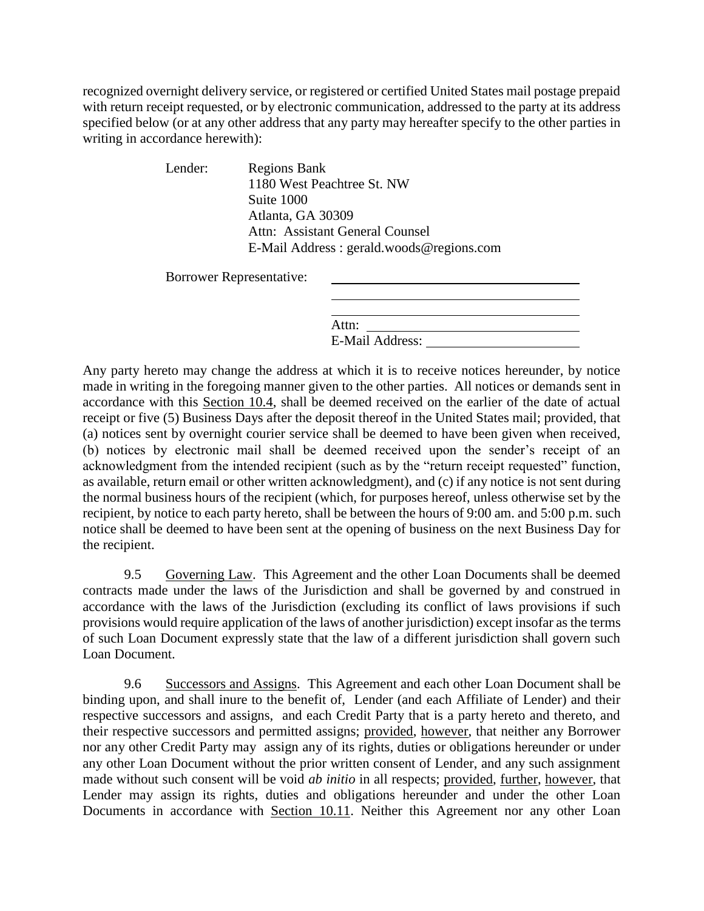recognized overnight delivery service, or registered or certified United States mail postage prepaid with return receipt requested, or by electronic communication, addressed to the party at its address specified below (or at any other address that any party may hereafter specify to the other parties in writing in accordance herewith):

Lender: Regions Bank

1180 West Peachtree St. NW Suite 1000 Atlanta, GA 30309 Attn: Assistant General Counsel E-Mail Address : gerald.woods@regions.com

Borrower Representative:

| Attn:                  |  |
|------------------------|--|
|                        |  |
| <b>E-Mail Address:</b> |  |

Any party hereto may change the address at which it is to receive notices hereunder, by notice made in writing in the foregoing manner given to the other parties. All notices or demands sent in accordance with this Section 10.4, shall be deemed received on the earlier of the date of actual receipt or five (5) Business Days after the deposit thereof in the United States mail; provided, that (a) notices sent by overnight courier service shall be deemed to have been given when received, (b) notices by electronic mail shall be deemed received upon the sender's receipt of an acknowledgment from the intended recipient (such as by the "return receipt requested" function, as available, return email or other written acknowledgment), and (c) if any notice is not sent during the normal business hours of the recipient (which, for purposes hereof, unless otherwise set by the recipient, by notice to each party hereto, shall be between the hours of 9:00 am. and 5:00 p.m. such notice shall be deemed to have been sent at the opening of business on the next Business Day for the recipient.

9.5 Governing Law. This Agreement and the other Loan Documents shall be deemed contracts made under the laws of the Jurisdiction and shall be governed by and construed in accordance with the laws of the Jurisdiction (excluding its conflict of laws provisions if such provisions would require application of the laws of another jurisdiction) except insofar as the terms of such Loan Document expressly state that the law of a different jurisdiction shall govern such Loan Document.

9.6 Successors and Assigns. This Agreement and each other Loan Document shall be binding upon, and shall inure to the benefit of, Lender (and each Affiliate of Lender) and their respective successors and assigns, and each Credit Party that is a party hereto and thereto, and their respective successors and permitted assigns; provided, however, that neither any Borrower nor any other Credit Party may assign any of its rights, duties or obligations hereunder or under any other Loan Document without the prior written consent of Lender, and any such assignment made without such consent will be void *ab initio* in all respects; provided, further, however, that Lender may assign its rights, duties and obligations hereunder and under the other Loan Documents in accordance with Section 10.11. Neither this Agreement nor any other Loan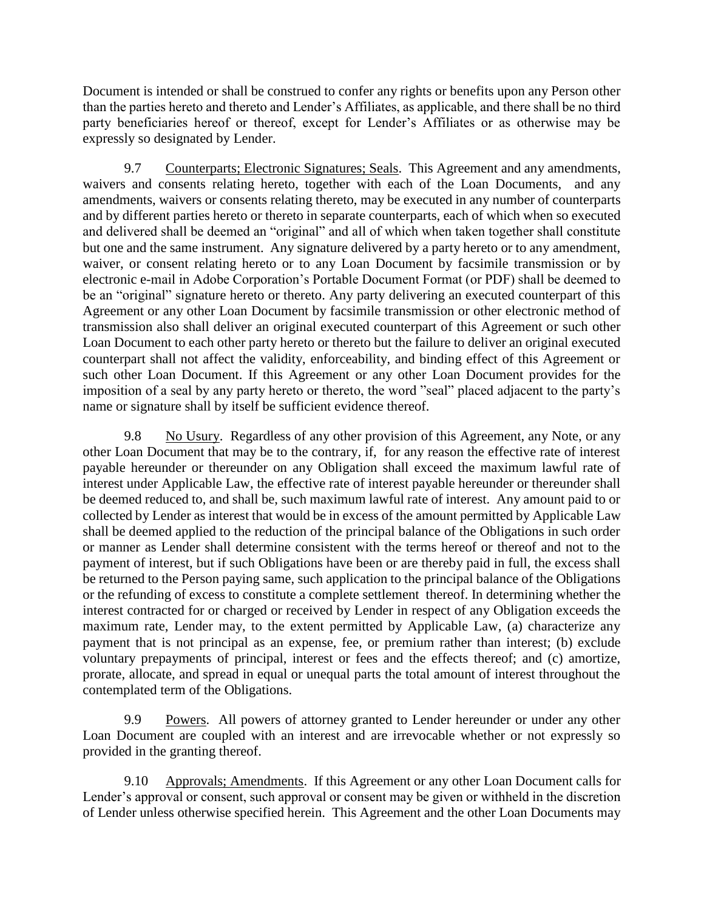Document is intended or shall be construed to confer any rights or benefits upon any Person other than the parties hereto and thereto and Lender's Affiliates, as applicable, and there shall be no third party beneficiaries hereof or thereof, except for Lender's Affiliates or as otherwise may be expressly so designated by Lender.

9.7 Counterparts; Electronic Signatures; Seals. This Agreement and any amendments, waivers and consents relating hereto, together with each of the Loan Documents, and any amendments, waivers or consents relating thereto, may be executed in any number of counterparts and by different parties hereto or thereto in separate counterparts, each of which when so executed and delivered shall be deemed an "original" and all of which when taken together shall constitute but one and the same instrument. Any signature delivered by a party hereto or to any amendment, waiver, or consent relating hereto or to any Loan Document by facsimile transmission or by electronic e-mail in Adobe Corporation's Portable Document Format (or PDF) shall be deemed to be an "original" signature hereto or thereto. Any party delivering an executed counterpart of this Agreement or any other Loan Document by facsimile transmission or other electronic method of transmission also shall deliver an original executed counterpart of this Agreement or such other Loan Document to each other party hereto or thereto but the failure to deliver an original executed counterpart shall not affect the validity, enforceability, and binding effect of this Agreement or such other Loan Document. If this Agreement or any other Loan Document provides for the imposition of a seal by any party hereto or thereto, the word "seal" placed adjacent to the party's name or signature shall by itself be sufficient evidence thereof.

9.8 No Usury. Regardless of any other provision of this Agreement, any Note, or any other Loan Document that may be to the contrary, if, for any reason the effective rate of interest payable hereunder or thereunder on any Obligation shall exceed the maximum lawful rate of interest under Applicable Law, the effective rate of interest payable hereunder or thereunder shall be deemed reduced to, and shall be, such maximum lawful rate of interest. Any amount paid to or collected by Lender as interest that would be in excess of the amount permitted by Applicable Law shall be deemed applied to the reduction of the principal balance of the Obligations in such order or manner as Lender shall determine consistent with the terms hereof or thereof and not to the payment of interest, but if such Obligations have been or are thereby paid in full, the excess shall be returned to the Person paying same, such application to the principal balance of the Obligations or the refunding of excess to constitute a complete settlement thereof. In determining whether the interest contracted for or charged or received by Lender in respect of any Obligation exceeds the maximum rate, Lender may, to the extent permitted by Applicable Law, (a) characterize any payment that is not principal as an expense, fee, or premium rather than interest; (b) exclude voluntary prepayments of principal, interest or fees and the effects thereof; and (c) amortize, prorate, allocate, and spread in equal or unequal parts the total amount of interest throughout the contemplated term of the Obligations.

9.9 Powers. All powers of attorney granted to Lender hereunder or under any other Loan Document are coupled with an interest and are irrevocable whether or not expressly so provided in the granting thereof.

9.10 Approvals; Amendments. If this Agreement or any other Loan Document calls for Lender's approval or consent, such approval or consent may be given or withheld in the discretion of Lender unless otherwise specified herein. This Agreement and the other Loan Documents may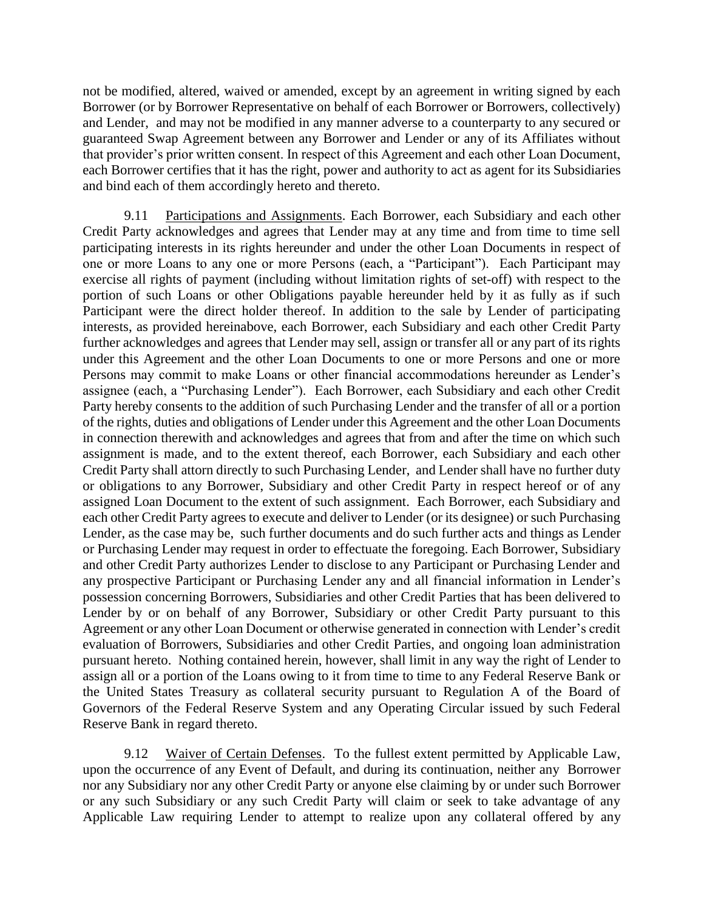not be modified, altered, waived or amended, except by an agreement in writing signed by each Borrower (or by Borrower Representative on behalf of each Borrower or Borrowers, collectively) and Lender, and may not be modified in any manner adverse to a counterparty to any secured or guaranteed Swap Agreement between any Borrower and Lender or any of its Affiliates without that provider's prior written consent. In respect of this Agreement and each other Loan Document, each Borrower certifies that it has the right, power and authority to act as agent for its Subsidiaries and bind each of them accordingly hereto and thereto.

9.11 Participations and Assignments. Each Borrower, each Subsidiary and each other Credit Party acknowledges and agrees that Lender may at any time and from time to time sell participating interests in its rights hereunder and under the other Loan Documents in respect of one or more Loans to any one or more Persons (each, a "Participant"). Each Participant may exercise all rights of payment (including without limitation rights of set-off) with respect to the portion of such Loans or other Obligations payable hereunder held by it as fully as if such Participant were the direct holder thereof. In addition to the sale by Lender of participating interests, as provided hereinabove, each Borrower, each Subsidiary and each other Credit Party further acknowledges and agrees that Lender may sell, assign or transfer all or any part of its rights under this Agreement and the other Loan Documents to one or more Persons and one or more Persons may commit to make Loans or other financial accommodations hereunder as Lender's assignee (each, a "Purchasing Lender"). Each Borrower, each Subsidiary and each other Credit Party hereby consents to the addition of such Purchasing Lender and the transfer of all or a portion of the rights, duties and obligations of Lender under this Agreement and the other Loan Documents in connection therewith and acknowledges and agrees that from and after the time on which such assignment is made, and to the extent thereof, each Borrower, each Subsidiary and each other Credit Party shall attorn directly to such Purchasing Lender, and Lender shall have no further duty or obligations to any Borrower, Subsidiary and other Credit Party in respect hereof or of any assigned Loan Document to the extent of such assignment. Each Borrower, each Subsidiary and each other Credit Party agrees to execute and deliver to Lender (or its designee) or such Purchasing Lender, as the case may be, such further documents and do such further acts and things as Lender or Purchasing Lender may request in order to effectuate the foregoing. Each Borrower, Subsidiary and other Credit Party authorizes Lender to disclose to any Participant or Purchasing Lender and any prospective Participant or Purchasing Lender any and all financial information in Lender's possession concerning Borrowers, Subsidiaries and other Credit Parties that has been delivered to Lender by or on behalf of any Borrower, Subsidiary or other Credit Party pursuant to this Agreement or any other Loan Document or otherwise generated in connection with Lender's credit evaluation of Borrowers, Subsidiaries and other Credit Parties, and ongoing loan administration pursuant hereto. Nothing contained herein, however, shall limit in any way the right of Lender to assign all or a portion of the Loans owing to it from time to time to any Federal Reserve Bank or the United States Treasury as collateral security pursuant to Regulation A of the Board of Governors of the Federal Reserve System and any Operating Circular issued by such Federal Reserve Bank in regard thereto.

9.12 Waiver of Certain Defenses. To the fullest extent permitted by Applicable Law, upon the occurrence of any Event of Default, and during its continuation, neither any Borrower nor any Subsidiary nor any other Credit Party or anyone else claiming by or under such Borrower or any such Subsidiary or any such Credit Party will claim or seek to take advantage of any Applicable Law requiring Lender to attempt to realize upon any collateral offered by any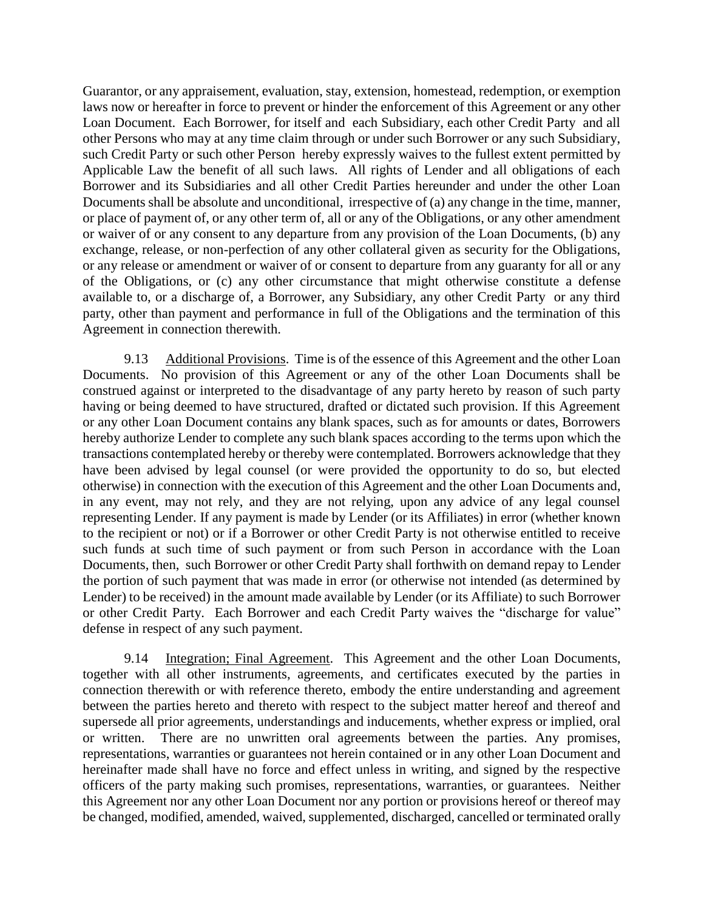Guarantor, or any appraisement, evaluation, stay, extension, homestead, redemption, or exemption laws now or hereafter in force to prevent or hinder the enforcement of this Agreement or any other Loan Document. Each Borrower, for itself and each Subsidiary, each other Credit Party and all other Persons who may at any time claim through or under such Borrower or any such Subsidiary, such Credit Party or such other Person hereby expressly waives to the fullest extent permitted by Applicable Law the benefit of all such laws. All rights of Lender and all obligations of each Borrower and its Subsidiaries and all other Credit Parties hereunder and under the other Loan Documents shall be absolute and unconditional, irrespective of (a) any change in the time, manner, or place of payment of, or any other term of, all or any of the Obligations, or any other amendment or waiver of or any consent to any departure from any provision of the Loan Documents, (b) any exchange, release, or non-perfection of any other collateral given as security for the Obligations, or any release or amendment or waiver of or consent to departure from any guaranty for all or any of the Obligations, or (c) any other circumstance that might otherwise constitute a defense available to, or a discharge of, a Borrower, any Subsidiary, any other Credit Party or any third party, other than payment and performance in full of the Obligations and the termination of this Agreement in connection therewith.

9.13 Additional Provisions. Time is of the essence of this Agreement and the other Loan Documents. No provision of this Agreement or any of the other Loan Documents shall be construed against or interpreted to the disadvantage of any party hereto by reason of such party having or being deemed to have structured, drafted or dictated such provision. If this Agreement or any other Loan Document contains any blank spaces, such as for amounts or dates, Borrowers hereby authorize Lender to complete any such blank spaces according to the terms upon which the transactions contemplated hereby or thereby were contemplated. Borrowers acknowledge that they have been advised by legal counsel (or were provided the opportunity to do so, but elected otherwise) in connection with the execution of this Agreement and the other Loan Documents and, in any event, may not rely, and they are not relying, upon any advice of any legal counsel representing Lender. If any payment is made by Lender (or its Affiliates) in error (whether known to the recipient or not) or if a Borrower or other Credit Party is not otherwise entitled to receive such funds at such time of such payment or from such Person in accordance with the Loan Documents, then, such Borrower or other Credit Party shall forthwith on demand repay to Lender the portion of such payment that was made in error (or otherwise not intended (as determined by Lender) to be received) in the amount made available by Lender (or its Affiliate) to such Borrower or other Credit Party. Each Borrower and each Credit Party waives the "discharge for value" defense in respect of any such payment.

9.14 Integration; Final Agreement. This Agreement and the other Loan Documents, together with all other instruments, agreements, and certificates executed by the parties in connection therewith or with reference thereto, embody the entire understanding and agreement between the parties hereto and thereto with respect to the subject matter hereof and thereof and supersede all prior agreements, understandings and inducements, whether express or implied, oral or written. There are no unwritten oral agreements between the parties. Any promises, representations, warranties or guarantees not herein contained or in any other Loan Document and hereinafter made shall have no force and effect unless in writing, and signed by the respective officers of the party making such promises, representations, warranties, or guarantees. Neither this Agreement nor any other Loan Document nor any portion or provisions hereof or thereof may be changed, modified, amended, waived, supplemented, discharged, cancelled or terminated orally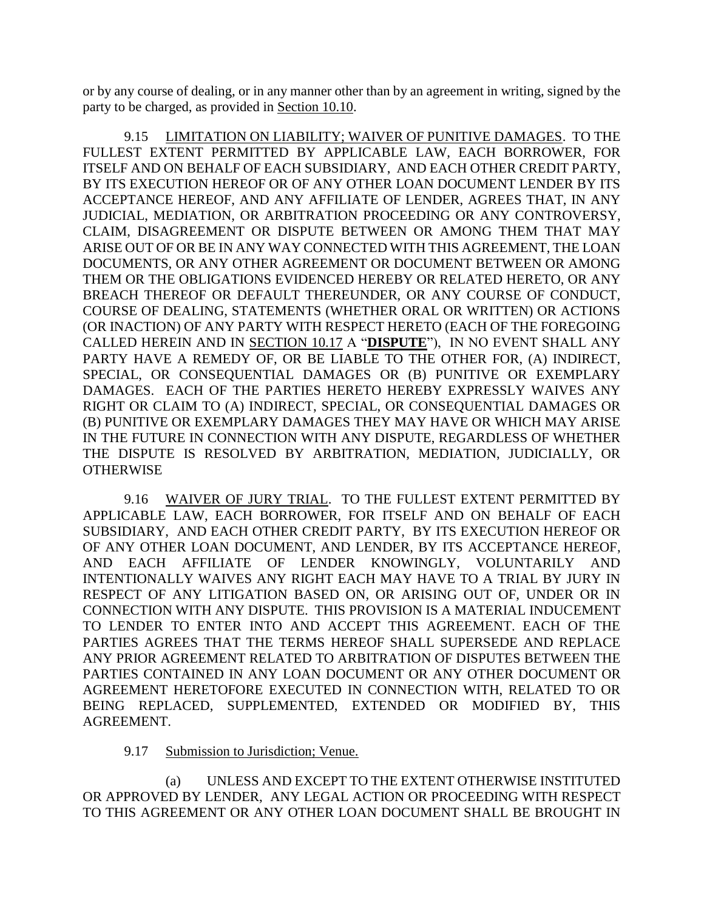or by any course of dealing, or in any manner other than by an agreement in writing, signed by the party to be charged, as provided in Section 10.10.

9.15 LIMITATION ON LIABILITY; WAIVER OF PUNITIVE DAMAGES. TO THE FULLEST EXTENT PERMITTED BY APPLICABLE LAW, EACH BORROWER, FOR ITSELF AND ON BEHALF OF EACH SUBSIDIARY, AND EACH OTHER CREDIT PARTY, BY ITS EXECUTION HEREOF OR OF ANY OTHER LOAN DOCUMENT LENDER BY ITS ACCEPTANCE HEREOF, AND ANY AFFILIATE OF LENDER, AGREES THAT, IN ANY JUDICIAL, MEDIATION, OR ARBITRATION PROCEEDING OR ANY CONTROVERSY, CLAIM, DISAGREEMENT OR DISPUTE BETWEEN OR AMONG THEM THAT MAY ARISE OUT OF OR BE IN ANY WAY CONNECTED WITH THIS AGREEMENT, THE LOAN DOCUMENTS, OR ANY OTHER AGREEMENT OR DOCUMENT BETWEEN OR AMONG THEM OR THE OBLIGATIONS EVIDENCED HEREBY OR RELATED HERETO, OR ANY BREACH THEREOF OR DEFAULT THEREUNDER, OR ANY COURSE OF CONDUCT, COURSE OF DEALING, STATEMENTS (WHETHER ORAL OR WRITTEN) OR ACTIONS (OR INACTION) OF ANY PARTY WITH RESPECT HERETO (EACH OF THE FOREGOING CALLED HEREIN AND IN SECTION 10.17 A "**DISPUTE**"), IN NO EVENT SHALL ANY PARTY HAVE A REMEDY OF, OR BE LIABLE TO THE OTHER FOR, (A) INDIRECT, SPECIAL, OR CONSEQUENTIAL DAMAGES OR (B) PUNITIVE OR EXEMPLARY DAMAGES. EACH OF THE PARTIES HERETO HEREBY EXPRESSLY WAIVES ANY RIGHT OR CLAIM TO (A) INDIRECT, SPECIAL, OR CONSEQUENTIAL DAMAGES OR (B) PUNITIVE OR EXEMPLARY DAMAGES THEY MAY HAVE OR WHICH MAY ARISE IN THE FUTURE IN CONNECTION WITH ANY DISPUTE, REGARDLESS OF WHETHER THE DISPUTE IS RESOLVED BY ARBITRATION, MEDIATION, JUDICIALLY, OR **OTHERWISE** 

9.16 WAIVER OF JURY TRIAL. TO THE FULLEST EXTENT PERMITTED BY APPLICABLE LAW, EACH BORROWER, FOR ITSELF AND ON BEHALF OF EACH SUBSIDIARY, AND EACH OTHER CREDIT PARTY, BY ITS EXECUTION HEREOF OR OF ANY OTHER LOAN DOCUMENT, AND LENDER, BY ITS ACCEPTANCE HEREOF, AND EACH AFFILIATE OF LENDER KNOWINGLY, VOLUNTARILY AND INTENTIONALLY WAIVES ANY RIGHT EACH MAY HAVE TO A TRIAL BY JURY IN RESPECT OF ANY LITIGATION BASED ON, OR ARISING OUT OF, UNDER OR IN CONNECTION WITH ANY DISPUTE. THIS PROVISION IS A MATERIAL INDUCEMENT TO LENDER TO ENTER INTO AND ACCEPT THIS AGREEMENT. EACH OF THE PARTIES AGREES THAT THE TERMS HEREOF SHALL SUPERSEDE AND REPLACE ANY PRIOR AGREEMENT RELATED TO ARBITRATION OF DISPUTES BETWEEN THE PARTIES CONTAINED IN ANY LOAN DOCUMENT OR ANY OTHER DOCUMENT OR AGREEMENT HERETOFORE EXECUTED IN CONNECTION WITH, RELATED TO OR BEING REPLACED, SUPPLEMENTED, EXTENDED OR MODIFIED BY, THIS AGREEMENT.

#### 9.17 Submission to Jurisdiction; Venue.

(a) UNLESS AND EXCEPT TO THE EXTENT OTHERWISE INSTITUTED OR APPROVED BY LENDER, ANY LEGAL ACTION OR PROCEEDING WITH RESPECT TO THIS AGREEMENT OR ANY OTHER LOAN DOCUMENT SHALL BE BROUGHT IN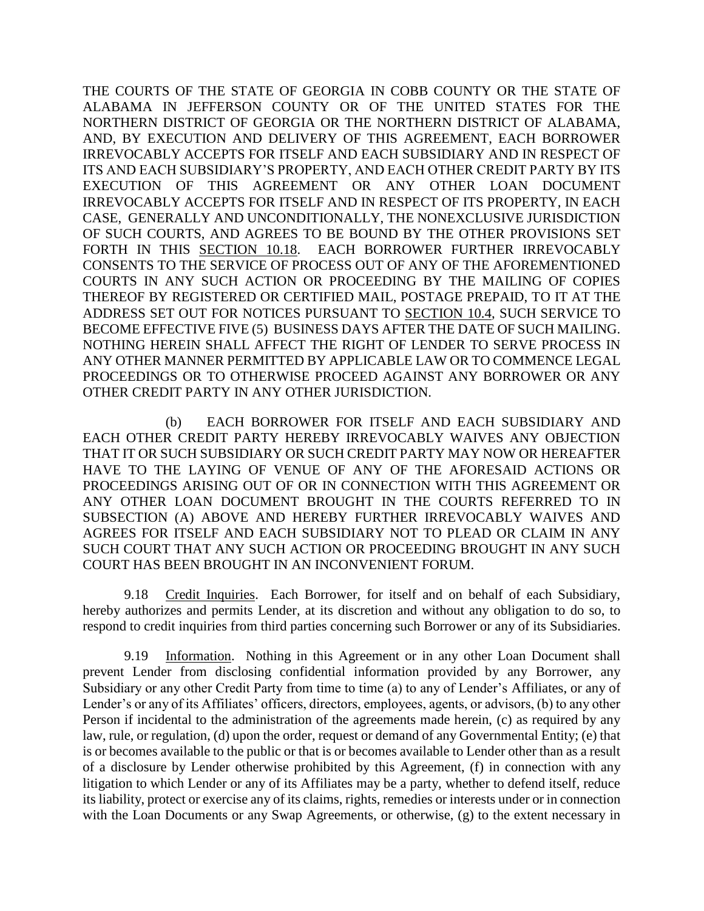THE COURTS OF THE STATE OF GEORGIA IN COBB COUNTY OR THE STATE OF ALABAMA IN JEFFERSON COUNTY OR OF THE UNITED STATES FOR THE NORTHERN DISTRICT OF GEORGIA OR THE NORTHERN DISTRICT OF ALABAMA, AND, BY EXECUTION AND DELIVERY OF THIS AGREEMENT, EACH BORROWER IRREVOCABLY ACCEPTS FOR ITSELF AND EACH SUBSIDIARY AND IN RESPECT OF ITS AND EACH SUBSIDIARY'S PROPERTY, AND EACH OTHER CREDIT PARTY BY ITS EXECUTION OF THIS AGREEMENT OR ANY OTHER LOAN DOCUMENT IRREVOCABLY ACCEPTS FOR ITSELF AND IN RESPECT OF ITS PROPERTY, IN EACH CASE, GENERALLY AND UNCONDITIONALLY, THE NONEXCLUSIVE JURISDICTION OF SUCH COURTS, AND AGREES TO BE BOUND BY THE OTHER PROVISIONS SET FORTH IN THIS SECTION 10.18. EACH BORROWER FURTHER IRREVOCABLY CONSENTS TO THE SERVICE OF PROCESS OUT OF ANY OF THE AFOREMENTIONED COURTS IN ANY SUCH ACTION OR PROCEEDING BY THE MAILING OF COPIES THEREOF BY REGISTERED OR CERTIFIED MAIL, POSTAGE PREPAID, TO IT AT THE ADDRESS SET OUT FOR NOTICES PURSUANT TO SECTION 10.4, SUCH SERVICE TO BECOME EFFECTIVE FIVE (5) BUSINESS DAYS AFTER THE DATE OF SUCH MAILING. NOTHING HEREIN SHALL AFFECT THE RIGHT OF LENDER TO SERVE PROCESS IN ANY OTHER MANNER PERMITTED BY APPLICABLE LAW OR TO COMMENCE LEGAL PROCEEDINGS OR TO OTHERWISE PROCEED AGAINST ANY BORROWER OR ANY OTHER CREDIT PARTY IN ANY OTHER JURISDICTION.

(b) EACH BORROWER FOR ITSELF AND EACH SUBSIDIARY AND EACH OTHER CREDIT PARTY HEREBY IRREVOCABLY WAIVES ANY OBJECTION THAT IT OR SUCH SUBSIDIARY OR SUCH CREDIT PARTY MAY NOW OR HEREAFTER HAVE TO THE LAYING OF VENUE OF ANY OF THE AFORESAID ACTIONS OR PROCEEDINGS ARISING OUT OF OR IN CONNECTION WITH THIS AGREEMENT OR ANY OTHER LOAN DOCUMENT BROUGHT IN THE COURTS REFERRED TO IN SUBSECTION (A) ABOVE AND HEREBY FURTHER IRREVOCABLY WAIVES AND AGREES FOR ITSELF AND EACH SUBSIDIARY NOT TO PLEAD OR CLAIM IN ANY SUCH COURT THAT ANY SUCH ACTION OR PROCEEDING BROUGHT IN ANY SUCH COURT HAS BEEN BROUGHT IN AN INCONVENIENT FORUM.

9.18 Credit Inquiries. Each Borrower, for itself and on behalf of each Subsidiary, hereby authorizes and permits Lender, at its discretion and without any obligation to do so, to respond to credit inquiries from third parties concerning such Borrower or any of its Subsidiaries.

9.19 Information. Nothing in this Agreement or in any other Loan Document shall prevent Lender from disclosing confidential information provided by any Borrower, any Subsidiary or any other Credit Party from time to time (a) to any of Lender's Affiliates, or any of Lender's or any of its Affiliates' officers, directors, employees, agents, or advisors, (b) to any other Person if incidental to the administration of the agreements made herein, (c) as required by any law, rule, or regulation, (d) upon the order, request or demand of any Governmental Entity; (e) that is or becomes available to the public or that is or becomes available to Lender other than as a result of a disclosure by Lender otherwise prohibited by this Agreement, (f) in connection with any litigation to which Lender or any of its Affiliates may be a party, whether to defend itself, reduce its liability, protect or exercise any of its claims, rights, remedies or interests under or in connection with the Loan Documents or any Swap Agreements, or otherwise, (g) to the extent necessary in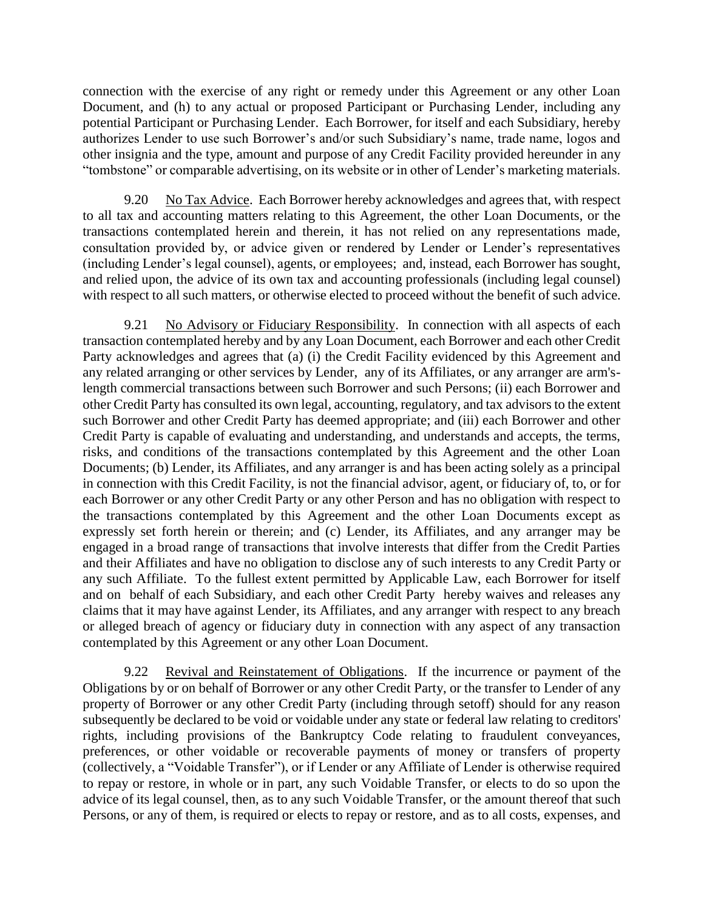connection with the exercise of any right or remedy under this Agreement or any other Loan Document, and (h) to any actual or proposed Participant or Purchasing Lender, including any potential Participant or Purchasing Lender. Each Borrower, for itself and each Subsidiary, hereby authorizes Lender to use such Borrower's and/or such Subsidiary's name, trade name, logos and other insignia and the type, amount and purpose of any Credit Facility provided hereunder in any "tombstone" or comparable advertising, on its website or in other of Lender's marketing materials.

9.20 No Tax Advice. Each Borrower hereby acknowledges and agrees that, with respect to all tax and accounting matters relating to this Agreement, the other Loan Documents, or the transactions contemplated herein and therein, it has not relied on any representations made, consultation provided by, or advice given or rendered by Lender or Lender's representatives (including Lender's legal counsel), agents, or employees; and, instead, each Borrower has sought, and relied upon, the advice of its own tax and accounting professionals (including legal counsel) with respect to all such matters, or otherwise elected to proceed without the benefit of such advice.

9.21 No Advisory or Fiduciary Responsibility. In connection with all aspects of each transaction contemplated hereby and by any Loan Document, each Borrower and each other Credit Party acknowledges and agrees that (a) (i) the Credit Facility evidenced by this Agreement and any related arranging or other services by Lender, any of its Affiliates, or any arranger are arm'slength commercial transactions between such Borrower and such Persons; (ii) each Borrower and other Credit Party has consulted its own legal, accounting, regulatory, and tax advisors to the extent such Borrower and other Credit Party has deemed appropriate; and (iii) each Borrower and other Credit Party is capable of evaluating and understanding, and understands and accepts, the terms, risks, and conditions of the transactions contemplated by this Agreement and the other Loan Documents; (b) Lender, its Affiliates, and any arranger is and has been acting solely as a principal in connection with this Credit Facility, is not the financial advisor, agent, or fiduciary of, to, or for each Borrower or any other Credit Party or any other Person and has no obligation with respect to the transactions contemplated by this Agreement and the other Loan Documents except as expressly set forth herein or therein; and (c) Lender, its Affiliates, and any arranger may be engaged in a broad range of transactions that involve interests that differ from the Credit Parties and their Affiliates and have no obligation to disclose any of such interests to any Credit Party or any such Affiliate. To the fullest extent permitted by Applicable Law, each Borrower for itself and on behalf of each Subsidiary, and each other Credit Party hereby waives and releases any claims that it may have against Lender, its Affiliates, and any arranger with respect to any breach or alleged breach of agency or fiduciary duty in connection with any aspect of any transaction contemplated by this Agreement or any other Loan Document.

9.22 Revival and Reinstatement of Obligations. If the incurrence or payment of the Obligations by or on behalf of Borrower or any other Credit Party, or the transfer to Lender of any property of Borrower or any other Credit Party (including through setoff) should for any reason subsequently be declared to be void or voidable under any state or federal law relating to creditors' rights, including provisions of the Bankruptcy Code relating to fraudulent conveyances, preferences, or other voidable or recoverable payments of money or transfers of property (collectively, a "Voidable Transfer"), or if Lender or any Affiliate of Lender is otherwise required to repay or restore, in whole or in part, any such Voidable Transfer, or elects to do so upon the advice of its legal counsel, then, as to any such Voidable Transfer, or the amount thereof that such Persons, or any of them, is required or elects to repay or restore, and as to all costs, expenses, and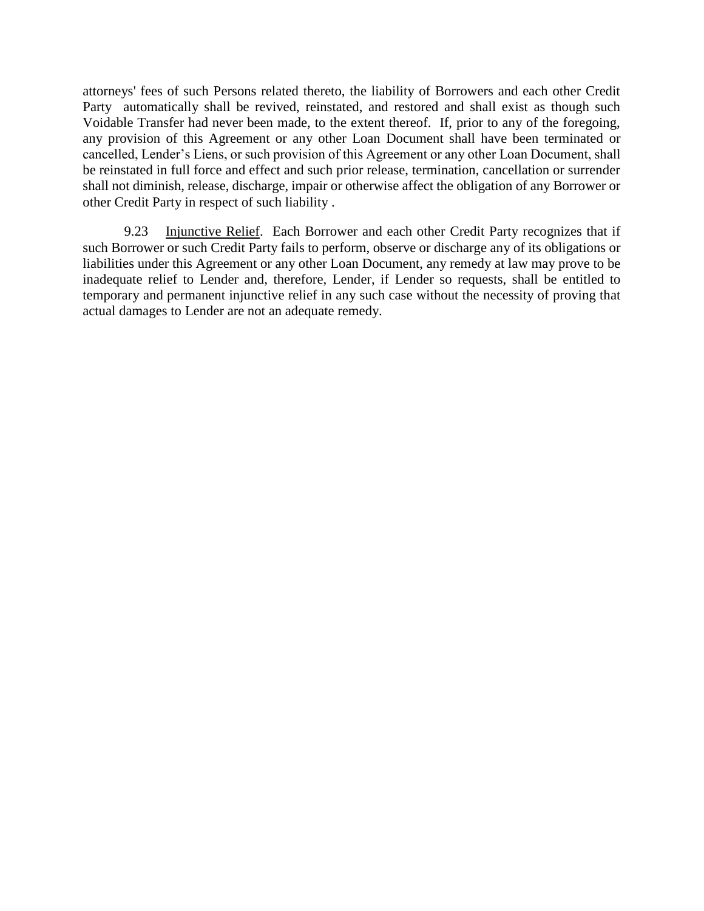attorneys' fees of such Persons related thereto, the liability of Borrowers and each other Credit Party automatically shall be revived, reinstated, and restored and shall exist as though such Voidable Transfer had never been made, to the extent thereof. If, prior to any of the foregoing, any provision of this Agreement or any other Loan Document shall have been terminated or cancelled, Lender's Liens, or such provision of this Agreement or any other Loan Document, shall be reinstated in full force and effect and such prior release, termination, cancellation or surrender shall not diminish, release, discharge, impair or otherwise affect the obligation of any Borrower or other Credit Party in respect of such liability .

9.23 Injunctive Relief. Each Borrower and each other Credit Party recognizes that if such Borrower or such Credit Party fails to perform, observe or discharge any of its obligations or liabilities under this Agreement or any other Loan Document, any remedy at law may prove to be inadequate relief to Lender and, therefore, Lender, if Lender so requests, shall be entitled to temporary and permanent injunctive relief in any such case without the necessity of proving that actual damages to Lender are not an adequate remedy.